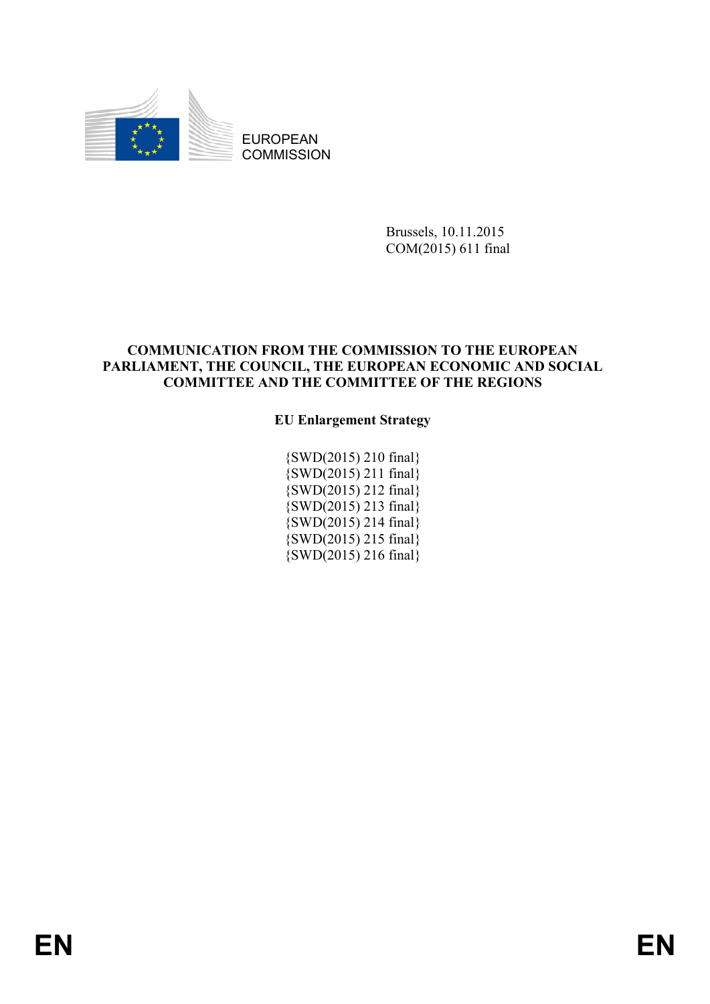

EUROPEAN **COMMISSION** 

> Brussels, 10.11.2015 COM(2015) 611 final

### **COMMUNICATION FROM THE COMMISSION TO THE EUROPEAN PARLIAMENT, THE COUNCIL, THE EUROPEAN ECONOMIC AND SOCIAL COMMITTEE AND THE COMMITTEE OF THE REGIONS**

### **EU Enlargement Strategy**

{SWD(2015) 210 final} {SWD(2015) 211 final} {SWD(2015) 212 final} {SWD(2015) 213 final} {SWD(2015) 214 final} {SWD(2015) 215 final}  ${\rm \{SWD(2015)}$  216 final)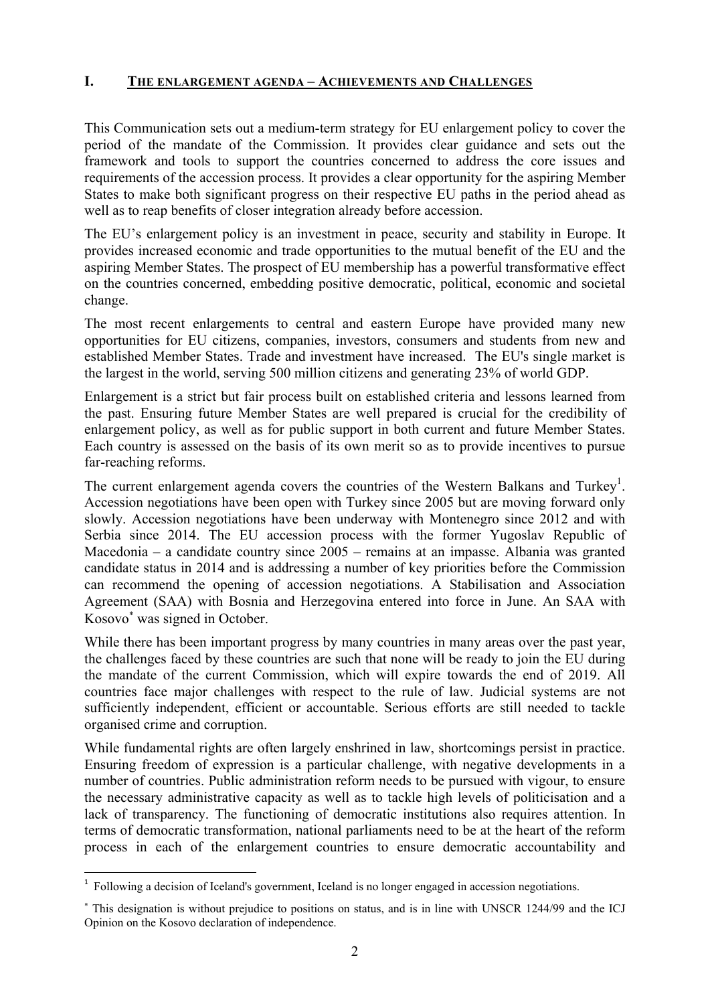### **I. THE ENLARGEMENT AGENDA – ACHIEVEMENTS AND CHALLENGES**

This Communication sets out a medium-term strategy for EU enlargement policy to cover the period of the mandate of the Commission. It provides clear guidance and sets out the framework and tools to support the countries concerned to address the core issues and requirements of the accession process. It provides a clear opportunity for the aspiring Member States to make both significant progress on their respective EU paths in the period ahead as well as to reap benefits of closer integration already before accession.

The EU's enlargement policy is an investment in peace, security and stability in Europe. It provides increased economic and trade opportunities to the mutual benefit of the EU and the aspiring Member States. The prospect of EU membership has a powerful transformative effect on the countries concerned, embedding positive democratic, political, economic and societal change.

The most recent enlargements to central and eastern Europe have provided many new opportunities for EU citizens, companies, investors, consumers and students from new and established Member States. Trade and investment have increased. The EU's single market is the largest in the world, serving 500 million citizens and generating 23% of world GDP.

Enlargement is a strict but fair process built on established criteria and lessons learned from the past. Ensuring future Member States are well prepared is crucial for the credibility of enlargement policy, as well as for public support in both current and future Member States. Each country is assessed on the basis of its own merit so as to provide incentives to pursue far-reaching reforms.

The current enlargement agenda covers the countries of the Western Balkans and Turkey<sup>1</sup>. Accession negotiations have been open with Turkey since 2005 but are moving forward only slowly. Accession negotiations have been underway with Montenegro since 2012 and with Serbia since 2014. The EU accession process with the former Yugoslav Republic of Macedonia – a candidate country since 2005 – remains at an impasse. Albania was granted candidate status in 2014 and is addressing a number of key priorities before the Commission can recommend the opening of accession negotiations. A Stabilisation and Association Agreement (SAA) with Bosnia and Herzegovina entered into force in June. An SAA with Kosovo<sup>∗</sup> was signed in October.

While there has been important progress by many countries in many areas over the past year, the challenges faced by these countries are such that none will be ready to join the EU during the mandate of the current Commission, which will expire towards the end of 2019. All countries face major challenges with respect to the rule of law. Judicial systems are not sufficiently independent, efficient or accountable. Serious efforts are still needed to tackle organised crime and corruption.

While fundamental rights are often largely enshrined in law, shortcomings persist in practice. Ensuring freedom of expression is a particular challenge, with negative developments in a number of countries. Public administration reform needs to be pursued with vigour, to ensure the necessary administrative capacity as well as to tackle high levels of politicisation and a lack of transparency. The functioning of democratic institutions also requires attention. In terms of democratic transformation, national parliaments need to be at the heart of the reform process in each of the enlargement countries to ensure democratic accountability and

<sup>&</sup>lt;sup>1</sup> Following a decision of Iceland's government, Iceland is no longer engaged in accession negotiations.

<sup>∗</sup> This designation is without prejudice to positions on status, and is in line with UNSCR 1244/99 and the ICJ Opinion on the Kosovo declaration of independence.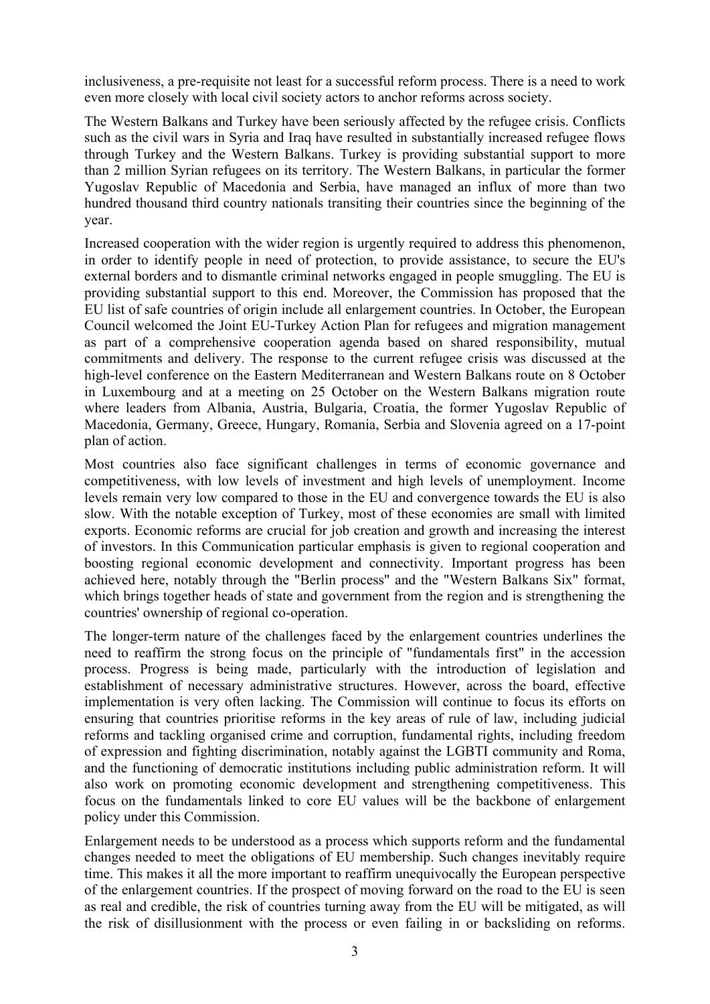inclusiveness, a pre-requisite not least for a successful reform process. There is a need to work even more closely with local civil society actors to anchor reforms across society.

The Western Balkans and Turkey have been seriously affected by the refugee crisis. Conflicts such as the civil wars in Syria and Iraq have resulted in substantially increased refugee flows through Turkey and the Western Balkans. Turkey is providing substantial support to more than 2 million Syrian refugees on its territory. The Western Balkans, in particular the former Yugoslav Republic of Macedonia and Serbia, have managed an influx of more than two hundred thousand third country nationals transiting their countries since the beginning of the year.

Increased cooperation with the wider region is urgently required to address this phenomenon, in order to identify people in need of protection, to provide assistance, to secure the EU's external borders and to dismantle criminal networks engaged in people smuggling. The EU is providing substantial support to this end. Moreover, the Commission has proposed that the EU list of safe countries of origin include all enlargement countries. In October, the European Council welcomed the Joint EU-Turkey Action Plan for refugees and migration management as part of a comprehensive cooperation agenda based on shared responsibility, mutual commitments and delivery. The response to the current refugee crisis was discussed at the high-level conference on the Eastern Mediterranean and Western Balkans route on 8 October in Luxembourg and at a meeting on 25 October on the Western Balkans migration route where leaders from Albania, Austria, Bulgaria, Croatia, the former Yugoslav Republic of Macedonia, Germany, Greece, Hungary, Romania, Serbia and Slovenia agreed on a 17-point plan of action.

Most countries also face significant challenges in terms of economic governance and competitiveness, with low levels of investment and high levels of unemployment. Income levels remain very low compared to those in the EU and convergence towards the EU is also slow. With the notable exception of Turkey, most of these economies are small with limited exports. Economic reforms are crucial for job creation and growth and increasing the interest of investors. In this Communication particular emphasis is given to regional cooperation and boosting regional economic development and connectivity. Important progress has been achieved here, notably through the "Berlin process" and the "Western Balkans Six" format, which brings together heads of state and government from the region and is strengthening the countries' ownership of regional co-operation.

The longer-term nature of the challenges faced by the enlargement countries underlines the need to reaffirm the strong focus on the principle of "fundamentals first" in the accession process. Progress is being made, particularly with the introduction of legislation and establishment of necessary administrative structures. However, across the board, effective implementation is very often lacking. The Commission will continue to focus its efforts on ensuring that countries prioritise reforms in the key areas of rule of law, including judicial reforms and tackling organised crime and corruption, fundamental rights, including freedom of expression and fighting discrimination, notably against the LGBTI community and Roma, and the functioning of democratic institutions including public administration reform. It will also work on promoting economic development and strengthening competitiveness. This focus on the fundamentals linked to core EU values will be the backbone of enlargement policy under this Commission.

Enlargement needs to be understood as a process which supports reform and the fundamental changes needed to meet the obligations of EU membership. Such changes inevitably require time. This makes it all the more important to reaffirm unequivocally the European perspective of the enlargement countries. If the prospect of moving forward on the road to the EU is seen as real and credible, the risk of countries turning away from the EU will be mitigated, as will the risk of disillusionment with the process or even failing in or backsliding on reforms.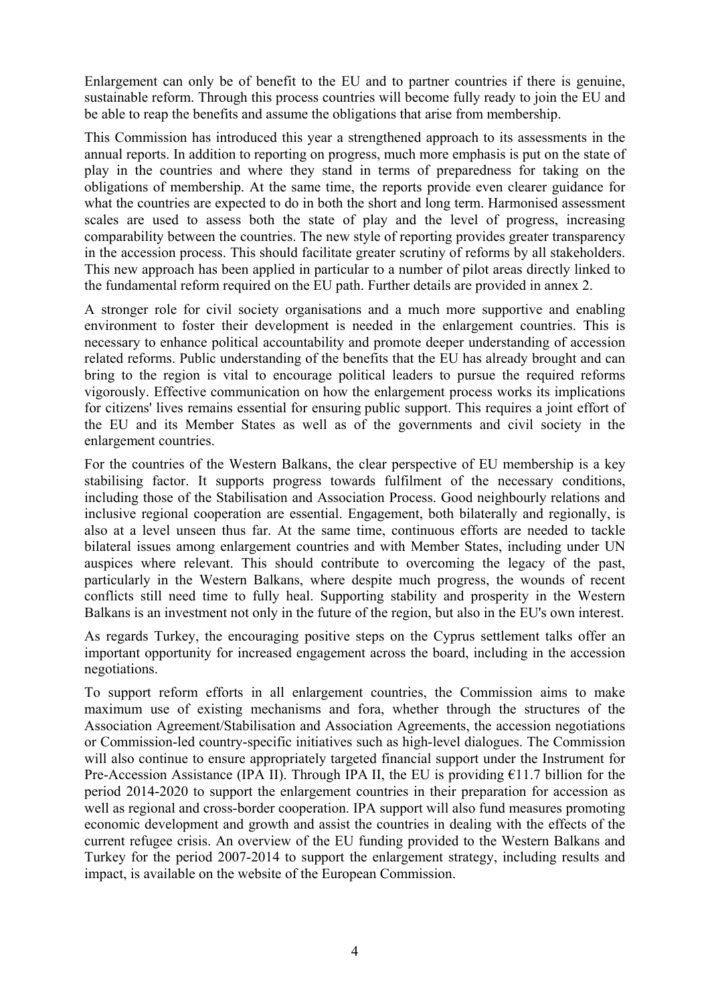Enlargement can only be of benefit to the EU and to partner countries if there is genuine, sustainable reform. Through this process countries will become fully ready to join the EU and be able to reap the benefits and assume the obligations that arise from membership.

This Commission has introduced this year a strengthened approach to its assessments in the annual reports. In addition to reporting on progress, much more emphasis is put on the state of play in the countries and where they stand in terms of preparedness for taking on the obligations of membership. At the same time, the reports provide even clearer guidance for what the countries are expected to do in both the short and long term. Harmonised assessment scales are used to assess both the state of play and the level of progress, increasing comparability between the countries. The new style of reporting provides greater transparency in the accession process. This should facilitate greater scrutiny of reforms by all stakeholders. This new approach has been applied in particular to a number of pilot areas directly linked to the fundamental reform required on the EU path. Further details are provided in annex 2.

A stronger role for civil society organisations and a much more supportive and enabling environment to foster their development is needed in the enlargement countries. This is necessary to enhance political accountability and promote deeper understanding of accession related reforms. Public understanding of the benefits that the EU has already brought and can bring to the region is vital to encourage political leaders to pursue the required reforms vigorously. Effective communication on how the enlargement process works its implications for citizens' lives remains essential for ensuring public support. This requires a joint effort of the EU and its Member States as well as of the governments and civil society in the enlargement countries.

For the countries of the Western Balkans, the clear perspective of EU membership is a key stabilising factor. It supports progress towards fulfilment of the necessary conditions, including those of the Stabilisation and Association Process. Good neighbourly relations and inclusive regional cooperation are essential. Engagement, both bilaterally and regionally, is also at a level unseen thus far. At the same time, continuous efforts are needed to tackle bilateral issues among enlargement countries and with Member States, including under UN auspices where relevant. This should contribute to overcoming the legacy of the past, particularly in the Western Balkans, where despite much progress, the wounds of recent conflicts still need time to fully heal. Supporting stability and prosperity in the Western Balkans is an investment not only in the future of the region, but also in the EU's own interest.

As regards Turkey, the encouraging positive steps on the Cyprus settlement talks offer an important opportunity for increased engagement across the board, including in the accession negotiations.

To support reform efforts in all enlargement countries, the Commission aims to make maximum use of existing mechanisms and fora, whether through the structures of the Association Agreement/Stabilisation and Association Agreements, the accession negotiations or Commission-led country-specific initiatives such as high-level dialogues. The Commission will also continue to ensure appropriately targeted financial support under the Instrument for Pre-Accession Assistance (IPA II). Through IPA II, the EU is providing  $\epsilon$ 11.7 billion for the period 2014-2020 to support the enlargement countries in their preparation for accession as well as regional and cross-border cooperation. IPA support will also fund measures promoting economic development and growth and assist the countries in dealing with the effects of the current refugee crisis. An overview of the EU funding provided to the Western Balkans and Turkey for the period 2007-2014 to support the enlargement strategy, including results and impact, is available on the website of the European Commission.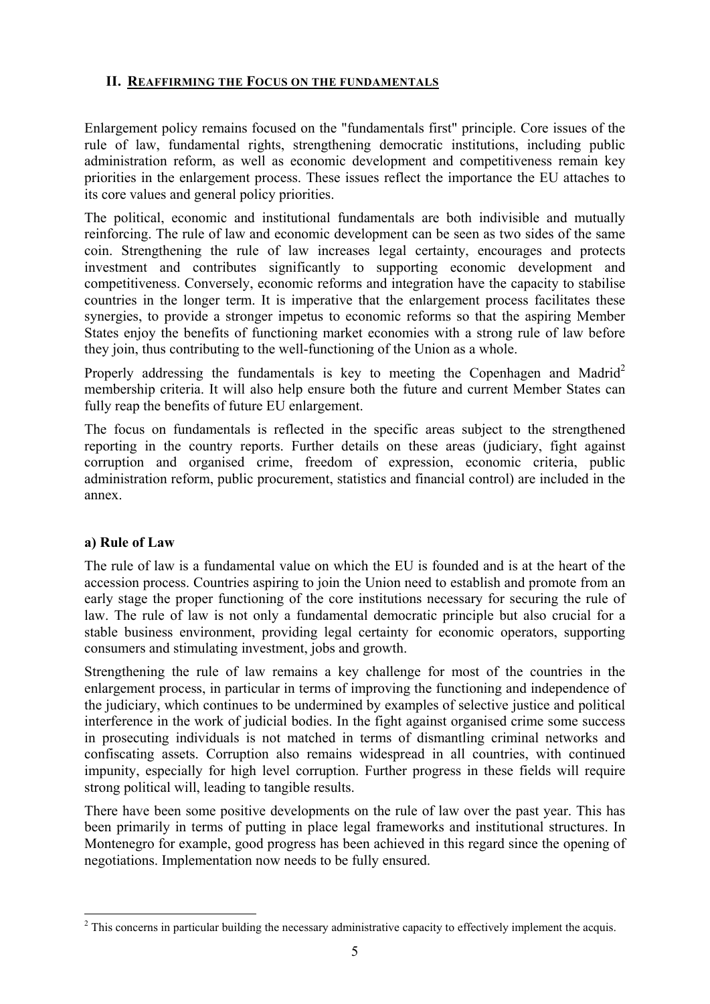### **II. REAFFIRMING THE FOCUS ON THE FUNDAMENTALS**

Enlargement policy remains focused on the "fundamentals first" principle. Core issues of the rule of law, fundamental rights, strengthening democratic institutions, including public administration reform, as well as economic development and competitiveness remain key priorities in the enlargement process. These issues reflect the importance the EU attaches to its core values and general policy priorities.

The political, economic and institutional fundamentals are both indivisible and mutually reinforcing. The rule of law and economic development can be seen as two sides of the same coin. Strengthening the rule of law increases legal certainty, encourages and protects investment and contributes significantly to supporting economic development and competitiveness. Conversely, economic reforms and integration have the capacity to stabilise countries in the longer term. It is imperative that the enlargement process facilitates these synergies, to provide a stronger impetus to economic reforms so that the aspiring Member States enjoy the benefits of functioning market economies with a strong rule of law before they join, thus contributing to the well-functioning of the Union as a whole.

Properly addressing the fundamentals is key to meeting the Copenhagen and Madrid<sup>2</sup> membership criteria. It will also help ensure both the future and current Member States can fully reap the benefits of future EU enlargement.

The focus on fundamentals is reflected in the specific areas subject to the strengthened reporting in the country reports. Further details on these areas (judiciary, fight against corruption and organised crime, freedom of expression, economic criteria, public administration reform, public procurement, statistics and financial control) are included in the annex.

### **a) Rule of Law**

The rule of law is a fundamental value on which the EU is founded and is at the heart of the accession process. Countries aspiring to join the Union need to establish and promote from an early stage the proper functioning of the core institutions necessary for securing the rule of law. The rule of law is not only a fundamental democratic principle but also crucial for a stable business environment, providing legal certainty for economic operators, supporting consumers and stimulating investment, jobs and growth.

Strengthening the rule of law remains a key challenge for most of the countries in the enlargement process, in particular in terms of improving the functioning and independence of the judiciary, which continues to be undermined by examples of selective justice and political interference in the work of judicial bodies. In the fight against organised crime some success in prosecuting individuals is not matched in terms of dismantling criminal networks and confiscating assets. Corruption also remains widespread in all countries, with continued impunity, especially for high level corruption. Further progress in these fields will require strong political will, leading to tangible results.

There have been some positive developments on the rule of law over the past year. This has been primarily in terms of putting in place legal frameworks and institutional structures. In Montenegro for example, good progress has been achieved in this regard since the opening of negotiations. Implementation now needs to be fully ensured.

**<sup>.</sup>**  $2$  This concerns in particular building the necessary administrative capacity to effectively implement the acquis.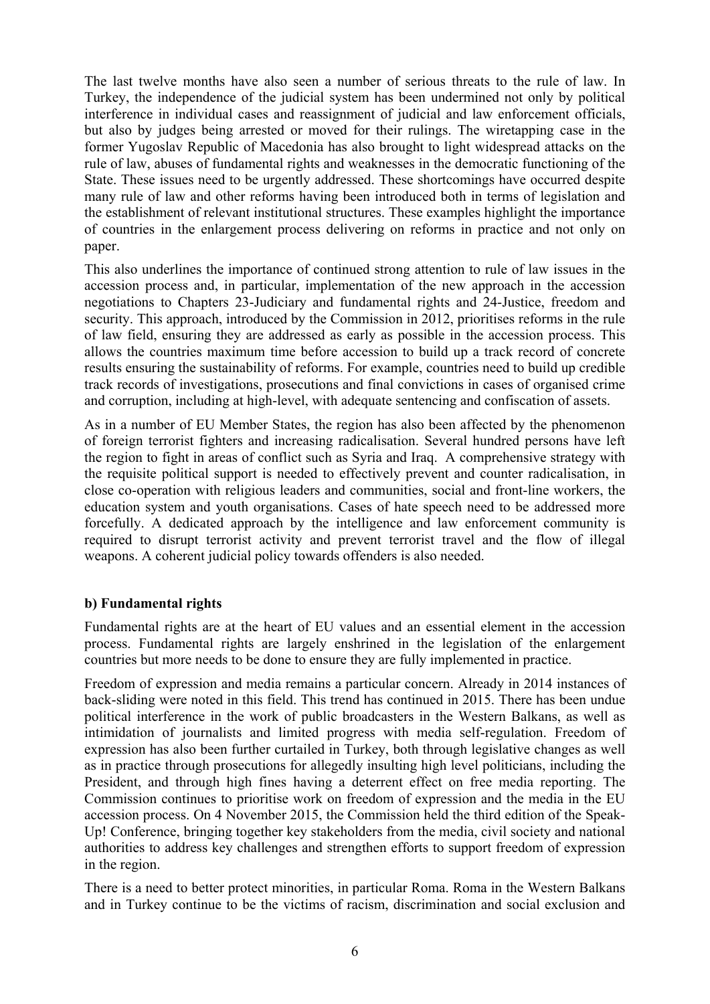The last twelve months have also seen a number of serious threats to the rule of law. In Turkey, the independence of the judicial system has been undermined not only by political interference in individual cases and reassignment of judicial and law enforcement officials, but also by judges being arrested or moved for their rulings. The wiretapping case in the former Yugoslav Republic of Macedonia has also brought to light widespread attacks on the rule of law, abuses of fundamental rights and weaknesses in the democratic functioning of the State. These issues need to be urgently addressed. These shortcomings have occurred despite many rule of law and other reforms having been introduced both in terms of legislation and the establishment of relevant institutional structures. These examples highlight the importance of countries in the enlargement process delivering on reforms in practice and not only on paper.

This also underlines the importance of continued strong attention to rule of law issues in the accession process and, in particular, implementation of the new approach in the accession negotiations to Chapters 23-Judiciary and fundamental rights and 24-Justice, freedom and security. This approach, introduced by the Commission in 2012, prioritises reforms in the rule of law field, ensuring they are addressed as early as possible in the accession process. This allows the countries maximum time before accession to build up a track record of concrete results ensuring the sustainability of reforms. For example, countries need to build up credible track records of investigations, prosecutions and final convictions in cases of organised crime and corruption, including at high-level, with adequate sentencing and confiscation of assets.

As in a number of EU Member States, the region has also been affected by the phenomenon of foreign terrorist fighters and increasing radicalisation. Several hundred persons have left the region to fight in areas of conflict such as Syria and Iraq. A comprehensive strategy with the requisite political support is needed to effectively prevent and counter radicalisation, in close co-operation with religious leaders and communities, social and front-line workers, the education system and youth organisations. Cases of hate speech need to be addressed more forcefully. A dedicated approach by the intelligence and law enforcement community is required to disrupt terrorist activity and prevent terrorist travel and the flow of illegal weapons. A coherent judicial policy towards offenders is also needed.

### **b) Fundamental rights**

Fundamental rights are at the heart of EU values and an essential element in the accession process. Fundamental rights are largely enshrined in the legislation of the enlargement countries but more needs to be done to ensure they are fully implemented in practice.

Freedom of expression and media remains a particular concern. Already in 2014 instances of back-sliding were noted in this field. This trend has continued in 2015. There has been undue political interference in the work of public broadcasters in the Western Balkans, as well as intimidation of journalists and limited progress with media self-regulation. Freedom of expression has also been further curtailed in Turkey, both through legislative changes as well as in practice through prosecutions for allegedly insulting high level politicians, including the President, and through high fines having a deterrent effect on free media reporting. The Commission continues to prioritise work on freedom of expression and the media in the EU accession process. On 4 November 2015, the Commission held the third edition of the Speak-Up! Conference, bringing together key stakeholders from the media, civil society and national authorities to address key challenges and strengthen efforts to support freedom of expression in the region.

There is a need to better protect minorities, in particular Roma. Roma in the Western Balkans and in Turkey continue to be the victims of racism, discrimination and social exclusion and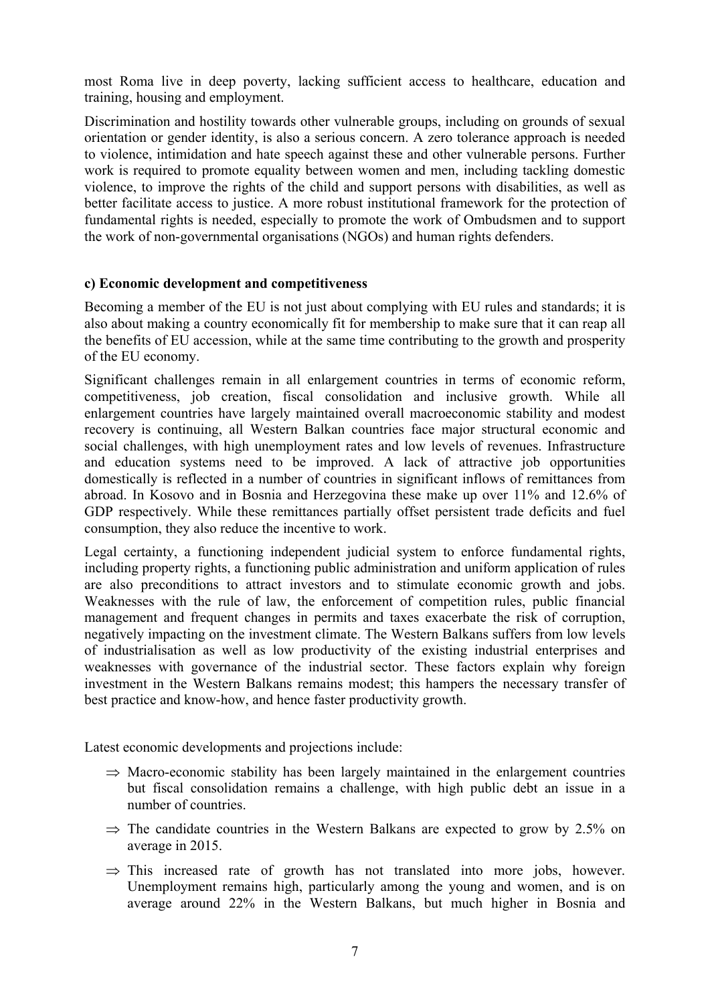most Roma live in deep poverty, lacking sufficient access to healthcare, education and training, housing and employment.

Discrimination and hostility towards other vulnerable groups, including on grounds of sexual orientation or gender identity, is also a serious concern. A zero tolerance approach is needed to violence, intimidation and hate speech against these and other vulnerable persons. Further work is required to promote equality between women and men, including tackling domestic violence, to improve the rights of the child and support persons with disabilities, as well as better facilitate access to justice. A more robust institutional framework for the protection of fundamental rights is needed, especially to promote the work of Ombudsmen and to support the work of non-governmental organisations (NGOs) and human rights defenders.

### **c) Economic development and competitiveness**

Becoming a member of the EU is not just about complying with EU rules and standards; it is also about making a country economically fit for membership to make sure that it can reap all the benefits of EU accession, while at the same time contributing to the growth and prosperity of the EU economy.

Significant challenges remain in all enlargement countries in terms of economic reform, competitiveness, job creation, fiscal consolidation and inclusive growth. While all enlargement countries have largely maintained overall macroeconomic stability and modest recovery is continuing, all Western Balkan countries face major structural economic and social challenges, with high unemployment rates and low levels of revenues. Infrastructure and education systems need to be improved. A lack of attractive job opportunities domestically is reflected in a number of countries in significant inflows of remittances from abroad. In Kosovo and in Bosnia and Herzegovina these make up over 11% and 12.6% of GDP respectively. While these remittances partially offset persistent trade deficits and fuel consumption, they also reduce the incentive to work.

Legal certainty, a functioning independent judicial system to enforce fundamental rights, including property rights, a functioning public administration and uniform application of rules are also preconditions to attract investors and to stimulate economic growth and jobs. Weaknesses with the rule of law, the enforcement of competition rules, public financial management and frequent changes in permits and taxes exacerbate the risk of corruption, negatively impacting on the investment climate. The Western Balkans suffers from low levels of industrialisation as well as low productivity of the existing industrial enterprises and weaknesses with governance of the industrial sector. These factors explain why foreign investment in the Western Balkans remains modest; this hampers the necessary transfer of best practice and know-how, and hence faster productivity growth.

Latest economic developments and projections include:

- $\Rightarrow$  Macro-economic stability has been largely maintained in the enlargement countries but fiscal consolidation remains a challenge, with high public debt an issue in a number of countries.
- $\Rightarrow$  The candidate countries in the Western Balkans are expected to grow by 2.5% on average in 2015.
- $\Rightarrow$  This increased rate of growth has not translated into more jobs, however. Unemployment remains high, particularly among the young and women, and is on average around 22% in the Western Balkans, but much higher in Bosnia and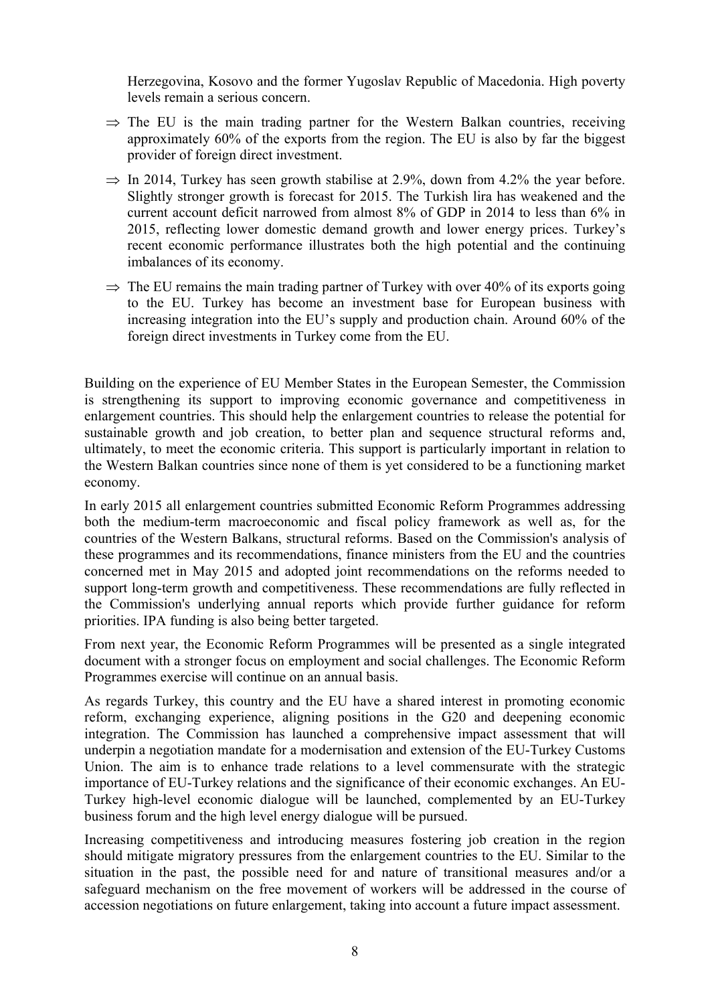Herzegovina, Kosovo and the former Yugoslav Republic of Macedonia. High poverty levels remain a serious concern.

- $\Rightarrow$  The EU is the main trading partner for the Western Balkan countries, receiving approximately 60% of the exports from the region. The EU is also by far the biggest provider of foreign direct investment.
- $\Rightarrow$  In 2014, Turkey has seen growth stabilise at 2.9%, down from 4.2% the year before. Slightly stronger growth is forecast for 2015. The Turkish lira has weakened and the current account deficit narrowed from almost 8% of GDP in 2014 to less than 6% in 2015, reflecting lower domestic demand growth and lower energy prices. Turkey's recent economic performance illustrates both the high potential and the continuing imbalances of its economy.
- $\Rightarrow$  The EU remains the main trading partner of Turkey with over 40% of its exports going to the EU. Turkey has become an investment base for European business with increasing integration into the EU's supply and production chain. Around 60% of the foreign direct investments in Turkey come from the EU.

Building on the experience of EU Member States in the European Semester, the Commission is strengthening its support to improving economic governance and competitiveness in enlargement countries. This should help the enlargement countries to release the potential for sustainable growth and job creation, to better plan and sequence structural reforms and, ultimately, to meet the economic criteria. This support is particularly important in relation to the Western Balkan countries since none of them is yet considered to be a functioning market economy.

In early 2015 all enlargement countries submitted Economic Reform Programmes addressing both the medium-term macroeconomic and fiscal policy framework as well as, for the countries of the Western Balkans, structural reforms. Based on the Commission's analysis of these programmes and its recommendations, finance ministers from the EU and the countries concerned met in May 2015 and adopted joint recommendations on the reforms needed to support long-term growth and competitiveness. These recommendations are fully reflected in the Commission's underlying annual reports which provide further guidance for reform priorities. IPA funding is also being better targeted.

From next year, the Economic Reform Programmes will be presented as a single integrated document with a stronger focus on employment and social challenges. The Economic Reform Programmes exercise will continue on an annual basis.

As regards Turkey, this country and the EU have a shared interest in promoting economic reform, exchanging experience, aligning positions in the G20 and deepening economic integration. The Commission has launched a comprehensive impact assessment that will underpin a negotiation mandate for a modernisation and extension of the EU-Turkey Customs Union. The aim is to enhance trade relations to a level commensurate with the strategic importance of EU-Turkey relations and the significance of their economic exchanges. An EU-Turkey high-level economic dialogue will be launched, complemented by an EU-Turkey business forum and the high level energy dialogue will be pursued.

Increasing competitiveness and introducing measures fostering job creation in the region should mitigate migratory pressures from the enlargement countries to the EU. Similar to the situation in the past, the possible need for and nature of transitional measures and/or a safeguard mechanism on the free movement of workers will be addressed in the course of accession negotiations on future enlargement, taking into account a future impact assessment.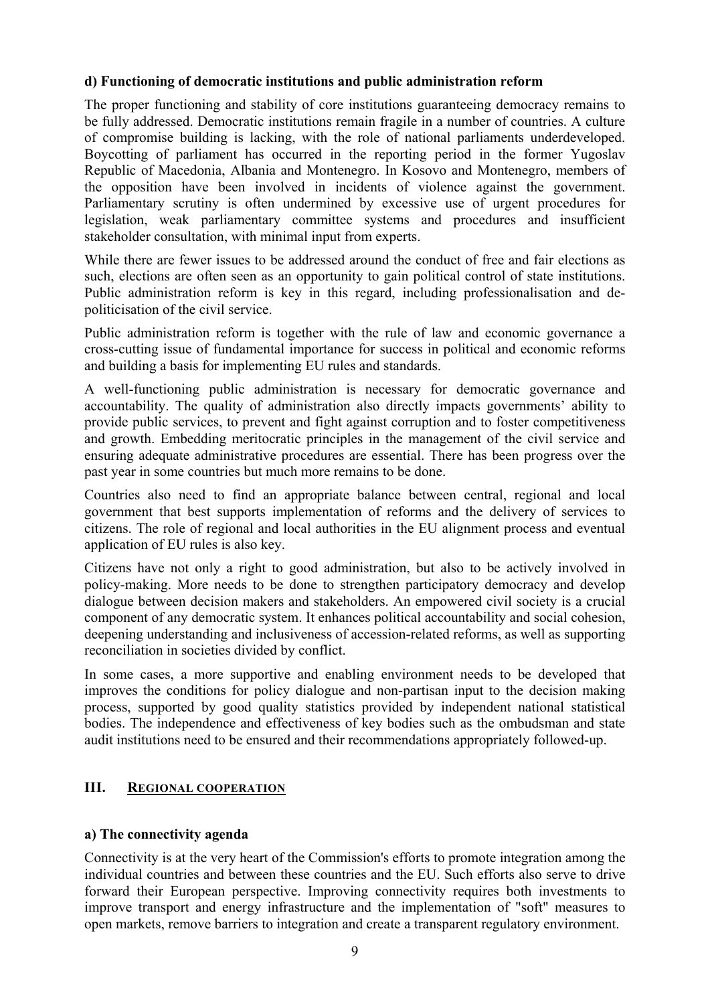### **d) Functioning of democratic institutions and public administration reform**

The proper functioning and stability of core institutions guaranteeing democracy remains to be fully addressed. Democratic institutions remain fragile in a number of countries. A culture of compromise building is lacking, with the role of national parliaments underdeveloped. Boycotting of parliament has occurred in the reporting period in the former Yugoslav Republic of Macedonia, Albania and Montenegro. In Kosovo and Montenegro, members of the opposition have been involved in incidents of violence against the government. Parliamentary scrutiny is often undermined by excessive use of urgent procedures for legislation, weak parliamentary committee systems and procedures and insufficient stakeholder consultation, with minimal input from experts.

While there are fewer issues to be addressed around the conduct of free and fair elections as such, elections are often seen as an opportunity to gain political control of state institutions. Public administration reform is key in this regard, including professionalisation and depoliticisation of the civil service.

Public administration reform is together with the rule of law and economic governance a cross-cutting issue of fundamental importance for success in political and economic reforms and building a basis for implementing EU rules and standards.

A well-functioning public administration is necessary for democratic governance and accountability. The quality of administration also directly impacts governments' ability to provide public services, to prevent and fight against corruption and to foster competitiveness and growth. Embedding meritocratic principles in the management of the civil service and ensuring adequate administrative procedures are essential. There has been progress over the past year in some countries but much more remains to be done.

Countries also need to find an appropriate balance between central, regional and local government that best supports implementation of reforms and the delivery of services to citizens. The role of regional and local authorities in the EU alignment process and eventual application of EU rules is also key.

Citizens have not only a right to good administration, but also to be actively involved in policy-making. More needs to be done to strengthen participatory democracy and develop dialogue between decision makers and stakeholders. An empowered civil society is a crucial component of any democratic system. It enhances political accountability and social cohesion, deepening understanding and inclusiveness of accession-related reforms, as well as supporting reconciliation in societies divided by conflict.

In some cases, a more supportive and enabling environment needs to be developed that improves the conditions for policy dialogue and non-partisan input to the decision making process, supported by good quality statistics provided by independent national statistical bodies. The independence and effectiveness of key bodies such as the ombudsman and state audit institutions need to be ensured and their recommendations appropriately followed-up.

### **III. REGIONAL COOPERATION**

### **a) The connectivity agenda**

Connectivity is at the very heart of the Commission's efforts to promote integration among the individual countries and between these countries and the EU. Such efforts also serve to drive forward their European perspective. Improving connectivity requires both investments to improve transport and energy infrastructure and the implementation of "soft" measures to open markets, remove barriers to integration and create a transparent regulatory environment.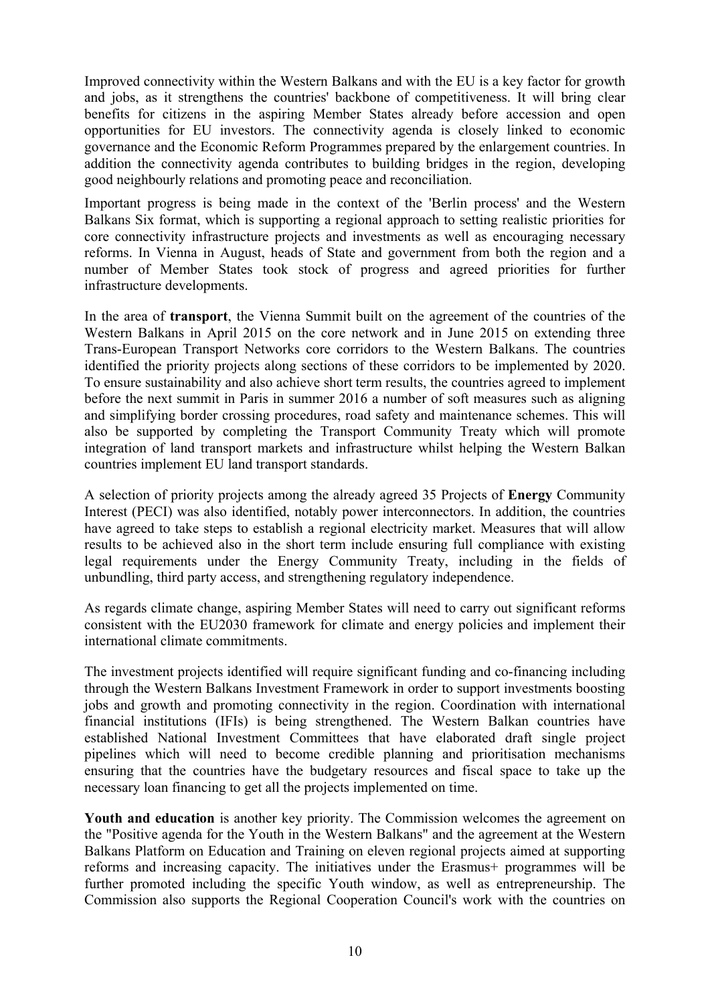Improved connectivity within the Western Balkans and with the EU is a key factor for growth and jobs, as it strengthens the countries' backbone of competitiveness. It will bring clear benefits for citizens in the aspiring Member States already before accession and open opportunities for EU investors. The connectivity agenda is closely linked to economic governance and the Economic Reform Programmes prepared by the enlargement countries. In addition the connectivity agenda contributes to building bridges in the region, developing good neighbourly relations and promoting peace and reconciliation.

Important progress is being made in the context of the 'Berlin process' and the Western Balkans Six format, which is supporting a regional approach to setting realistic priorities for core connectivity infrastructure projects and investments as well as encouraging necessary reforms. In Vienna in August, heads of State and government from both the region and a number of Member States took stock of progress and agreed priorities for further infrastructure developments.

In the area of **transport**, the Vienna Summit built on the agreement of the countries of the Western Balkans in April 2015 on the core network and in June 2015 on extending three Trans-European Transport Networks core corridors to the Western Balkans. The countries identified the priority projects along sections of these corridors to be implemented by 2020. To ensure sustainability and also achieve short term results, the countries agreed to implement before the next summit in Paris in summer 2016 a number of soft measures such as aligning and simplifying border crossing procedures, road safety and maintenance schemes. This will also be supported by completing the Transport Community Treaty which will promote integration of land transport markets and infrastructure whilst helping the Western Balkan countries implement EU land transport standards.

A selection of priority projects among the already agreed 35 Projects of **Energy** Community Interest (PECI) was also identified, notably power interconnectors. In addition, the countries have agreed to take steps to establish a regional electricity market. Measures that will allow results to be achieved also in the short term include ensuring full compliance with existing legal requirements under the Energy Community Treaty, including in the fields of unbundling, third party access, and strengthening regulatory independence.

As regards climate change, aspiring Member States will need to carry out significant reforms consistent with the EU2030 framework for climate and energy policies and implement their international climate commitments.

The investment projects identified will require significant funding and co-financing including through the Western Balkans Investment Framework in order to support investments boosting jobs and growth and promoting connectivity in the region. Coordination with international financial institutions (IFIs) is being strengthened. The Western Balkan countries have established National Investment Committees that have elaborated draft single project pipelines which will need to become credible planning and prioritisation mechanisms ensuring that the countries have the budgetary resources and fiscal space to take up the necessary loan financing to get all the projects implemented on time.

**Youth and education** is another key priority. The Commission welcomes the agreement on the "Positive agenda for the Youth in the Western Balkans" and the agreement at the Western Balkans Platform on Education and Training on eleven regional projects aimed at supporting reforms and increasing capacity. The initiatives under the Erasmus+ programmes will be further promoted including the specific Youth window, as well as entrepreneurship. The Commission also supports the Regional Cooperation Council's work with the countries on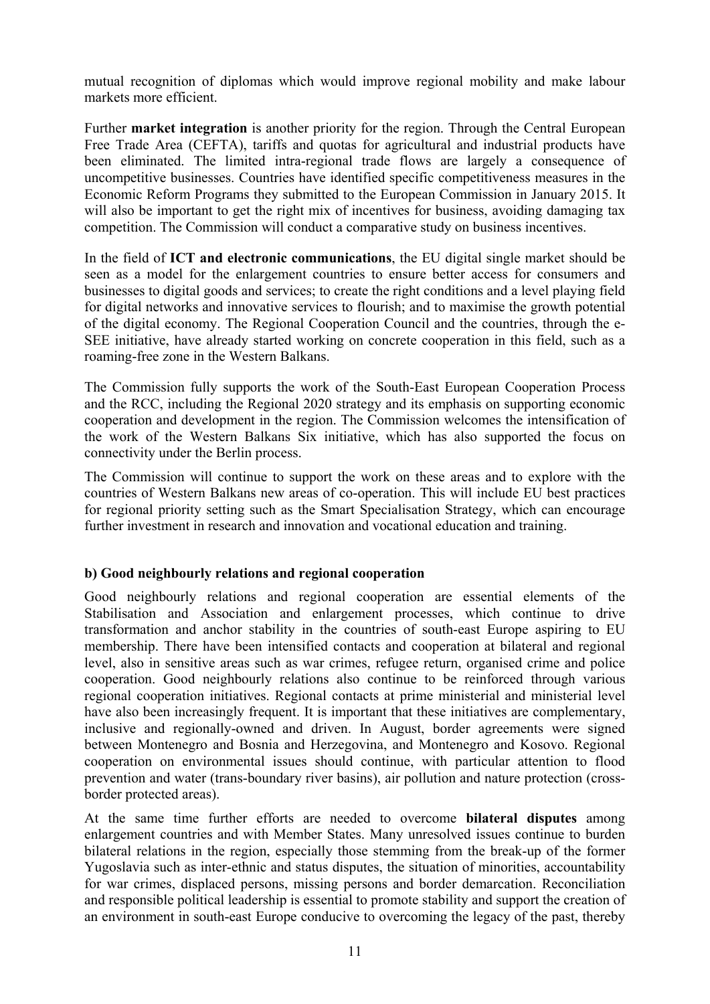mutual recognition of diplomas which would improve regional mobility and make labour markets more efficient.

Further **market integration** is another priority for the region. Through the Central European Free Trade Area (CEFTA), tariffs and quotas for agricultural and industrial products have been eliminated. The limited intra-regional trade flows are largely a consequence of uncompetitive businesses. Countries have identified specific competitiveness measures in the Economic Reform Programs they submitted to the European Commission in January 2015. It will also be important to get the right mix of incentives for business, avoiding damaging tax competition. The Commission will conduct a comparative study on business incentives.

In the field of **ICT and electronic communications**, the EU digital single market should be seen as a model for the enlargement countries to ensure better access for consumers and businesses to digital goods and services; to create the right conditions and a level playing field for digital networks and innovative services to flourish; and to maximise the growth potential of the digital economy. The Regional Cooperation Council and the countries, through the e-SEE initiative, have already started working on concrete cooperation in this field, such as a roaming-free zone in the Western Balkans.

The Commission fully supports the work of the South-East European Cooperation Process and the RCC, including the Regional 2020 strategy and its emphasis on supporting economic cooperation and development in the region. The Commission welcomes the intensification of the work of the Western Balkans Six initiative, which has also supported the focus on connectivity under the Berlin process.

The Commission will continue to support the work on these areas and to explore with the countries of Western Balkans new areas of co-operation. This will include EU best practices for regional priority setting such as the Smart Specialisation Strategy, which can encourage further investment in research and innovation and vocational education and training.

### **b) Good neighbourly relations and regional cooperation**

Good neighbourly relations and regional cooperation are essential elements of the Stabilisation and Association and enlargement processes, which continue to drive transformation and anchor stability in the countries of south-east Europe aspiring to EU membership. There have been intensified contacts and cooperation at bilateral and regional level, also in sensitive areas such as war crimes, refugee return, organised crime and police cooperation. Good neighbourly relations also continue to be reinforced through various regional cooperation initiatives. Regional contacts at prime ministerial and ministerial level have also been increasingly frequent. It is important that these initiatives are complementary, inclusive and regionally-owned and driven. In August, border agreements were signed between Montenegro and Bosnia and Herzegovina, and Montenegro and Kosovo. Regional cooperation on environmental issues should continue, with particular attention to flood prevention and water (trans-boundary river basins), air pollution and nature protection (crossborder protected areas).

At the same time further efforts are needed to overcome **bilateral disputes** among enlargement countries and with Member States. Many unresolved issues continue to burden bilateral relations in the region, especially those stemming from the break-up of the former Yugoslavia such as inter-ethnic and status disputes, the situation of minorities, accountability for war crimes, displaced persons, missing persons and border demarcation. Reconciliation and responsible political leadership is essential to promote stability and support the creation of an environment in south-east Europe conducive to overcoming the legacy of the past, thereby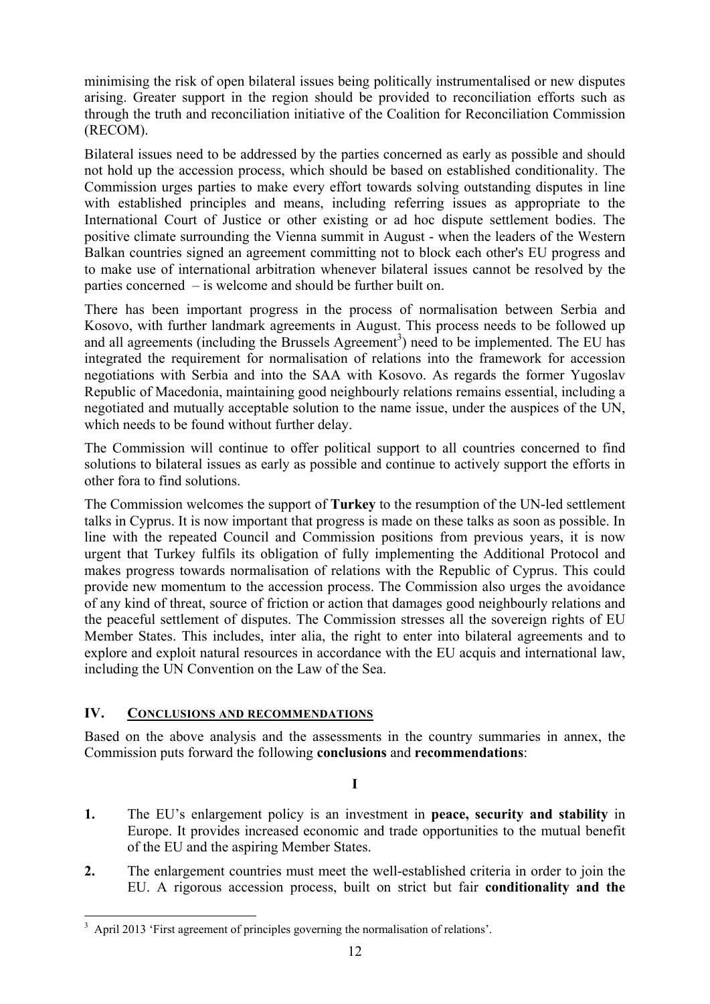minimising the risk of open bilateral issues being politically instrumentalised or new disputes arising. Greater support in the region should be provided to reconciliation efforts such as through the truth and reconciliation initiative of the Coalition for Reconciliation Commission (RECOM).

Bilateral issues need to be addressed by the parties concerned as early as possible and should not hold up the accession process, which should be based on established conditionality. The Commission urges parties to make every effort towards solving outstanding disputes in line with established principles and means, including referring issues as appropriate to the International Court of Justice or other existing or ad hoc dispute settlement bodies. The positive climate surrounding the Vienna summit in August - when the leaders of the Western Balkan countries signed an agreement committing not to block each other's EU progress and to make use of international arbitration whenever bilateral issues cannot be resolved by the parties concerned – is welcome and should be further built on.

There has been important progress in the process of normalisation between Serbia and Kosovo, with further landmark agreements in August. This process needs to be followed up and all agreements (including the Brussels Agreement<sup>3</sup>) need to be implemented. The EU has integrated the requirement for normalisation of relations into the framework for accession negotiations with Serbia and into the SAA with Kosovo. As regards the former Yugoslav Republic of Macedonia, maintaining good neighbourly relations remains essential, including a negotiated and mutually acceptable solution to the name issue, under the auspices of the UN, which needs to be found without further delay.

The Commission will continue to offer political support to all countries concerned to find solutions to bilateral issues as early as possible and continue to actively support the efforts in other fora to find solutions.

The Commission welcomes the support of **Turkey** to the resumption of the UN-led settlement talks in Cyprus. It is now important that progress is made on these talks as soon as possible. In line with the repeated Council and Commission positions from previous years, it is now urgent that Turkey fulfils its obligation of fully implementing the Additional Protocol and makes progress towards normalisation of relations with the Republic of Cyprus. This could provide new momentum to the accession process. The Commission also urges the avoidance of any kind of threat, source of friction or action that damages good neighbourly relations and the peaceful settlement of disputes. The Commission stresses all the sovereign rights of EU Member States. This includes, inter alia, the right to enter into bilateral agreements and to explore and exploit natural resources in accordance with the EU acquis and international law, including the UN Convention on the Law of the Sea.

### **IV. CONCLUSIONS AND RECOMMENDATIONS**

Based on the above analysis and the assessments in the country summaries in annex, the Commission puts forward the following **conclusions** and **recommendations**:

**I** 

- **1.** The EU's enlargement policy is an investment in **peace, security and stability** in Europe. It provides increased economic and trade opportunities to the mutual benefit of the EU and the aspiring Member States.
- **2.** The enlargement countries must meet the well-established criteria in order to join the EU. A rigorous accession process, built on strict but fair **conditionality and the**

<sup>&</sup>lt;sup>3</sup> April 2013 'First agreement of principles governing the normalisation of relations'.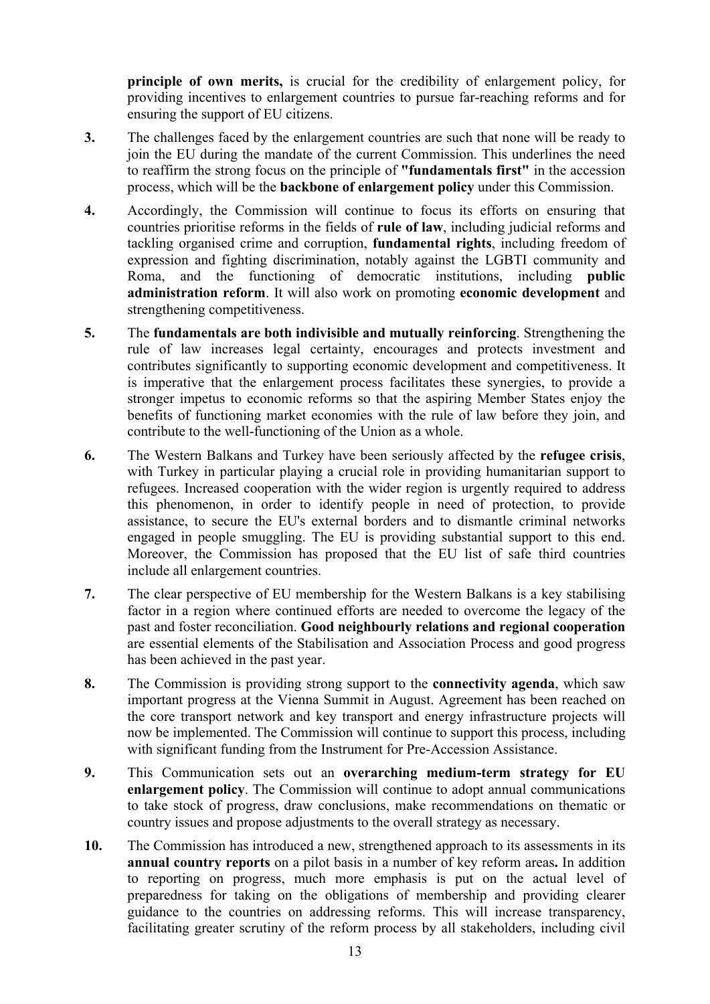**principle of own merits,** is crucial for the credibility of enlargement policy, for providing incentives to enlargement countries to pursue far-reaching reforms and for ensuring the support of EU citizens.

- **3.** The challenges faced by the enlargement countries are such that none will be ready to join the EU during the mandate of the current Commission. This underlines the need to reaffirm the strong focus on the principle of **"fundamentals first"** in the accession process, which will be the **backbone of enlargement policy** under this Commission.
- **4.** Accordingly, the Commission will continue to focus its efforts on ensuring that countries prioritise reforms in the fields of **rule of law**, including judicial reforms and tackling organised crime and corruption, **fundamental rights**, including freedom of expression and fighting discrimination, notably against the LGBTI community and Roma, and the functioning of democratic institutions, including **public administration reform**. It will also work on promoting **economic development** and strengthening competitiveness.
- **5.** The **fundamentals are both indivisible and mutually reinforcing**. Strengthening the rule of law increases legal certainty, encourages and protects investment and contributes significantly to supporting economic development and competitiveness. It is imperative that the enlargement process facilitates these synergies, to provide a stronger impetus to economic reforms so that the aspiring Member States enjoy the benefits of functioning market economies with the rule of law before they join, and contribute to the well-functioning of the Union as a whole.
- **6.** The Western Balkans and Turkey have been seriously affected by the **refugee crisis**, with Turkey in particular playing a crucial role in providing humanitarian support to refugees. Increased cooperation with the wider region is urgently required to address this phenomenon, in order to identify people in need of protection, to provide assistance, to secure the EU's external borders and to dismantle criminal networks engaged in people smuggling. The EU is providing substantial support to this end. Moreover, the Commission has proposed that the EU list of safe third countries include all enlargement countries.
- **7.** The clear perspective of EU membership for the Western Balkans is a key stabilising factor in a region where continued efforts are needed to overcome the legacy of the past and foster reconciliation. **Good neighbourly relations and regional cooperation** are essential elements of the Stabilisation and Association Process and good progress has been achieved in the past year.
- **8.** The Commission is providing strong support to the **connectivity agenda**, which saw important progress at the Vienna Summit in August. Agreement has been reached on the core transport network and key transport and energy infrastructure projects will now be implemented. The Commission will continue to support this process, including with significant funding from the Instrument for Pre-Accession Assistance.
- **9.** This Communication sets out an **overarching medium-term strategy for EU enlargement policy**. The Commission will continue to adopt annual communications to take stock of progress, draw conclusions, make recommendations on thematic or country issues and propose adjustments to the overall strategy as necessary.
- **10.** The Commission has introduced a new, strengthened approach to its assessments in its **annual country reports** on a pilot basis in a number of key reform areas**.** In addition to reporting on progress, much more emphasis is put on the actual level of preparedness for taking on the obligations of membership and providing clearer guidance to the countries on addressing reforms. This will increase transparency, facilitating greater scrutiny of the reform process by all stakeholders, including civil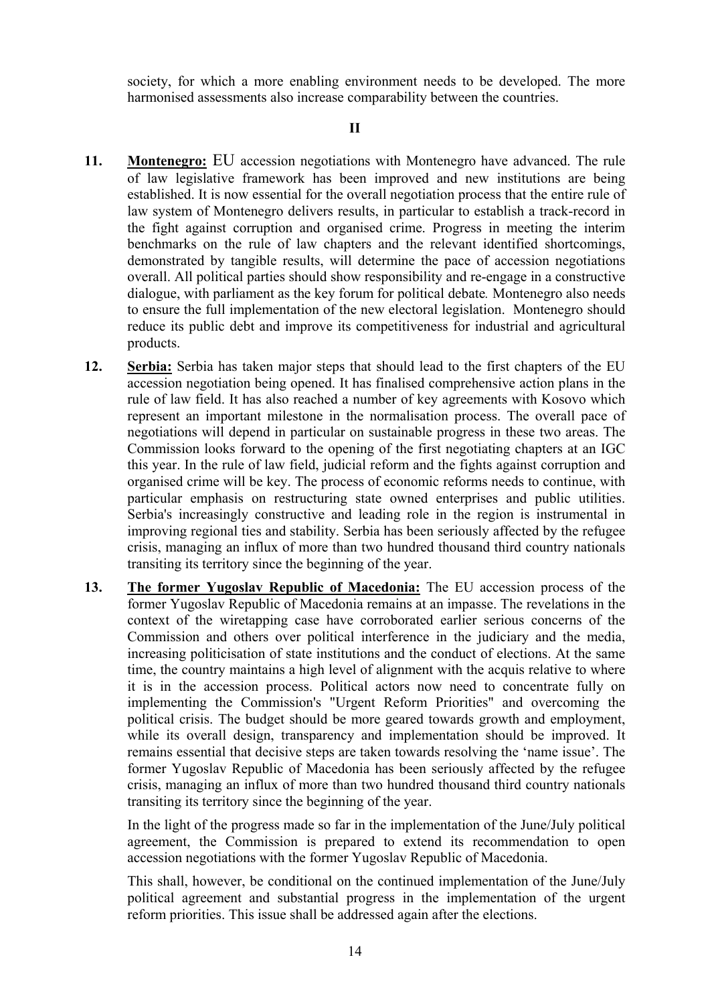society, for which a more enabling environment needs to be developed. The more harmonised assessments also increase comparability between the countries.

- **11. Montenegro:** EU accession negotiations with Montenegro have advanced. The rule of law legislative framework has been improved and new institutions are being established. It is now essential for the overall negotiation process that the entire rule of law system of Montenegro delivers results, in particular to establish a track-record in the fight against corruption and organised crime. Progress in meeting the interim benchmarks on the rule of law chapters and the relevant identified shortcomings, demonstrated by tangible results, will determine the pace of accession negotiations overall. All political parties should show responsibility and re-engage in a constructive dialogue, with parliament as the key forum for political debate*.* Montenegro also needs to ensure the full implementation of the new electoral legislation. Montenegro should reduce its public debt and improve its competitiveness for industrial and agricultural products.
- **12. Serbia:** Serbia has taken major steps that should lead to the first chapters of the EU accession negotiation being opened. It has finalised comprehensive action plans in the rule of law field. It has also reached a number of key agreements with Kosovo which represent an important milestone in the normalisation process. The overall pace of negotiations will depend in particular on sustainable progress in these two areas. The Commission looks forward to the opening of the first negotiating chapters at an IGC this year. In the rule of law field, judicial reform and the fights against corruption and organised crime will be key. The process of economic reforms needs to continue, with particular emphasis on restructuring state owned enterprises and public utilities. Serbia's increasingly constructive and leading role in the region is instrumental in improving regional ties and stability. Serbia has been seriously affected by the refugee crisis, managing an influx of more than two hundred thousand third country nationals transiting its territory since the beginning of the year.
- **13. The former Yugoslav Republic of Macedonia:** The EU accession process of the former Yugoslav Republic of Macedonia remains at an impasse. The revelations in the context of the wiretapping case have corroborated earlier serious concerns of the Commission and others over political interference in the judiciary and the media, increasing politicisation of state institutions and the conduct of elections. At the same time, the country maintains a high level of alignment with the acquis relative to where it is in the accession process. Political actors now need to concentrate fully on implementing the Commission's "Urgent Reform Priorities" and overcoming the political crisis. The budget should be more geared towards growth and employment, while its overall design, transparency and implementation should be improved. It remains essential that decisive steps are taken towards resolving the 'name issue'. The former Yugoslav Republic of Macedonia has been seriously affected by the refugee crisis, managing an influx of more than two hundred thousand third country nationals transiting its territory since the beginning of the year.

In the light of the progress made so far in the implementation of the June/July political agreement, the Commission is prepared to extend its recommendation to open accession negotiations with the former Yugoslav Republic of Macedonia.

This shall, however, be conditional on the continued implementation of the June/July political agreement and substantial progress in the implementation of the urgent reform priorities. This issue shall be addressed again after the elections.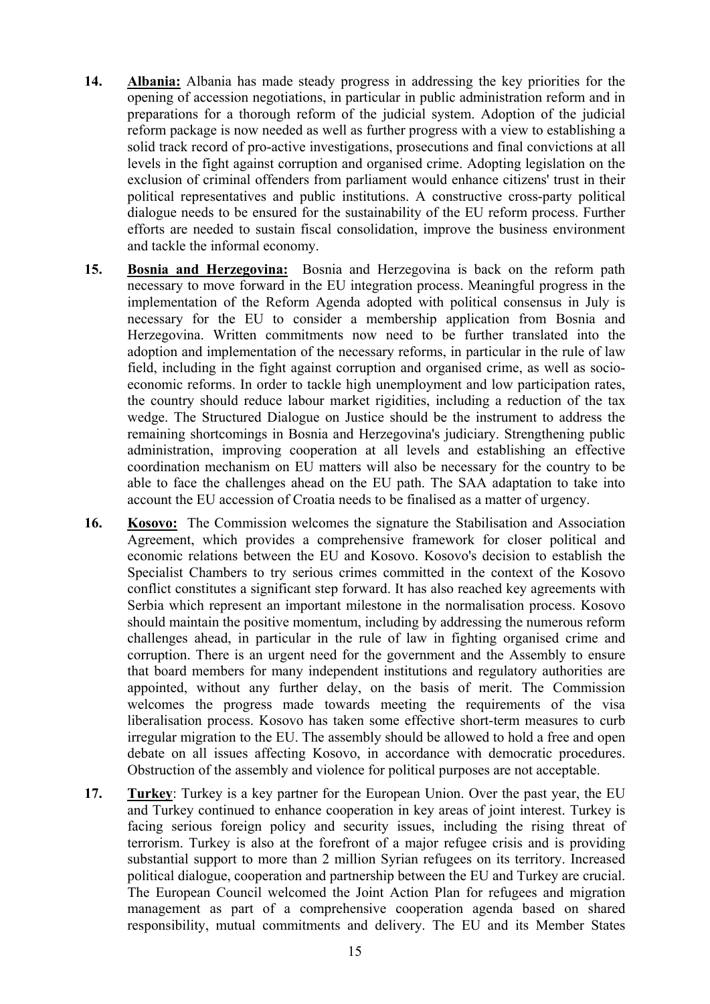- **14. Albania:** Albania has made steady progress in addressing the key priorities for the opening of accession negotiations, in particular in public administration reform and in preparations for a thorough reform of the judicial system. Adoption of the judicial reform package is now needed as well as further progress with a view to establishing a solid track record of pro-active investigations, prosecutions and final convictions at all levels in the fight against corruption and organised crime. Adopting legislation on the exclusion of criminal offenders from parliament would enhance citizens' trust in their political representatives and public institutions. A constructive cross-party political dialogue needs to be ensured for the sustainability of the EU reform process. Further efforts are needed to sustain fiscal consolidation, improve the business environment and tackle the informal economy.
- **15. Bosnia and Herzegovina:** Bosnia and Herzegovina is back on the reform path necessary to move forward in the EU integration process. Meaningful progress in the implementation of the Reform Agenda adopted with political consensus in July is necessary for the EU to consider a membership application from Bosnia and Herzegovina. Written commitments now need to be further translated into the adoption and implementation of the necessary reforms, in particular in the rule of law field, including in the fight against corruption and organised crime, as well as socioeconomic reforms. In order to tackle high unemployment and low participation rates, the country should reduce labour market rigidities, including a reduction of the tax wedge. The Structured Dialogue on Justice should be the instrument to address the remaining shortcomings in Bosnia and Herzegovina's judiciary. Strengthening public administration, improving cooperation at all levels and establishing an effective coordination mechanism on EU matters will also be necessary for the country to be able to face the challenges ahead on the EU path. The SAA adaptation to take into account the EU accession of Croatia needs to be finalised as a matter of urgency.
- **16. Kosovo:** The Commission welcomes the signature the Stabilisation and Association Agreement, which provides a comprehensive framework for closer political and economic relations between the EU and Kosovo. Kosovo's decision to establish the Specialist Chambers to try serious crimes committed in the context of the Kosovo conflict constitutes a significant step forward. It has also reached key agreements with Serbia which represent an important milestone in the normalisation process. Kosovo should maintain the positive momentum, including by addressing the numerous reform challenges ahead, in particular in the rule of law in fighting organised crime and corruption. There is an urgent need for the government and the Assembly to ensure that board members for many independent institutions and regulatory authorities are appointed, without any further delay, on the basis of merit. The Commission welcomes the progress made towards meeting the requirements of the visa liberalisation process. Kosovo has taken some effective short-term measures to curb irregular migration to the EU. The assembly should be allowed to hold a free and open debate on all issues affecting Kosovo, in accordance with democratic procedures. Obstruction of the assembly and violence for political purposes are not acceptable.
- **17. Turkey**: Turkey is a key partner for the European Union. Over the past year, the EU and Turkey continued to enhance cooperation in key areas of joint interest. Turkey is facing serious foreign policy and security issues, including the rising threat of terrorism. Turkey is also at the forefront of a major refugee crisis and is providing substantial support to more than 2 million Syrian refugees on its territory. Increased political dialogue, cooperation and partnership between the EU and Turkey are crucial. The European Council welcomed the Joint Action Plan for refugees and migration management as part of a comprehensive cooperation agenda based on shared responsibility, mutual commitments and delivery. The EU and its Member States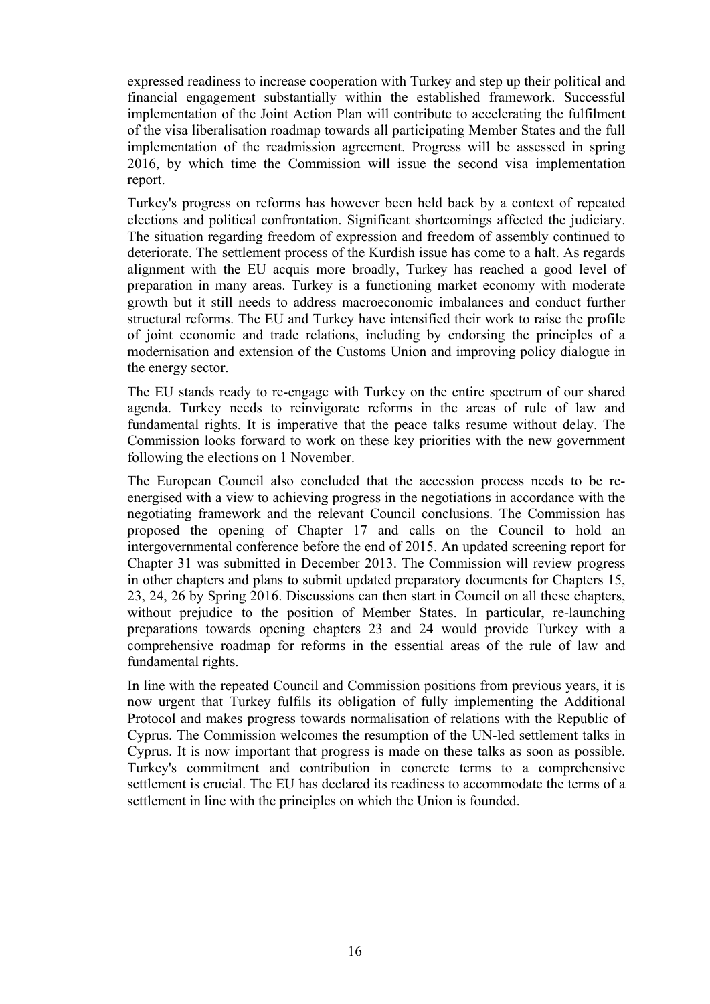expressed readiness to increase cooperation with Turkey and step up their political and financial engagement substantially within the established framework. Successful implementation of the Joint Action Plan will contribute to accelerating the fulfilment of the visa liberalisation roadmap towards all participating Member States and the full implementation of the readmission agreement. Progress will be assessed in spring 2016, by which time the Commission will issue the second visa implementation report.

Turkey's progress on reforms has however been held back by a context of repeated elections and political confrontation. Significant shortcomings affected the judiciary. The situation regarding freedom of expression and freedom of assembly continued to deteriorate. The settlement process of the Kurdish issue has come to a halt. As regards alignment with the EU acquis more broadly, Turkey has reached a good level of preparation in many areas. Turkey is a functioning market economy with moderate growth but it still needs to address macroeconomic imbalances and conduct further structural reforms. The EU and Turkey have intensified their work to raise the profile of joint economic and trade relations, including by endorsing the principles of a modernisation and extension of the Customs Union and improving policy dialogue in the energy sector.

The EU stands ready to re-engage with Turkey on the entire spectrum of our shared agenda. Turkey needs to reinvigorate reforms in the areas of rule of law and fundamental rights. It is imperative that the peace talks resume without delay. The Commission looks forward to work on these key priorities with the new government following the elections on 1 November.

The European Council also concluded that the accession process needs to be reenergised with a view to achieving progress in the negotiations in accordance with the negotiating framework and the relevant Council conclusions. The Commission has proposed the opening of Chapter 17 and calls on the Council to hold an intergovernmental conference before the end of 2015. An updated screening report for Chapter 31 was submitted in December 2013. The Commission will review progress in other chapters and plans to submit updated preparatory documents for Chapters 15, 23, 24, 26 by Spring 2016. Discussions can then start in Council on all these chapters, without prejudice to the position of Member States. In particular, re-launching preparations towards opening chapters 23 and 24 would provide Turkey with a comprehensive roadmap for reforms in the essential areas of the rule of law and fundamental rights.

In line with the repeated Council and Commission positions from previous years, it is now urgent that Turkey fulfils its obligation of fully implementing the Additional Protocol and makes progress towards normalisation of relations with the Republic of Cyprus. The Commission welcomes the resumption of the UN-led settlement talks in Cyprus. It is now important that progress is made on these talks as soon as possible. Turkey's commitment and contribution in concrete terms to a comprehensive settlement is crucial. The EU has declared its readiness to accommodate the terms of a settlement in line with the principles on which the Union is founded.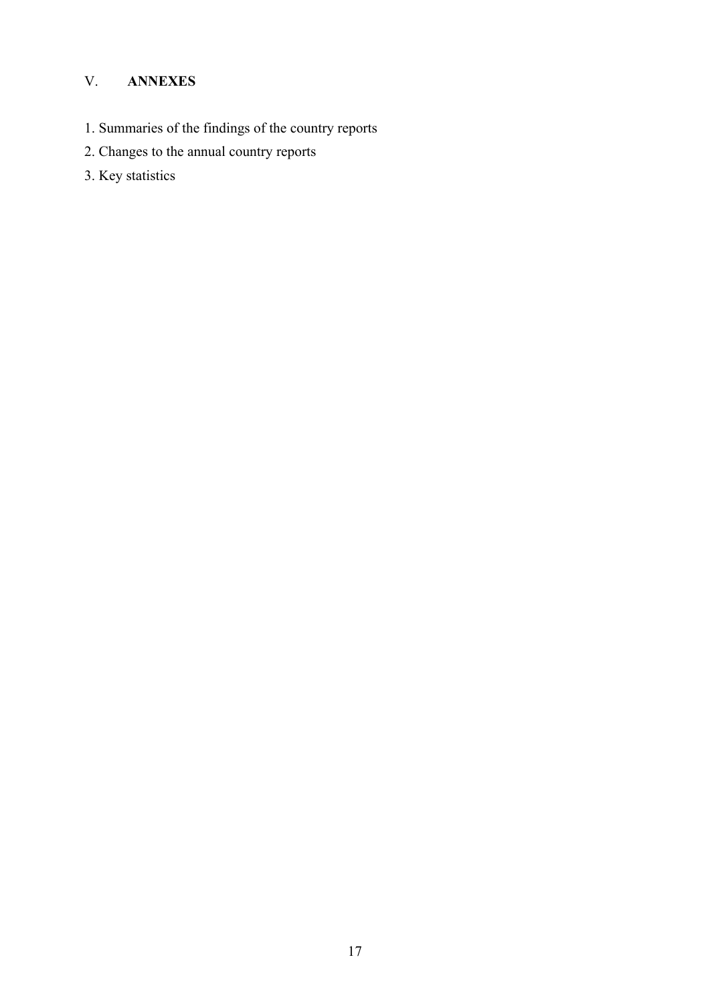# V. **ANNEXES**

- 1. Summaries of the findings of the country reports
- 2. Changes to the annual country reports
- 3. Key statistics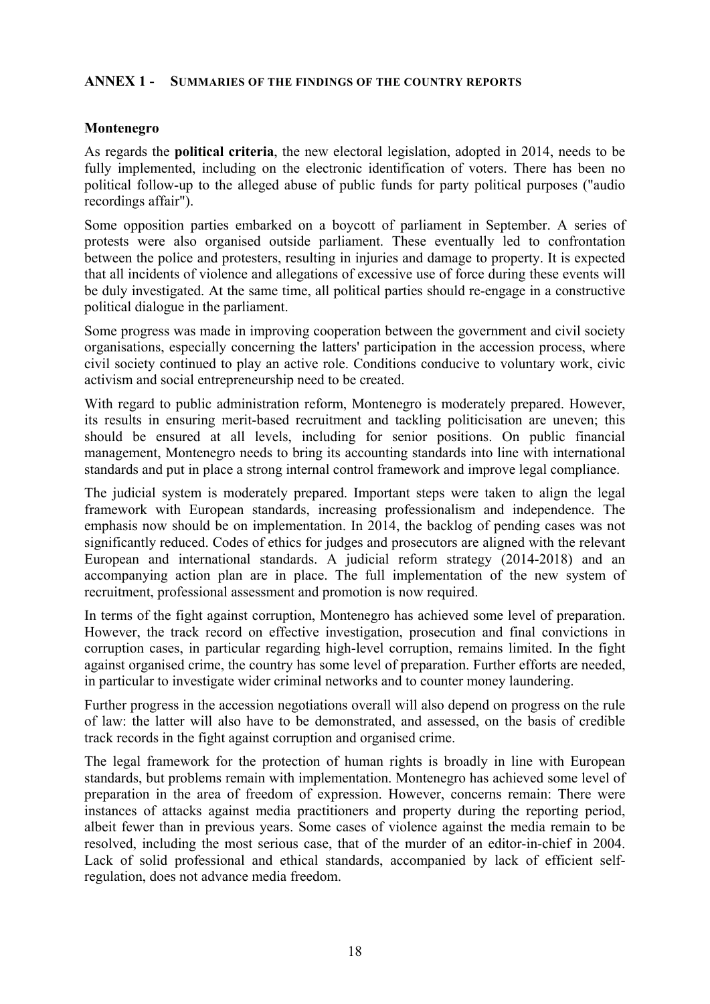### **ANNEX 1 - SUMMARIES OF THE FINDINGS OF THE COUNTRY REPORTS**

### **Montenegro**

As regards the **political criteria**, the new electoral legislation, adopted in 2014, needs to be fully implemented, including on the electronic identification of voters. There has been no political follow-up to the alleged abuse of public funds for party political purposes ("audio recordings affair").

Some opposition parties embarked on a boycott of parliament in September. A series of protests were also organised outside parliament. These eventually led to confrontation between the police and protesters, resulting in injuries and damage to property. It is expected that all incidents of violence and allegations of excessive use of force during these events will be duly investigated. At the same time, all political parties should re-engage in a constructive political dialogue in the parliament.

Some progress was made in improving cooperation between the government and civil society organisations, especially concerning the latters' participation in the accession process, where civil society continued to play an active role. Conditions conducive to voluntary work, civic activism and social entrepreneurship need to be created.

With regard to public administration reform, Montenegro is moderately prepared. However, its results in ensuring merit-based recruitment and tackling politicisation are uneven; this should be ensured at all levels, including for senior positions. On public financial management, Montenegro needs to bring its accounting standards into line with international standards and put in place a strong internal control framework and improve legal compliance.

The judicial system is moderately prepared. Important steps were taken to align the legal framework with European standards, increasing professionalism and independence. The emphasis now should be on implementation. In 2014, the backlog of pending cases was not significantly reduced. Codes of ethics for judges and prosecutors are aligned with the relevant European and international standards. A judicial reform strategy (2014-2018) and an accompanying action plan are in place. The full implementation of the new system of recruitment, professional assessment and promotion is now required.

In terms of the fight against corruption, Montenegro has achieved some level of preparation. However, the track record on effective investigation, prosecution and final convictions in corruption cases, in particular regarding high-level corruption, remains limited. In the fight against organised crime, the country has some level of preparation. Further efforts are needed, in particular to investigate wider criminal networks and to counter money laundering.

Further progress in the accession negotiations overall will also depend on progress on the rule of law: the latter will also have to be demonstrated, and assessed, on the basis of credible track records in the fight against corruption and organised crime.

The legal framework for the protection of human rights is broadly in line with European standards, but problems remain with implementation. Montenegro has achieved some level of preparation in the area of freedom of expression. However, concerns remain: There were instances of attacks against media practitioners and property during the reporting period, albeit fewer than in previous years. Some cases of violence against the media remain to be resolved, including the most serious case, that of the murder of an editor-in-chief in 2004. Lack of solid professional and ethical standards, accompanied by lack of efficient selfregulation, does not advance media freedom.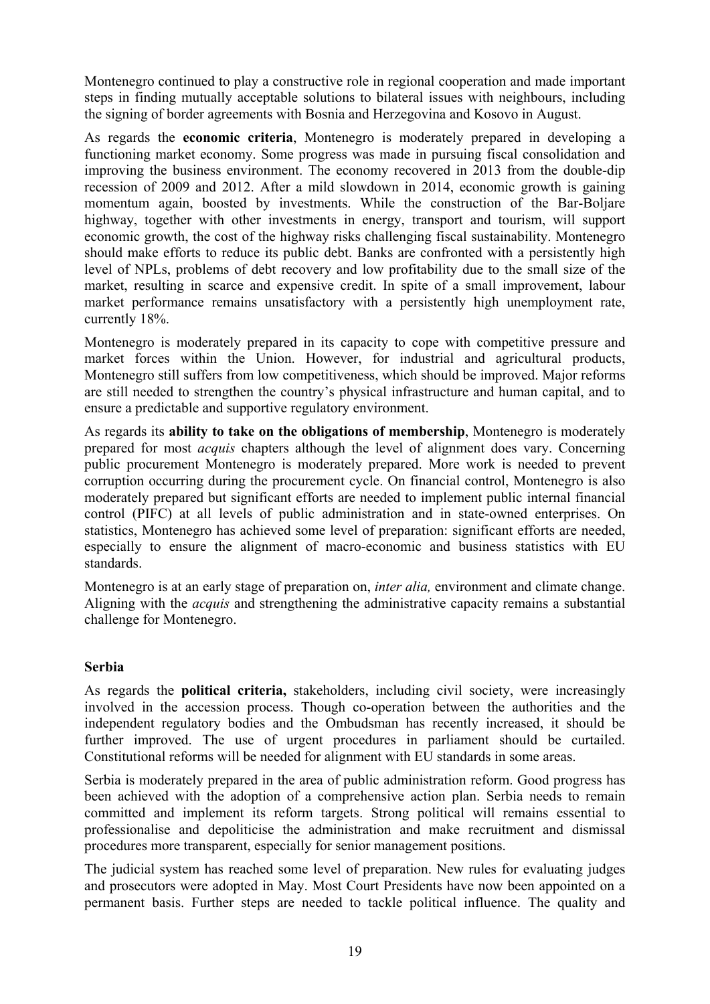Montenegro continued to play a constructive role in regional cooperation and made important steps in finding mutually acceptable solutions to bilateral issues with neighbours, including the signing of border agreements with Bosnia and Herzegovina and Kosovo in August.

As regards the **economic criteria**, Montenegro is moderately prepared in developing a functioning market economy. Some progress was made in pursuing fiscal consolidation and improving the business environment. The economy recovered in 2013 from the double-dip recession of 2009 and 2012. After a mild slowdown in 2014, economic growth is gaining momentum again, boosted by investments. While the construction of the Bar-Boljare highway, together with other investments in energy, transport and tourism, will support economic growth, the cost of the highway risks challenging fiscal sustainability. Montenegro should make efforts to reduce its public debt. Banks are confronted with a persistently high level of NPLs, problems of debt recovery and low profitability due to the small size of the market, resulting in scarce and expensive credit. In spite of a small improvement, labour market performance remains unsatisfactory with a persistently high unemployment rate, currently 18%.

Montenegro is moderately prepared in its capacity to cope with competitive pressure and market forces within the Union. However, for industrial and agricultural products, Montenegro still suffers from low competitiveness, which should be improved. Major reforms are still needed to strengthen the country's physical infrastructure and human capital, and to ensure a predictable and supportive regulatory environment.

As regards its **ability to take on the obligations of membership**, Montenegro is moderately prepared for most *acquis* chapters although the level of alignment does vary. Concerning public procurement Montenegro is moderately prepared. More work is needed to prevent corruption occurring during the procurement cycle. On financial control, Montenegro is also moderately prepared but significant efforts are needed to implement public internal financial control (PIFC) at all levels of public administration and in state-owned enterprises. On statistics, Montenegro has achieved some level of preparation: significant efforts are needed, especially to ensure the alignment of macro-economic and business statistics with EU standards.

Montenegro is at an early stage of preparation on, *inter alia,* environment and climate change. Aligning with the *acquis* and strengthening the administrative capacity remains a substantial challenge for Montenegro.

### **Serbia**

As regards the **political criteria,** stakeholders, including civil society, were increasingly involved in the accession process. Though co-operation between the authorities and the independent regulatory bodies and the Ombudsman has recently increased, it should be further improved. The use of urgent procedures in parliament should be curtailed. Constitutional reforms will be needed for alignment with EU standards in some areas.

Serbia is moderately prepared in the area of public administration reform. Good progress has been achieved with the adoption of a comprehensive action plan. Serbia needs to remain committed and implement its reform targets. Strong political will remains essential to professionalise and depoliticise the administration and make recruitment and dismissal procedures more transparent, especially for senior management positions.

The judicial system has reached some level of preparation. New rules for evaluating judges and prosecutors were adopted in May. Most Court Presidents have now been appointed on a permanent basis. Further steps are needed to tackle political influence. The quality and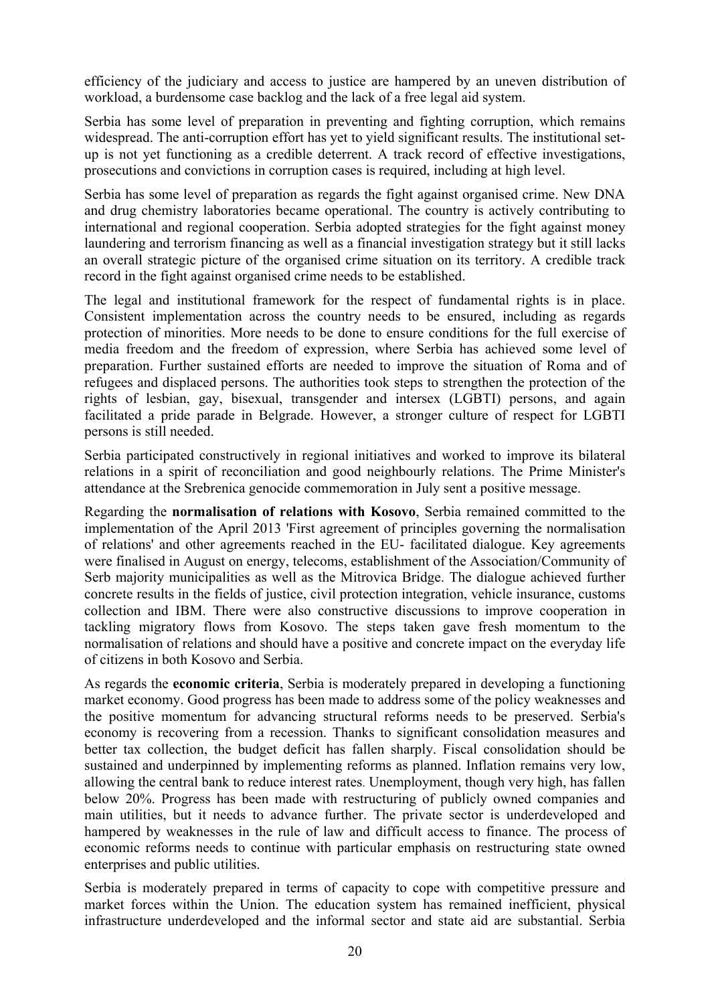efficiency of the judiciary and access to justice are hampered by an uneven distribution of workload, a burdensome case backlog and the lack of a free legal aid system.

Serbia has some level of preparation in preventing and fighting corruption, which remains widespread. The anti-corruption effort has yet to yield significant results. The institutional setup is not yet functioning as a credible deterrent. A track record of effective investigations, prosecutions and convictions in corruption cases is required, including at high level.

Serbia has some level of preparation as regards the fight against organised crime. New DNA and drug chemistry laboratories became operational. The country is actively contributing to international and regional cooperation. Serbia adopted strategies for the fight against money laundering and terrorism financing as well as a financial investigation strategy but it still lacks an overall strategic picture of the organised crime situation on its territory. A credible track record in the fight against organised crime needs to be established.

The legal and institutional framework for the respect of fundamental rights is in place. Consistent implementation across the country needs to be ensured, including as regards protection of minorities. More needs to be done to ensure conditions for the full exercise of media freedom and the freedom of expression, where Serbia has achieved some level of preparation. Further sustained efforts are needed to improve the situation of Roma and of refugees and displaced persons. The authorities took steps to strengthen the protection of the rights of lesbian, gay, bisexual, transgender and intersex (LGBTI) persons, and again facilitated a pride parade in Belgrade. However, a stronger culture of respect for LGBTI persons is still needed.

Serbia participated constructively in regional initiatives and worked to improve its bilateral relations in a spirit of reconciliation and good neighbourly relations. The Prime Minister's attendance at the Srebrenica genocide commemoration in July sent a positive message.

Regarding the **normalisation of relations with Kosovo**, Serbia remained committed to the implementation of the April 2013 'First agreement of principles governing the normalisation of relations' and other agreements reached in the EU- facilitated dialogue. Key agreements were finalised in August on energy, telecoms, establishment of the Association/Community of Serb majority municipalities as well as the Mitrovica Bridge. The dialogue achieved further concrete results in the fields of justice, civil protection integration, vehicle insurance, customs collection and IBM. There were also constructive discussions to improve cooperation in tackling migratory flows from Kosovo. The steps taken gave fresh momentum to the normalisation of relations and should have a positive and concrete impact on the everyday life of citizens in both Kosovo and Serbia.

As regards the **economic criteria**, Serbia is moderately prepared in developing a functioning market economy. Good progress has been made to address some of the policy weaknesses and the positive momentum for advancing structural reforms needs to be preserved. Serbia's economy is recovering from a recession. Thanks to significant consolidation measures and better tax collection, the budget deficit has fallen sharply. Fiscal consolidation should be sustained and underpinned by implementing reforms as planned. Inflation remains very low, allowing the central bank to reduce interest rates. Unemployment, though very high, has fallen below 20%. Progress has been made with restructuring of publicly owned companies and main utilities, but it needs to advance further. The private sector is underdeveloped and hampered by weaknesses in the rule of law and difficult access to finance. The process of economic reforms needs to continue with particular emphasis on restructuring state owned enterprises and public utilities.

Serbia is moderately prepared in terms of capacity to cope with competitive pressure and market forces within the Union. The education system has remained inefficient, physical infrastructure underdeveloped and the informal sector and state aid are substantial. Serbia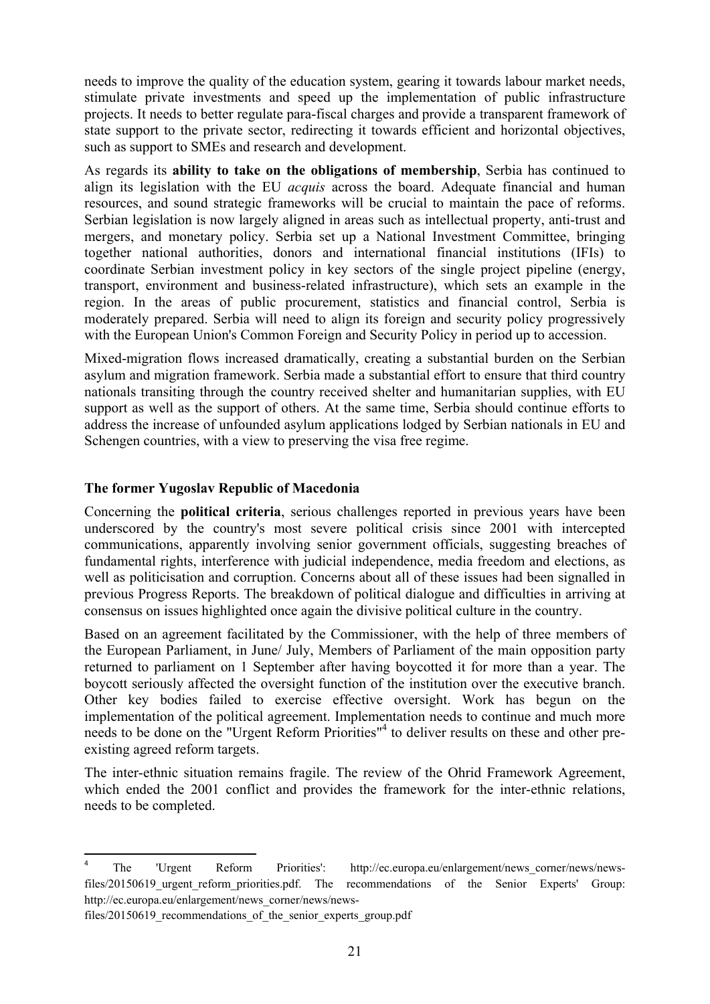needs to improve the quality of the education system, gearing it towards labour market needs, stimulate private investments and speed up the implementation of public infrastructure projects. It needs to better regulate para-fiscal charges and provide a transparent framework of state support to the private sector, redirecting it towards efficient and horizontal objectives, such as support to SMEs and research and development.

As regards its **ability to take on the obligations of membership**, Serbia has continued to align its legislation with the EU *acquis* across the board. Adequate financial and human resources, and sound strategic frameworks will be crucial to maintain the pace of reforms. Serbian legislation is now largely aligned in areas such as intellectual property, anti-trust and mergers, and monetary policy. Serbia set up a National Investment Committee, bringing together national authorities, donors and international financial institutions (IFIs) to coordinate Serbian investment policy in key sectors of the single project pipeline (energy, transport, environment and business-related infrastructure), which sets an example in the region. In the areas of public procurement, statistics and financial control, Serbia is moderately prepared. Serbia will need to align its foreign and security policy progressively with the European Union's Common Foreign and Security Policy in period up to accession.

Mixed-migration flows increased dramatically, creating a substantial burden on the Serbian asylum and migration framework. Serbia made a substantial effort to ensure that third country nationals transiting through the country received shelter and humanitarian supplies, with EU support as well as the support of others. At the same time, Serbia should continue efforts to address the increase of unfounded asylum applications lodged by Serbian nationals in EU and Schengen countries, with a view to preserving the visa free regime.

### **The former Yugoslav Republic of Macedonia**

Concerning the **political criteria**, serious challenges reported in previous years have been underscored by the country's most severe political crisis since 2001 with intercepted communications, apparently involving senior government officials, suggesting breaches of fundamental rights, interference with judicial independence, media freedom and elections, as well as politicisation and corruption. Concerns about all of these issues had been signalled in previous Progress Reports. The breakdown of political dialogue and difficulties in arriving at consensus on issues highlighted once again the divisive political culture in the country.

Based on an agreement facilitated by the Commissioner, with the help of three members of the European Parliament, in June/ July, Members of Parliament of the main opposition party returned to parliament on 1 September after having boycotted it for more than a year. The boycott seriously affected the oversight function of the institution over the executive branch. Other key bodies failed to exercise effective oversight. Work has begun on the implementation of the political agreement. Implementation needs to continue and much more needs to be done on the "Urgent Reform Priorities"<sup>4</sup> to deliver results on these and other preexisting agreed reform targets.

The inter-ethnic situation remains fragile. The review of the Ohrid Framework Agreement, which ended the 2001 conflict and provides the framework for the inter-ethnic relations, needs to be completed.

**.** 

<sup>4</sup> The 'Urgent Reform Priorities': http://ec.europa.eu/enlargement/news\_corner/news/newsfiles/20150619 urgent reform priorities.pdf. The recommendations of the Senior Experts' Group: http://ec.europa.eu/enlargement/news\_corner/news/news-

files/20150619\_recommendations\_of\_the\_senior\_experts\_group.pdf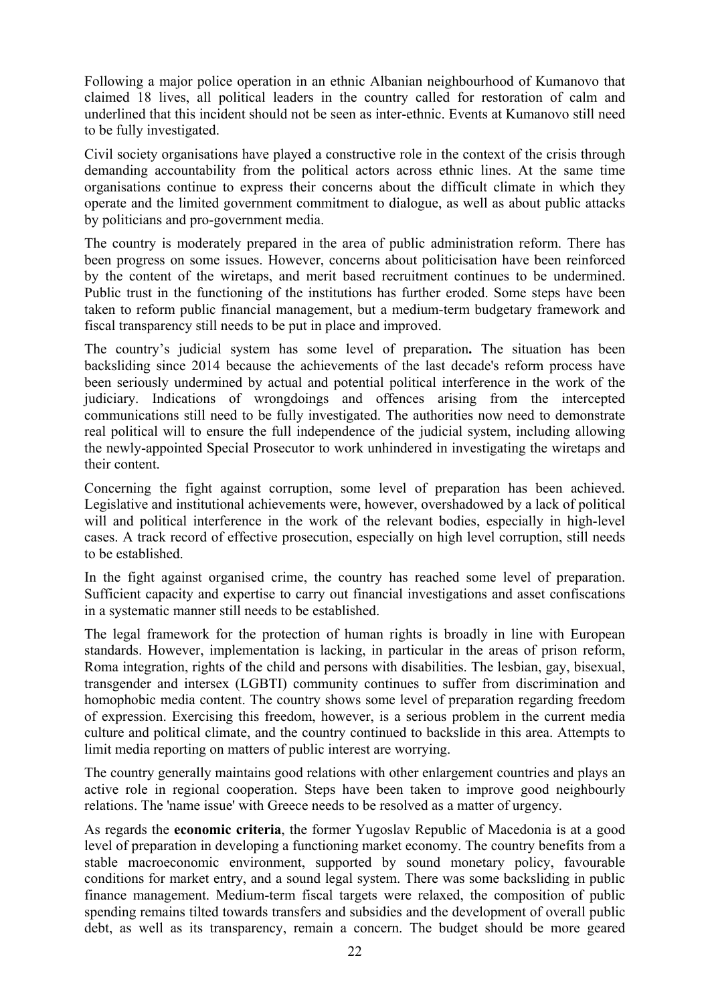Following a major police operation in an ethnic Albanian neighbourhood of Kumanovo that claimed 18 lives, all political leaders in the country called for restoration of calm and underlined that this incident should not be seen as inter-ethnic. Events at Kumanovo still need to be fully investigated.

Civil society organisations have played a constructive role in the context of the crisis through demanding accountability from the political actors across ethnic lines. At the same time organisations continue to express their concerns about the difficult climate in which they operate and the limited government commitment to dialogue, as well as about public attacks by politicians and pro-government media.

The country is moderately prepared in the area of public administration reform. There has been progress on some issues. However, concerns about politicisation have been reinforced by the content of the wiretaps, and merit based recruitment continues to be undermined. Public trust in the functioning of the institutions has further eroded. Some steps have been taken to reform public financial management, but a medium-term budgetary framework and fiscal transparency still needs to be put in place and improved.

The country's judicial system has some level of preparation**.** The situation has been backsliding since 2014 because the achievements of the last decade's reform process have been seriously undermined by actual and potential political interference in the work of the judiciary. Indications of wrongdoings and offences arising from the intercepted communications still need to be fully investigated. The authorities now need to demonstrate real political will to ensure the full independence of the judicial system, including allowing the newly-appointed Special Prosecutor to work unhindered in investigating the wiretaps and their content.

Concerning the fight against corruption, some level of preparation has been achieved. Legislative and institutional achievements were, however, overshadowed by a lack of political will and political interference in the work of the relevant bodies, especially in high-level cases. A track record of effective prosecution, especially on high level corruption, still needs to be established.

In the fight against organised crime, the country has reached some level of preparation. Sufficient capacity and expertise to carry out financial investigations and asset confiscations in a systematic manner still needs to be established.

The legal framework for the protection of human rights is broadly in line with European standards. However, implementation is lacking, in particular in the areas of prison reform, Roma integration, rights of the child and persons with disabilities. The lesbian, gay, bisexual, transgender and intersex (LGBTI) community continues to suffer from discrimination and homophobic media content. The country shows some level of preparation regarding freedom of expression. Exercising this freedom, however, is a serious problem in the current media culture and political climate, and the country continued to backslide in this area. Attempts to limit media reporting on matters of public interest are worrying.

The country generally maintains good relations with other enlargement countries and plays an active role in regional cooperation. Steps have been taken to improve good neighbourly relations. The 'name issue' with Greece needs to be resolved as a matter of urgency.

As regards the **economic criteria**, the former Yugoslav Republic of Macedonia is at a good level of preparation in developing a functioning market economy. The country benefits from a stable macroeconomic environment, supported by sound monetary policy, favourable conditions for market entry, and a sound legal system. There was some backsliding in public finance management. Medium-term fiscal targets were relaxed, the composition of public spending remains tilted towards transfers and subsidies and the development of overall public debt, as well as its transparency, remain a concern. The budget should be more geared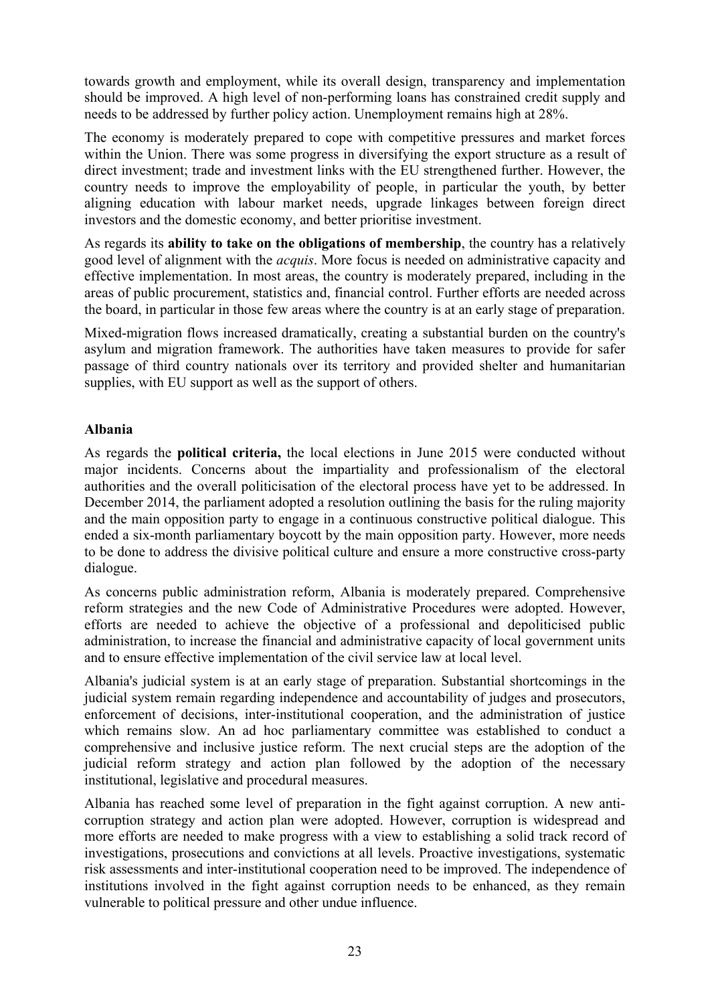towards growth and employment, while its overall design, transparency and implementation should be improved. A high level of non-performing loans has constrained credit supply and needs to be addressed by further policy action. Unemployment remains high at 28%.

The economy is moderately prepared to cope with competitive pressures and market forces within the Union. There was some progress in diversifying the export structure as a result of direct investment; trade and investment links with the EU strengthened further. However, the country needs to improve the employability of people, in particular the youth, by better aligning education with labour market needs, upgrade linkages between foreign direct investors and the domestic economy, and better prioritise investment.

As regards its **ability to take on the obligations of membership**, the country has a relatively good level of alignment with the *acquis*. More focus is needed on administrative capacity and effective implementation. In most areas, the country is moderately prepared, including in the areas of public procurement, statistics and, financial control. Further efforts are needed across the board, in particular in those few areas where the country is at an early stage of preparation.

Mixed-migration flows increased dramatically, creating a substantial burden on the country's asylum and migration framework. The authorities have taken measures to provide for safer passage of third country nationals over its territory and provided shelter and humanitarian supplies, with EU support as well as the support of others.

### **Albania**

As regards the **political criteria,** the local elections in June 2015 were conducted without major incidents. Concerns about the impartiality and professionalism of the electoral authorities and the overall politicisation of the electoral process have yet to be addressed. In December 2014, the parliament adopted a resolution outlining the basis for the ruling majority and the main opposition party to engage in a continuous constructive political dialogue. This ended a six-month parliamentary boycott by the main opposition party. However, more needs to be done to address the divisive political culture and ensure a more constructive cross-party dialogue.

As concerns public administration reform, Albania is moderately prepared. Comprehensive reform strategies and the new Code of Administrative Procedures were adopted. However, efforts are needed to achieve the objective of a professional and depoliticised public administration, to increase the financial and administrative capacity of local government units and to ensure effective implementation of the civil service law at local level.

Albania's judicial system is at an early stage of preparation. Substantial shortcomings in the judicial system remain regarding independence and accountability of judges and prosecutors, enforcement of decisions, inter-institutional cooperation, and the administration of justice which remains slow. An ad hoc parliamentary committee was established to conduct a comprehensive and inclusive justice reform. The next crucial steps are the adoption of the judicial reform strategy and action plan followed by the adoption of the necessary institutional, legislative and procedural measures.

Albania has reached some level of preparation in the fight against corruption. A new anticorruption strategy and action plan were adopted. However, corruption is widespread and more efforts are needed to make progress with a view to establishing a solid track record of investigations, prosecutions and convictions at all levels. Proactive investigations, systematic risk assessments and inter-institutional cooperation need to be improved. The independence of institutions involved in the fight against corruption needs to be enhanced, as they remain vulnerable to political pressure and other undue influence.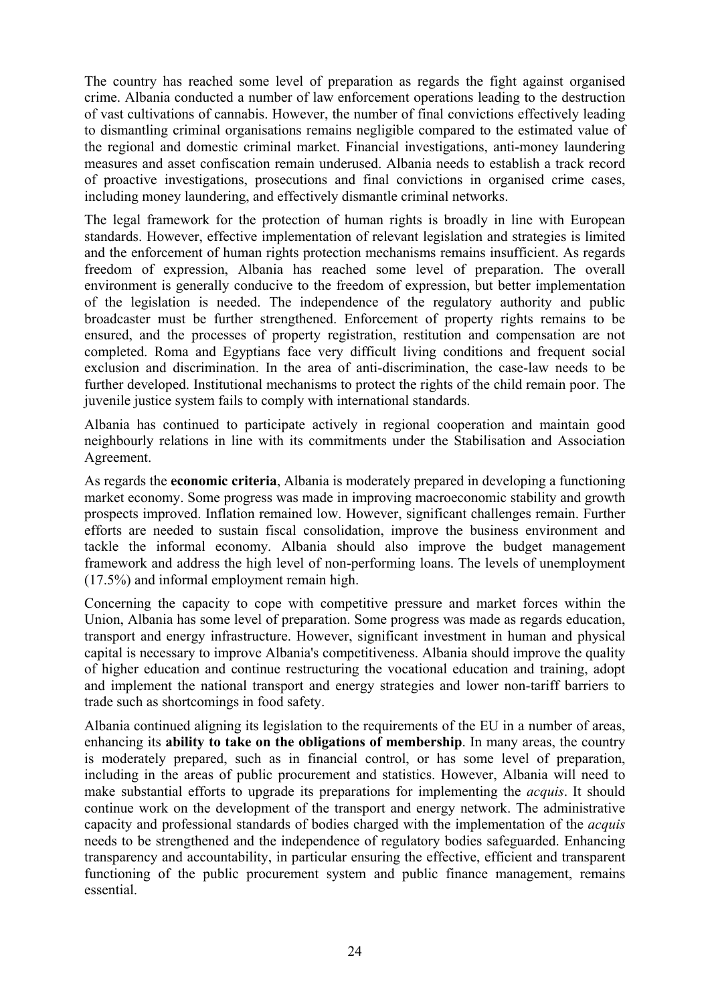The country has reached some level of preparation as regards the fight against organised crime. Albania conducted a number of law enforcement operations leading to the destruction of vast cultivations of cannabis. However, the number of final convictions effectively leading to dismantling criminal organisations remains negligible compared to the estimated value of the regional and domestic criminal market. Financial investigations, anti-money laundering measures and asset confiscation remain underused. Albania needs to establish a track record of proactive investigations, prosecutions and final convictions in organised crime cases, including money laundering, and effectively dismantle criminal networks.

The legal framework for the protection of human rights is broadly in line with European standards. However, effective implementation of relevant legislation and strategies is limited and the enforcement of human rights protection mechanisms remains insufficient. As regards freedom of expression, Albania has reached some level of preparation. The overall environment is generally conducive to the freedom of expression, but better implementation of the legislation is needed. The independence of the regulatory authority and public broadcaster must be further strengthened. Enforcement of property rights remains to be ensured, and the processes of property registration, restitution and compensation are not completed. Roma and Egyptians face very difficult living conditions and frequent social exclusion and discrimination. In the area of anti-discrimination, the case-law needs to be further developed. Institutional mechanisms to protect the rights of the child remain poor. The juvenile justice system fails to comply with international standards.

Albania has continued to participate actively in regional cooperation and maintain good neighbourly relations in line with its commitments under the Stabilisation and Association Agreement.

As regards the **economic criteria**, Albania is moderately prepared in developing a functioning market economy. Some progress was made in improving macroeconomic stability and growth prospects improved. Inflation remained low. However, significant challenges remain. Further efforts are needed to sustain fiscal consolidation, improve the business environment and tackle the informal economy. Albania should also improve the budget management framework and address the high level of non-performing loans. The levels of unemployment (17.5%) and informal employment remain high.

Concerning the capacity to cope with competitive pressure and market forces within the Union, Albania has some level of preparation. Some progress was made as regards education, transport and energy infrastructure. However, significant investment in human and physical capital is necessary to improve Albania's competitiveness. Albania should improve the quality of higher education and continue restructuring the vocational education and training, adopt and implement the national transport and energy strategies and lower non-tariff barriers to trade such as shortcomings in food safety.

Albania continued aligning its legislation to the requirements of the EU in a number of areas, enhancing its **ability to take on the obligations of membership**. In many areas, the country is moderately prepared, such as in financial control, or has some level of preparation, including in the areas of public procurement and statistics. However, Albania will need to make substantial efforts to upgrade its preparations for implementing the *acquis*. It should continue work on the development of the transport and energy network. The administrative capacity and professional standards of bodies charged with the implementation of the *acquis* needs to be strengthened and the independence of regulatory bodies safeguarded. Enhancing transparency and accountability, in particular ensuring the effective, efficient and transparent functioning of the public procurement system and public finance management, remains essential.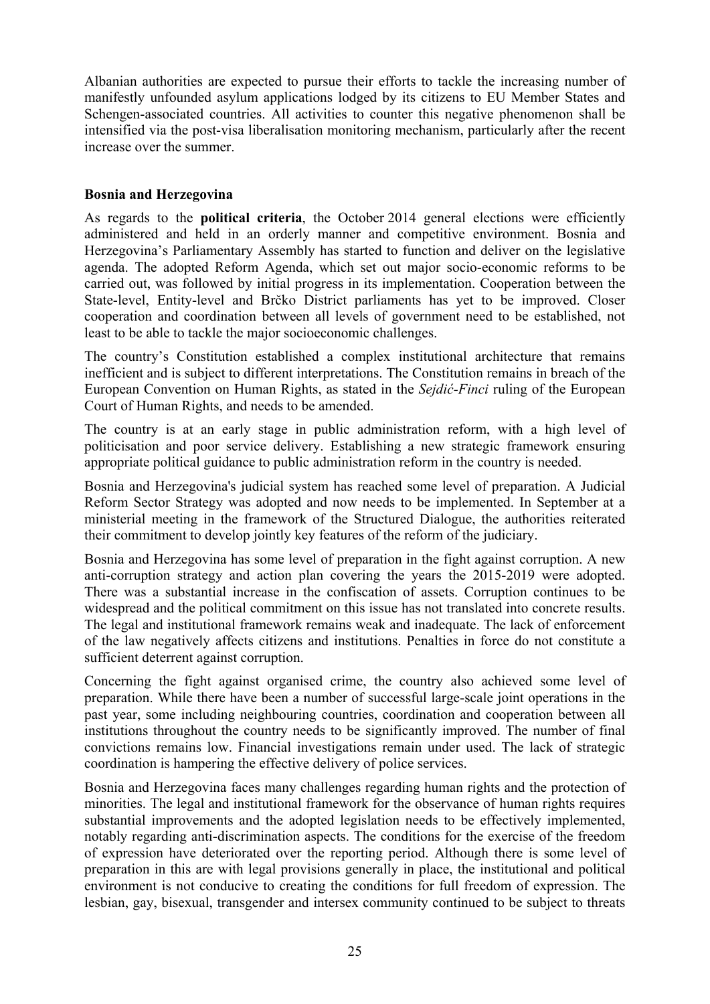Albanian authorities are expected to pursue their efforts to tackle the increasing number of manifestly unfounded asylum applications lodged by its citizens to EU Member States and Schengen-associated countries. All activities to counter this negative phenomenon shall be intensified via the post-visa liberalisation monitoring mechanism, particularly after the recent increase over the summer.

### **Bosnia and Herzegovina**

As regards to the **political criteria**, the October 2014 general elections were efficiently administered and held in an orderly manner and competitive environment. Bosnia and Herzegovina's Parliamentary Assembly has started to function and deliver on the legislative agenda. The adopted Reform Agenda, which set out major socio-economic reforms to be carried out, was followed by initial progress in its implementation. Cooperation between the State-level, Entity-level and Brčko District parliaments has yet to be improved. Closer cooperation and coordination between all levels of government need to be established, not least to be able to tackle the major socioeconomic challenges.

The country's Constitution established a complex institutional architecture that remains inefficient and is subject to different interpretations. The Constitution remains in breach of the European Convention on Human Rights, as stated in the *Sejdić-Finci* ruling of the European Court of Human Rights, and needs to be amended.

The country is at an early stage in public administration reform, with a high level of politicisation and poor service delivery. Establishing a new strategic framework ensuring appropriate political guidance to public administration reform in the country is needed.

Bosnia and Herzegovina's judicial system has reached some level of preparation. A Judicial Reform Sector Strategy was adopted and now needs to be implemented. In September at a ministerial meeting in the framework of the Structured Dialogue, the authorities reiterated their commitment to develop jointly key features of the reform of the judiciary.

Bosnia and Herzegovina has some level of preparation in the fight against corruption. A new anti-corruption strategy and action plan covering the years the 2015-2019 were adopted. There was a substantial increase in the confiscation of assets. Corruption continues to be widespread and the political commitment on this issue has not translated into concrete results. The legal and institutional framework remains weak and inadequate. The lack of enforcement of the law negatively affects citizens and institutions. Penalties in force do not constitute a sufficient deterrent against corruption.

Concerning the fight against organised crime, the country also achieved some level of preparation. While there have been a number of successful large-scale joint operations in the past year, some including neighbouring countries, coordination and cooperation between all institutions throughout the country needs to be significantly improved. The number of final convictions remains low. Financial investigations remain under used. The lack of strategic coordination is hampering the effective delivery of police services.

Bosnia and Herzegovina faces many challenges regarding human rights and the protection of minorities. The legal and institutional framework for the observance of human rights requires substantial improvements and the adopted legislation needs to be effectively implemented, notably regarding anti-discrimination aspects. The conditions for the exercise of the freedom of expression have deteriorated over the reporting period. Although there is some level of preparation in this are with legal provisions generally in place, the institutional and political environment is not conducive to creating the conditions for full freedom of expression. The lesbian, gay, bisexual, transgender and intersex community continued to be subject to threats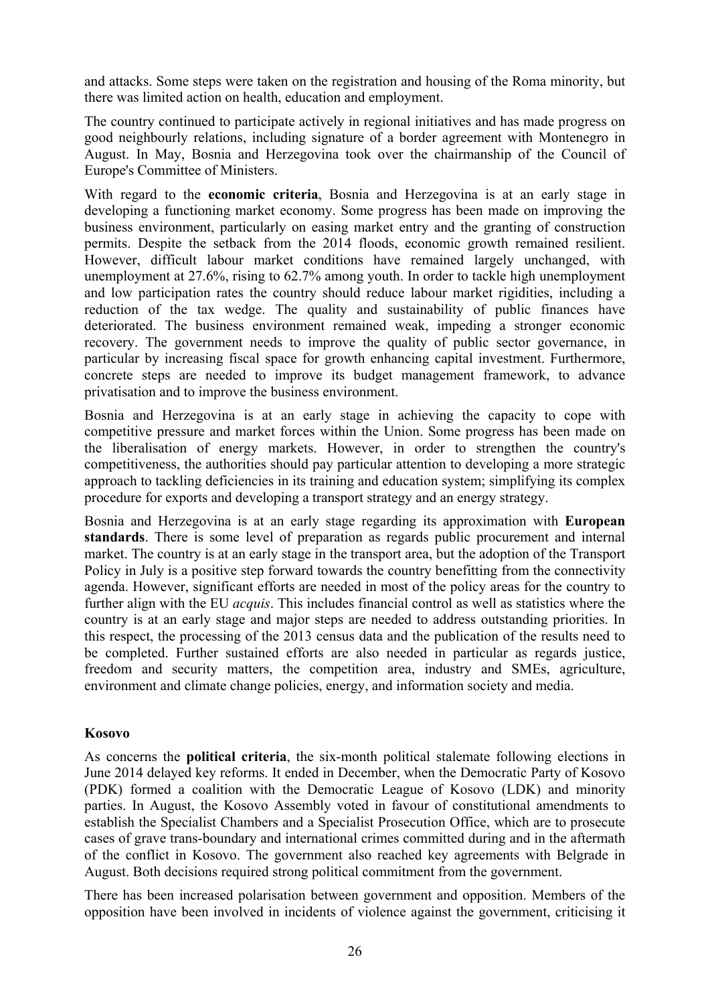and attacks. Some steps were taken on the registration and housing of the Roma minority, but there was limited action on health, education and employment.

The country continued to participate actively in regional initiatives and has made progress on good neighbourly relations, including signature of a border agreement with Montenegro in August. In May, Bosnia and Herzegovina took over the chairmanship of the Council of Europe's Committee of Ministers.

With regard to the **economic criteria**, Bosnia and Herzegovina is at an early stage in developing a functioning market economy. Some progress has been made on improving the business environment, particularly on easing market entry and the granting of construction permits. Despite the setback from the 2014 floods, economic growth remained resilient. However, difficult labour market conditions have remained largely unchanged, with unemployment at 27.6%, rising to 62.7% among youth. In order to tackle high unemployment and low participation rates the country should reduce labour market rigidities, including a reduction of the tax wedge. The quality and sustainability of public finances have deteriorated. The business environment remained weak, impeding a stronger economic recovery. The government needs to improve the quality of public sector governance, in particular by increasing fiscal space for growth enhancing capital investment. Furthermore, concrete steps are needed to improve its budget management framework, to advance privatisation and to improve the business environment.

Bosnia and Herzegovina is at an early stage in achieving the capacity to cope with competitive pressure and market forces within the Union. Some progress has been made on the liberalisation of energy markets. However, in order to strengthen the country's competitiveness, the authorities should pay particular attention to developing a more strategic approach to tackling deficiencies in its training and education system; simplifying its complex procedure for exports and developing a transport strategy and an energy strategy.

Bosnia and Herzegovina is at an early stage regarding its approximation with **European standards**. There is some level of preparation as regards public procurement and internal market. The country is at an early stage in the transport area, but the adoption of the Transport Policy in July is a positive step forward towards the country benefitting from the connectivity agenda. However, significant efforts are needed in most of the policy areas for the country to further align with the EU *acquis*. This includes financial control as well as statistics where the country is at an early stage and major steps are needed to address outstanding priorities. In this respect, the processing of the 2013 census data and the publication of the results need to be completed. Further sustained efforts are also needed in particular as regards justice, freedom and security matters, the competition area, industry and SMEs, agriculture, environment and climate change policies, energy, and information society and media.

### **Kosovo**

As concerns the **political criteria**, the six-month political stalemate following elections in June 2014 delayed key reforms. It ended in December, when the Democratic Party of Kosovo (PDK) formed a coalition with the Democratic League of Kosovo (LDK) and minority parties. In August, the Kosovo Assembly voted in favour of constitutional amendments to establish the Specialist Chambers and a Specialist Prosecution Office, which are to prosecute cases of grave trans-boundary and international crimes committed during and in the aftermath of the conflict in Kosovo. The government also reached key agreements with Belgrade in August. Both decisions required strong political commitment from the government.

There has been increased polarisation between government and opposition. Members of the opposition have been involved in incidents of violence against the government, criticising it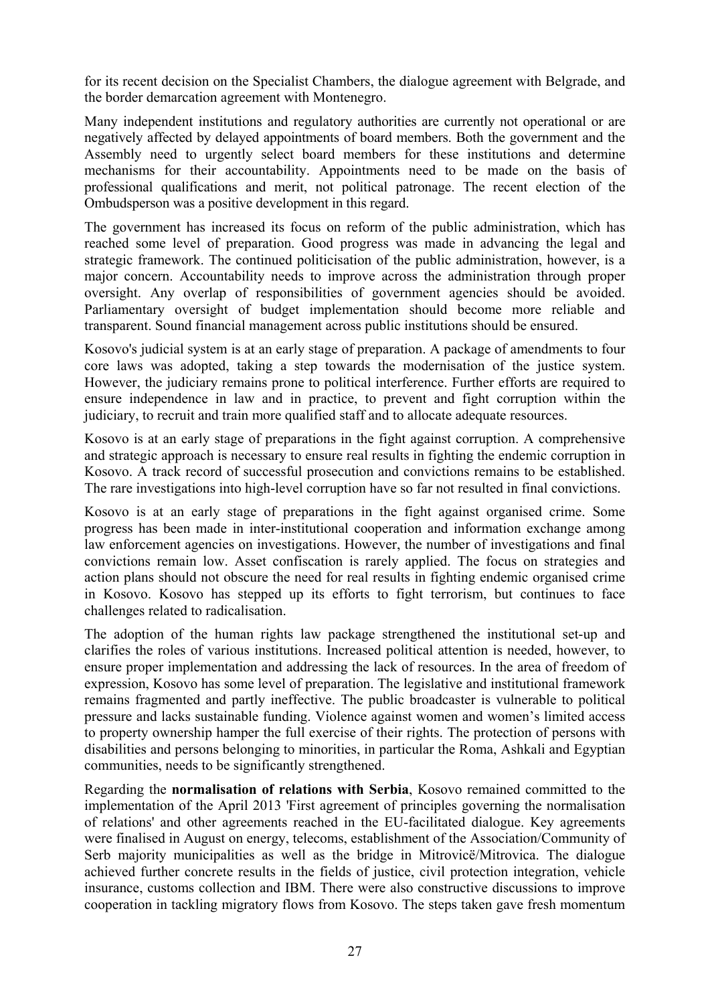for its recent decision on the Specialist Chambers, the dialogue agreement with Belgrade, and the border demarcation agreement with Montenegro.

Many independent institutions and regulatory authorities are currently not operational or are negatively affected by delayed appointments of board members. Both the government and the Assembly need to urgently select board members for these institutions and determine mechanisms for their accountability. Appointments need to be made on the basis of professional qualifications and merit, not political patronage. The recent election of the Ombudsperson was a positive development in this regard.

The government has increased its focus on reform of the public administration, which has reached some level of preparation. Good progress was made in advancing the legal and strategic framework. The continued politicisation of the public administration, however, is a major concern. Accountability needs to improve across the administration through proper oversight. Any overlap of responsibilities of government agencies should be avoided. Parliamentary oversight of budget implementation should become more reliable and transparent. Sound financial management across public institutions should be ensured.

Kosovo's judicial system is at an early stage of preparation. A package of amendments to four core laws was adopted, taking a step towards the modernisation of the justice system. However, the judiciary remains prone to political interference. Further efforts are required to ensure independence in law and in practice, to prevent and fight corruption within the judiciary, to recruit and train more qualified staff and to allocate adequate resources.

Kosovo is at an early stage of preparations in the fight against corruption. A comprehensive and strategic approach is necessary to ensure real results in fighting the endemic corruption in Kosovo. A track record of successful prosecution and convictions remains to be established. The rare investigations into high-level corruption have so far not resulted in final convictions.

Kosovo is at an early stage of preparations in the fight against organised crime. Some progress has been made in inter-institutional cooperation and information exchange among law enforcement agencies on investigations. However, the number of investigations and final convictions remain low. Asset confiscation is rarely applied. The focus on strategies and action plans should not obscure the need for real results in fighting endemic organised crime in Kosovo. Kosovo has stepped up its efforts to fight terrorism, but continues to face challenges related to radicalisation.

The adoption of the human rights law package strengthened the institutional set-up and clarifies the roles of various institutions. Increased political attention is needed, however, to ensure proper implementation and addressing the lack of resources. In the area of freedom of expression, Kosovo has some level of preparation. The legislative and institutional framework remains fragmented and partly ineffective. The public broadcaster is vulnerable to political pressure and lacks sustainable funding. Violence against women and women's limited access to property ownership hamper the full exercise of their rights. The protection of persons with disabilities and persons belonging to minorities, in particular the Roma, Ashkali and Egyptian communities, needs to be significantly strengthened.

Regarding the **normalisation of relations with Serbia**, Kosovo remained committed to the implementation of the April 2013 'First agreement of principles governing the normalisation of relations' and other agreements reached in the EU-facilitated dialogue. Key agreements were finalised in August on energy, telecoms, establishment of the Association/Community of Serb majority municipalities as well as the bridge in Mitrovicë/Mitrovica. The dialogue achieved further concrete results in the fields of justice, civil protection integration, vehicle insurance, customs collection and IBM. There were also constructive discussions to improve cooperation in tackling migratory flows from Kosovo. The steps taken gave fresh momentum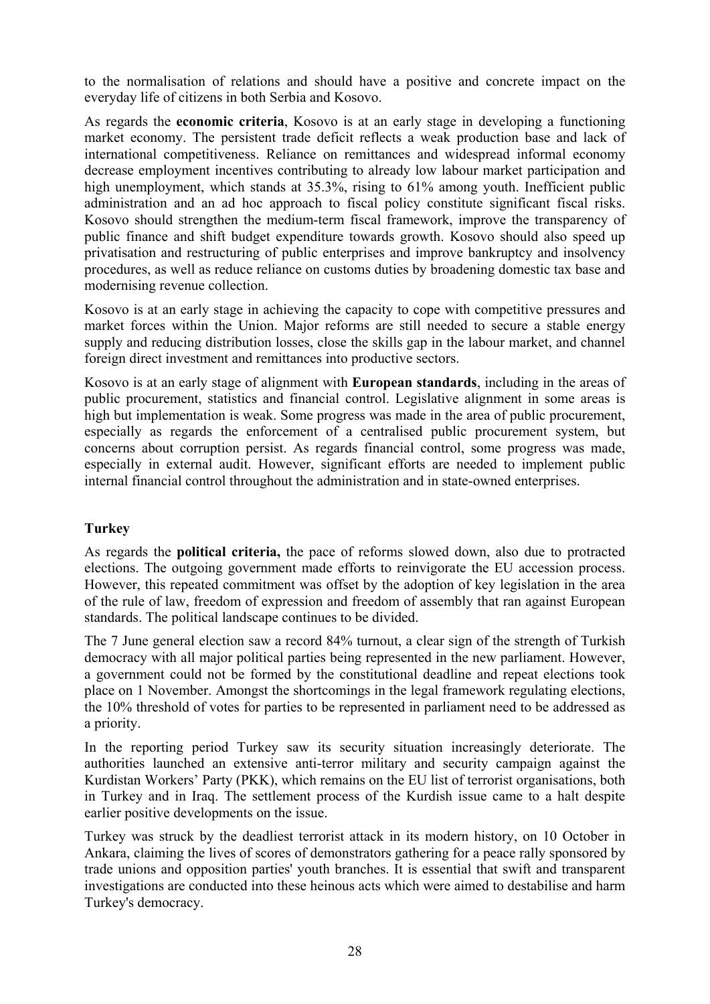to the normalisation of relations and should have a positive and concrete impact on the everyday life of citizens in both Serbia and Kosovo.

As regards the **economic criteria**, Kosovo is at an early stage in developing a functioning market economy. The persistent trade deficit reflects a weak production base and lack of international competitiveness. Reliance on remittances and widespread informal economy decrease employment incentives contributing to already low labour market participation and high unemployment, which stands at 35.3%, rising to 61% among youth. Inefficient public administration and an ad hoc approach to fiscal policy constitute significant fiscal risks. Kosovo should strengthen the medium-term fiscal framework, improve the transparency of public finance and shift budget expenditure towards growth. Kosovo should also speed up privatisation and restructuring of public enterprises and improve bankruptcy and insolvency procedures, as well as reduce reliance on customs duties by broadening domestic tax base and modernising revenue collection.

Kosovo is at an early stage in achieving the capacity to cope with competitive pressures and market forces within the Union. Major reforms are still needed to secure a stable energy supply and reducing distribution losses, close the skills gap in the labour market, and channel foreign direct investment and remittances into productive sectors.

Kosovo is at an early stage of alignment with **European standards**, including in the areas of public procurement, statistics and financial control. Legislative alignment in some areas is high but implementation is weak. Some progress was made in the area of public procurement, especially as regards the enforcement of a centralised public procurement system, but concerns about corruption persist. As regards financial control, some progress was made, especially in external audit. However, significant efforts are needed to implement public internal financial control throughout the administration and in state-owned enterprises.

## **Turkey**

As regards the **political criteria,** the pace of reforms slowed down, also due to protracted elections. The outgoing government made efforts to reinvigorate the EU accession process. However, this repeated commitment was offset by the adoption of key legislation in the area of the rule of law, freedom of expression and freedom of assembly that ran against European standards. The political landscape continues to be divided.

The 7 June general election saw a record 84% turnout, a clear sign of the strength of Turkish democracy with all major political parties being represented in the new parliament. However, a government could not be formed by the constitutional deadline and repeat elections took place on 1 November. Amongst the shortcomings in the legal framework regulating elections, the 10% threshold of votes for parties to be represented in parliament need to be addressed as a priority.

In the reporting period Turkey saw its security situation increasingly deteriorate. The authorities launched an extensive anti-terror military and security campaign against the Kurdistan Workers' Party (PKK), which remains on the EU list of terrorist organisations, both in Turkey and in Iraq. The settlement process of the Kurdish issue came to a halt despite earlier positive developments on the issue.

Turkey was struck by the deadliest terrorist attack in its modern history, on 10 October in Ankara, claiming the lives of scores of demonstrators gathering for a peace rally sponsored by trade unions and opposition parties' youth branches. It is essential that swift and transparent investigations are conducted into these heinous acts which were aimed to destabilise and harm Turkey's democracy.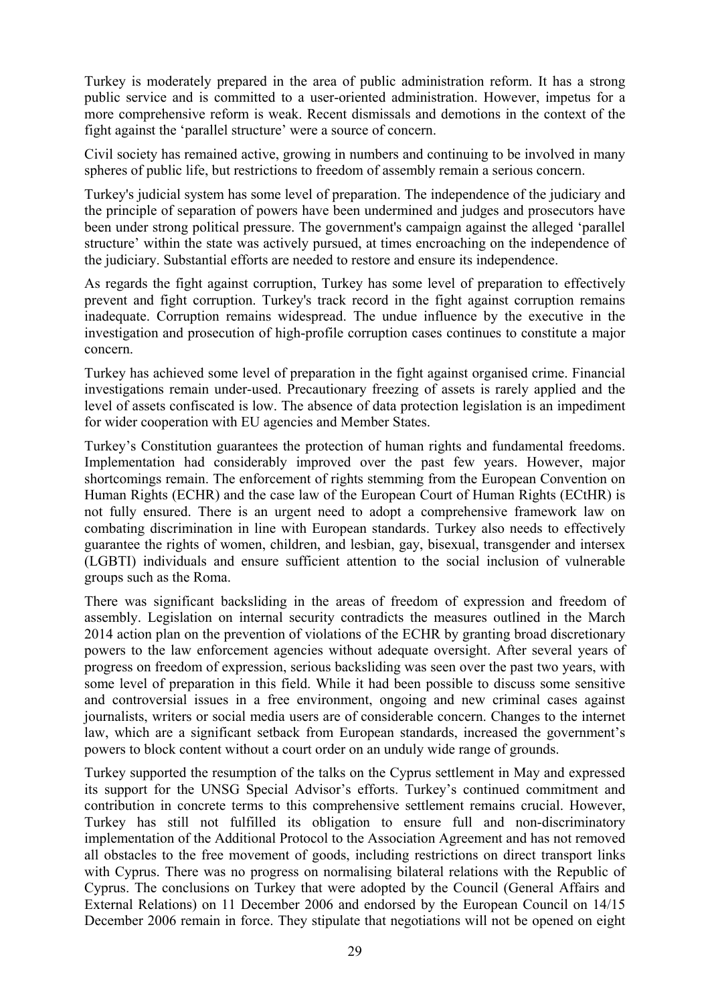Turkey is moderately prepared in the area of public administration reform. It has a strong public service and is committed to a user-oriented administration. However, impetus for a more comprehensive reform is weak. Recent dismissals and demotions in the context of the fight against the 'parallel structure' were a source of concern.

Civil society has remained active, growing in numbers and continuing to be involved in many spheres of public life, but restrictions to freedom of assembly remain a serious concern.

Turkey's judicial system has some level of preparation. The independence of the judiciary and the principle of separation of powers have been undermined and judges and prosecutors have been under strong political pressure. The government's campaign against the alleged 'parallel structure' within the state was actively pursued, at times encroaching on the independence of the judiciary. Substantial efforts are needed to restore and ensure its independence.

As regards the fight against corruption, Turkey has some level of preparation to effectively prevent and fight corruption. Turkey's track record in the fight against corruption remains inadequate. Corruption remains widespread. The undue influence by the executive in the investigation and prosecution of high-profile corruption cases continues to constitute a major concern.

Turkey has achieved some level of preparation in the fight against organised crime. Financial investigations remain under-used. Precautionary freezing of assets is rarely applied and the level of assets confiscated is low. The absence of data protection legislation is an impediment for wider cooperation with EU agencies and Member States.

Turkey's Constitution guarantees the protection of human rights and fundamental freedoms. Implementation had considerably improved over the past few years. However, major shortcomings remain. The enforcement of rights stemming from the European Convention on Human Rights (ECHR) and the case law of the European Court of Human Rights (ECtHR) is not fully ensured. There is an urgent need to adopt a comprehensive framework law on combating discrimination in line with European standards. Turkey also needs to effectively guarantee the rights of women, children, and lesbian, gay, bisexual, transgender and intersex (LGBTI) individuals and ensure sufficient attention to the social inclusion of vulnerable groups such as the Roma.

There was significant backsliding in the areas of freedom of expression and freedom of assembly. Legislation on internal security contradicts the measures outlined in the March 2014 action plan on the prevention of violations of the ECHR by granting broad discretionary powers to the law enforcement agencies without adequate oversight. After several years of progress on freedom of expression, serious backsliding was seen over the past two years, with some level of preparation in this field. While it had been possible to discuss some sensitive and controversial issues in a free environment, ongoing and new criminal cases against journalists, writers or social media users are of considerable concern. Changes to the internet law, which are a significant setback from European standards, increased the government's powers to block content without a court order on an unduly wide range of grounds.

Turkey supported the resumption of the talks on the Cyprus settlement in May and expressed its support for the UNSG Special Advisor's efforts. Turkey's continued commitment and contribution in concrete terms to this comprehensive settlement remains crucial. However, Turkey has still not fulfilled its obligation to ensure full and non-discriminatory implementation of the Additional Protocol to the Association Agreement and has not removed all obstacles to the free movement of goods, including restrictions on direct transport links with Cyprus. There was no progress on normalising bilateral relations with the Republic of Cyprus. The conclusions on Turkey that were adopted by the Council (General Affairs and External Relations) on 11 December 2006 and endorsed by the European Council on 14/15 December 2006 remain in force. They stipulate that negotiations will not be opened on eight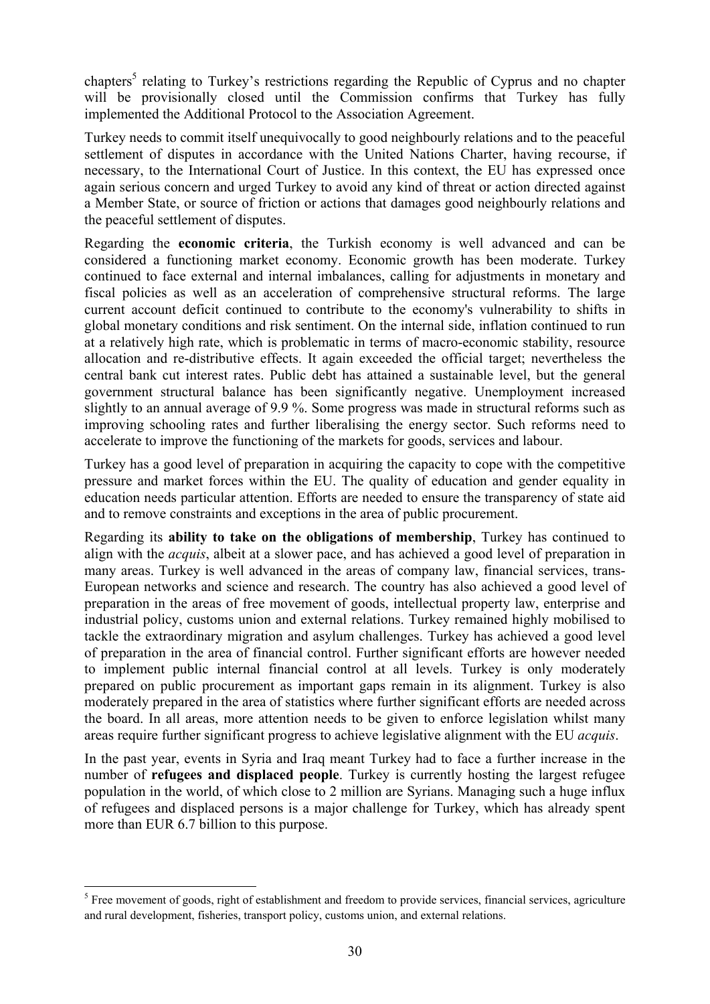chapters<sup>5</sup> relating to Turkey's restrictions regarding the Republic of Cyprus and no chapter will be provisionally closed until the Commission confirms that Turkey has fully implemented the Additional Protocol to the Association Agreement.

Turkey needs to commit itself unequivocally to good neighbourly relations and to the peaceful settlement of disputes in accordance with the United Nations Charter, having recourse, if necessary, to the International Court of Justice. In this context, the EU has expressed once again serious concern and urged Turkey to avoid any kind of threat or action directed against a Member State, or source of friction or actions that damages good neighbourly relations and the peaceful settlement of disputes.

Regarding the **economic criteria**, the Turkish economy is well advanced and can be considered a functioning market economy. Economic growth has been moderate. Turkey continued to face external and internal imbalances, calling for adjustments in monetary and fiscal policies as well as an acceleration of comprehensive structural reforms. The large current account deficit continued to contribute to the economy's vulnerability to shifts in global monetary conditions and risk sentiment. On the internal side, inflation continued to run at a relatively high rate, which is problematic in terms of macro-economic stability, resource allocation and re-distributive effects. It again exceeded the official target; nevertheless the central bank cut interest rates. Public debt has attained a sustainable level, but the general government structural balance has been significantly negative. Unemployment increased slightly to an annual average of 9.9 %. Some progress was made in structural reforms such as improving schooling rates and further liberalising the energy sector. Such reforms need to accelerate to improve the functioning of the markets for goods, services and labour.

Turkey has a good level of preparation in acquiring the capacity to cope with the competitive pressure and market forces within the EU. The quality of education and gender equality in education needs particular attention. Efforts are needed to ensure the transparency of state aid and to remove constraints and exceptions in the area of public procurement.

Regarding its **ability to take on the obligations of membership**, Turkey has continued to align with the *acquis*, albeit at a slower pace, and has achieved a good level of preparation in many areas. Turkey is well advanced in the areas of company law, financial services, trans-European networks and science and research. The country has also achieved a good level of preparation in the areas of free movement of goods, intellectual property law, enterprise and industrial policy, customs union and external relations. Turkey remained highly mobilised to tackle the extraordinary migration and asylum challenges. Turkey has achieved a good level of preparation in the area of financial control. Further significant efforts are however needed to implement public internal financial control at all levels. Turkey is only moderately prepared on public procurement as important gaps remain in its alignment. Turkey is also moderately prepared in the area of statistics where further significant efforts are needed across the board. In all areas, more attention needs to be given to enforce legislation whilst many areas require further significant progress to achieve legislative alignment with the EU *acquis*.

In the past year, events in Syria and Iraq meant Turkey had to face a further increase in the number of **refugees and displaced people**. Turkey is currently hosting the largest refugee population in the world, of which close to 2 million are Syrians. Managing such a huge influx of refugees and displaced persons is a major challenge for Turkey, which has already spent more than EUR 6.7 billion to this purpose.

**.** 

<sup>&</sup>lt;sup>5</sup> Free movement of goods, right of establishment and freedom to provide services, financial services, agriculture and rural development, fisheries, transport policy, customs union, and external relations.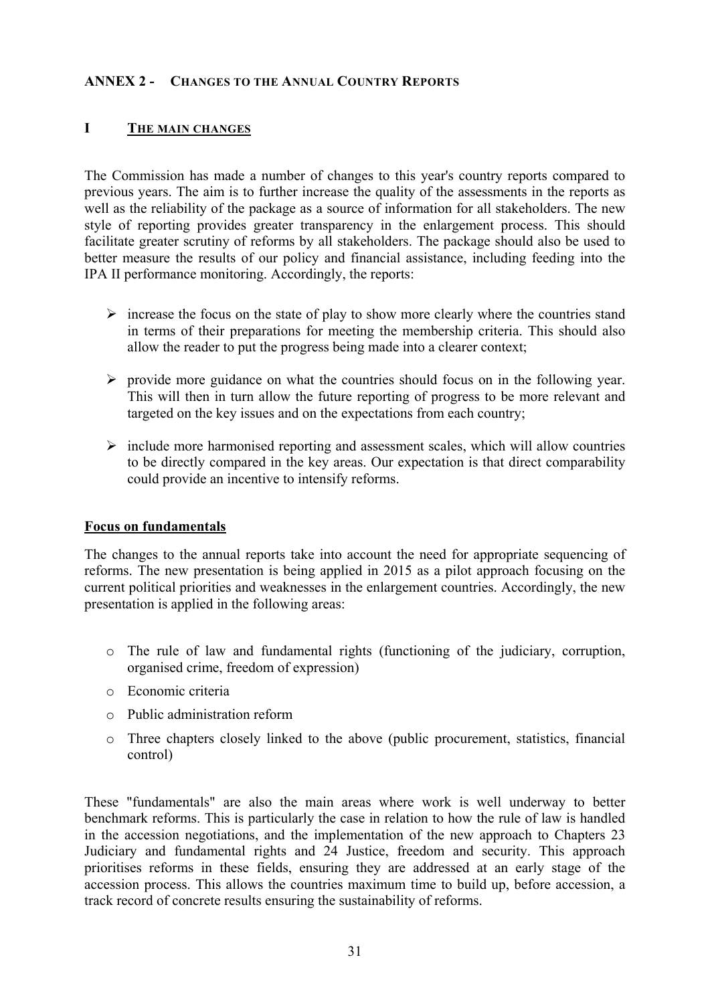### **ANNEX 2 - CHANGES TO THE ANNUAL COUNTRY REPORTS**

### **I THE MAIN CHANGES**

The Commission has made a number of changes to this year's country reports compared to previous years. The aim is to further increase the quality of the assessments in the reports as well as the reliability of the package as a source of information for all stakeholders. The new style of reporting provides greater transparency in the enlargement process. This should facilitate greater scrutiny of reforms by all stakeholders. The package should also be used to better measure the results of our policy and financial assistance, including feeding into the IPA II performance monitoring. Accordingly, the reports:

- $\triangleright$  increase the focus on the state of play to show more clearly where the countries stand in terms of their preparations for meeting the membership criteria. This should also allow the reader to put the progress being made into a clearer context;
- $\triangleright$  provide more guidance on what the countries should focus on in the following year. This will then in turn allow the future reporting of progress to be more relevant and targeted on the key issues and on the expectations from each country;
- $\triangleright$  include more harmonised reporting and assessment scales, which will allow countries to be directly compared in the key areas. Our expectation is that direct comparability could provide an incentive to intensify reforms.

### **Focus on fundamentals**

The changes to the annual reports take into account the need for appropriate sequencing of reforms. The new presentation is being applied in 2015 as a pilot approach focusing on the current political priorities and weaknesses in the enlargement countries. Accordingly, the new presentation is applied in the following areas:

- o The rule of law and fundamental rights (functioning of the judiciary, corruption, organised crime, freedom of expression)
- o Economic criteria
- o Public administration reform
- o Three chapters closely linked to the above (public procurement, statistics, financial control)

These "fundamentals" are also the main areas where work is well underway to better benchmark reforms. This is particularly the case in relation to how the rule of law is handled in the accession negotiations, and the implementation of the new approach to Chapters 23 Judiciary and fundamental rights and 24 Justice, freedom and security. This approach prioritises reforms in these fields, ensuring they are addressed at an early stage of the accession process. This allows the countries maximum time to build up, before accession, a track record of concrete results ensuring the sustainability of reforms.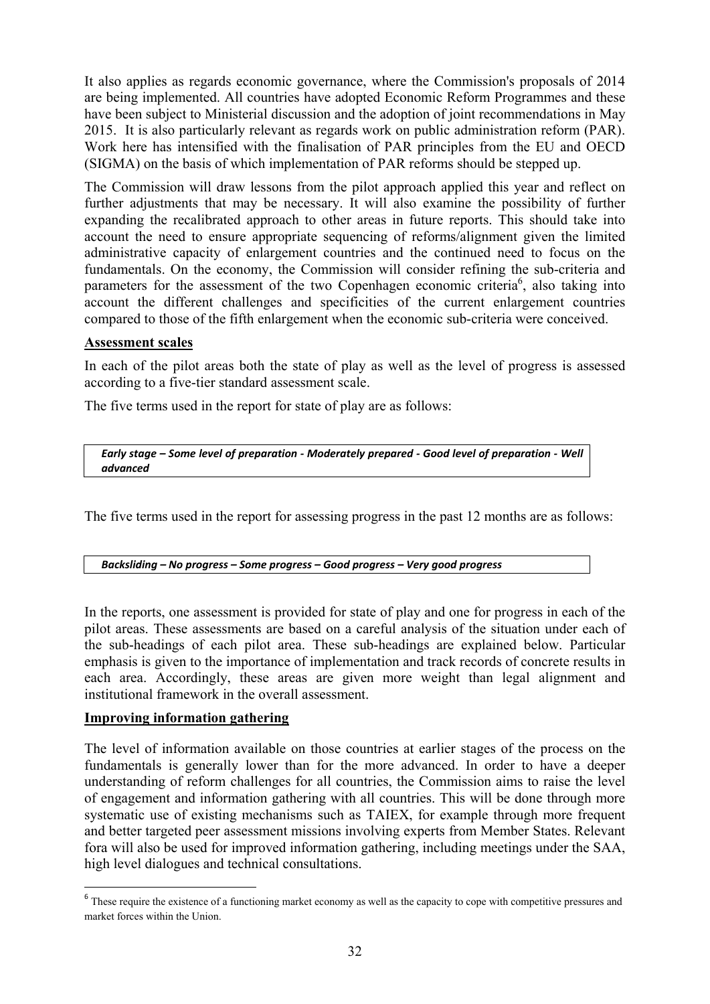It also applies as regards economic governance, where the Commission's proposals of 2014 are being implemented. All countries have adopted Economic Reform Programmes and these have been subject to Ministerial discussion and the adoption of joint recommendations in May 2015. It is also particularly relevant as regards work on public administration reform (PAR). Work here has intensified with the finalisation of PAR principles from the EU and OECD (SIGMA) on the basis of which implementation of PAR reforms should be stepped up.

The Commission will draw lessons from the pilot approach applied this year and reflect on further adjustments that may be necessary. It will also examine the possibility of further expanding the recalibrated approach to other areas in future reports. This should take into account the need to ensure appropriate sequencing of reforms/alignment given the limited administrative capacity of enlargement countries and the continued need to focus on the fundamentals. On the economy, the Commission will consider refining the sub-criteria and parameters for the assessment of the two Copenhagen economic criteria<sup>6</sup>, also taking into account the different challenges and specificities of the current enlargement countries compared to those of the fifth enlargement when the economic sub-criteria were conceived.

### **Assessment scales**

In each of the pilot areas both the state of play as well as the level of progress is assessed according to a five-tier standard assessment scale.

The five terms used in the report for state of play are as follows:

*Early stage – Some level of preparation - Moderately prepared - Good level of preparation - Well advanced* 

The five terms used in the report for assessing progress in the past 12 months are as follows:

*Backsliding – No progress – Some progress – Good progress – Very good progress* 

In the reports, one assessment is provided for state of play and one for progress in each of the pilot areas. These assessments are based on a careful analysis of the situation under each of the sub-headings of each pilot area. These sub-headings are explained below. Particular emphasis is given to the importance of implementation and track records of concrete results in each area. Accordingly, these areas are given more weight than legal alignment and institutional framework in the overall assessment.

### **Improving information gathering**

**.** 

The level of information available on those countries at earlier stages of the process on the fundamentals is generally lower than for the more advanced. In order to have a deeper understanding of reform challenges for all countries, the Commission aims to raise the level of engagement and information gathering with all countries. This will be done through more systematic use of existing mechanisms such as TAIEX, for example through more frequent and better targeted peer assessment missions involving experts from Member States. Relevant fora will also be used for improved information gathering, including meetings under the SAA, high level dialogues and technical consultations.

<sup>&</sup>lt;sup>6</sup> These require the existence of a functioning market economy as well as the capacity to cope with competitive pressures and market forces within the Union.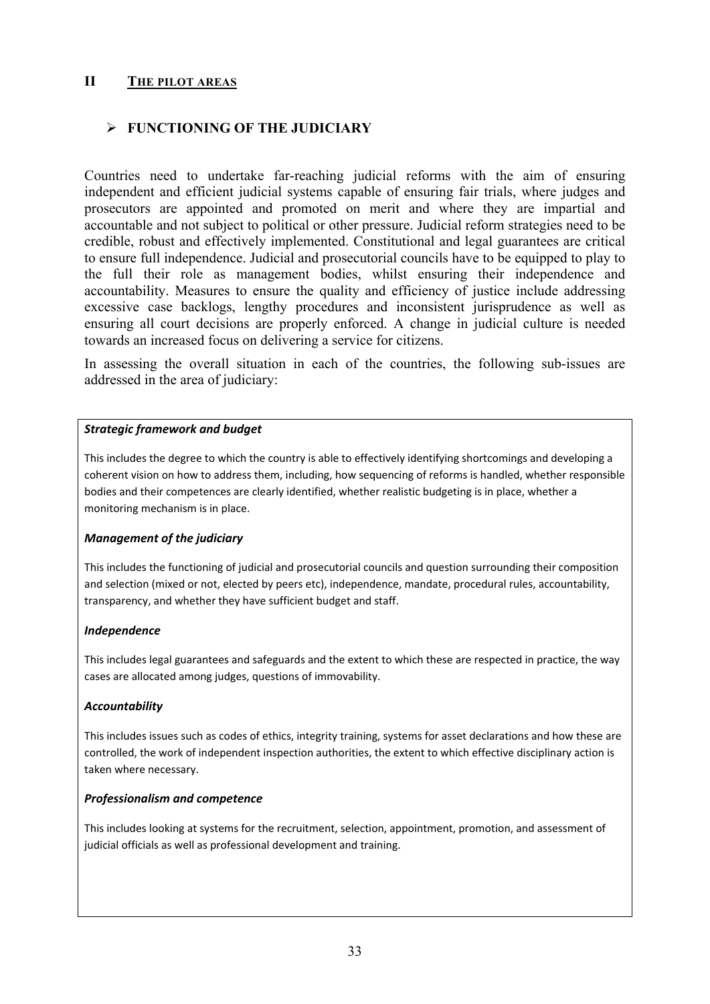### **II THE PILOT AREAS**

### ¾ **FUNCTIONING OF THE JUDICIARY**

Countries need to undertake far-reaching judicial reforms with the aim of ensuring independent and efficient judicial systems capable of ensuring fair trials, where judges and prosecutors are appointed and promoted on merit and where they are impartial and accountable and not subject to political or other pressure. Judicial reform strategies need to be credible, robust and effectively implemented. Constitutional and legal guarantees are critical to ensure full independence. Judicial and prosecutorial councils have to be equipped to play to the full their role as management bodies, whilst ensuring their independence and accountability. Measures to ensure the quality and efficiency of justice include addressing excessive case backlogs, lengthy procedures and inconsistent jurisprudence as well as ensuring all court decisions are properly enforced. A change in judicial culture is needed towards an increased focus on delivering a service for citizens.

In assessing the overall situation in each of the countries, the following sub-issues are addressed in the area of judiciary:

#### *Strategic framework and budget*

This includes the degree to which the country is able to effectively identifying shortcomings and developing a coherent vision on how to address them, including, how sequencing of reforms is handled, whether responsible bodies and their competences are clearly identified, whether realistic budgeting is in place, whether a monitoring mechanism is in place.

#### *Management of the judiciary*

This includes the functioning of judicial and prosecutorial councils and question surrounding their composition and selection (mixed or not, elected by peers etc), independence, mandate, procedural rules, accountability, transparency, and whether they have sufficient budget and staff.

#### *Independence*

This includes legal guarantees and safeguards and the extent to which these are respected in practice, the way cases are allocated among judges, questions of immovability.

#### *Accountability*

This includes issues such as codes of ethics, integrity training, systems for asset declarations and how these are controlled, the work of independent inspection authorities, the extent to which effective disciplinary action is taken where necessary.

#### *Professionalism and competence*

This includes looking at systems for the recruitment, selection, appointment, promotion, and assessment of judicial officials as well as professional development and training.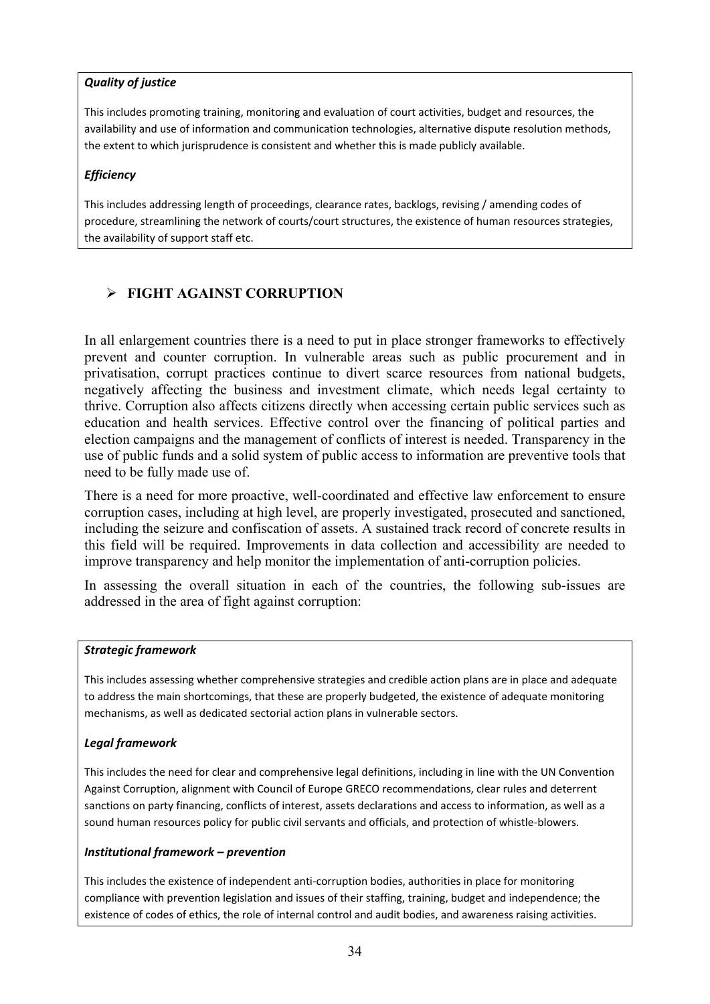### *Quality of justice*

This includes promoting training, monitoring and evaluation of court activities, budget and resources, the availability and use of information and communication technologies, alternative dispute resolution methods, the extent to which jurisprudence is consistent and whether this is made publicly available.

### *Efficiency*

This includes addressing length of proceedings, clearance rates, backlogs, revising / amending codes of procedure, streamlining the network of courts/court structures, the existence of human resources strategies, the availability of support staff etc.

## ¾ **FIGHT AGAINST CORRUPTION**

In all enlargement countries there is a need to put in place stronger frameworks to effectively prevent and counter corruption. In vulnerable areas such as public procurement and in privatisation, corrupt practices continue to divert scarce resources from national budgets, negatively affecting the business and investment climate, which needs legal certainty to thrive. Corruption also affects citizens directly when accessing certain public services such as education and health services. Effective control over the financing of political parties and election campaigns and the management of conflicts of interest is needed. Transparency in the use of public funds and a solid system of public access to information are preventive tools that need to be fully made use of.

There is a need for more proactive, well-coordinated and effective law enforcement to ensure corruption cases, including at high level, are properly investigated, prosecuted and sanctioned, including the seizure and confiscation of assets. A sustained track record of concrete results in this field will be required. Improvements in data collection and accessibility are needed to improve transparency and help monitor the implementation of anti-corruption policies.

In assessing the overall situation in each of the countries, the following sub-issues are addressed in the area of fight against corruption:

### *Strategic framework*

This includes assessing whether comprehensive strategies and credible action plans are in place and adequate to address the main shortcomings, that these are properly budgeted, the existence of adequate monitoring mechanisms, as well as dedicated sectorial action plans in vulnerable sectors.

### *Legal framework*

This includes the need for clear and comprehensive legal definitions, including in line with the UN Convention Against Corruption, alignment with Council of Europe GRECO recommendations, clear rules and deterrent sanctions on party financing, conflicts of interest, assets declarations and access to information, as well as a sound human resources policy for public civil servants and officials, and protection of whistle-blowers.

### *Institutional framework – prevention*

This includes the existence of independent anti-corruption bodies, authorities in place for monitoring compliance with prevention legislation and issues of their staffing, training, budget and independence; the existence of codes of ethics, the role of internal control and audit bodies, and awareness raising activities.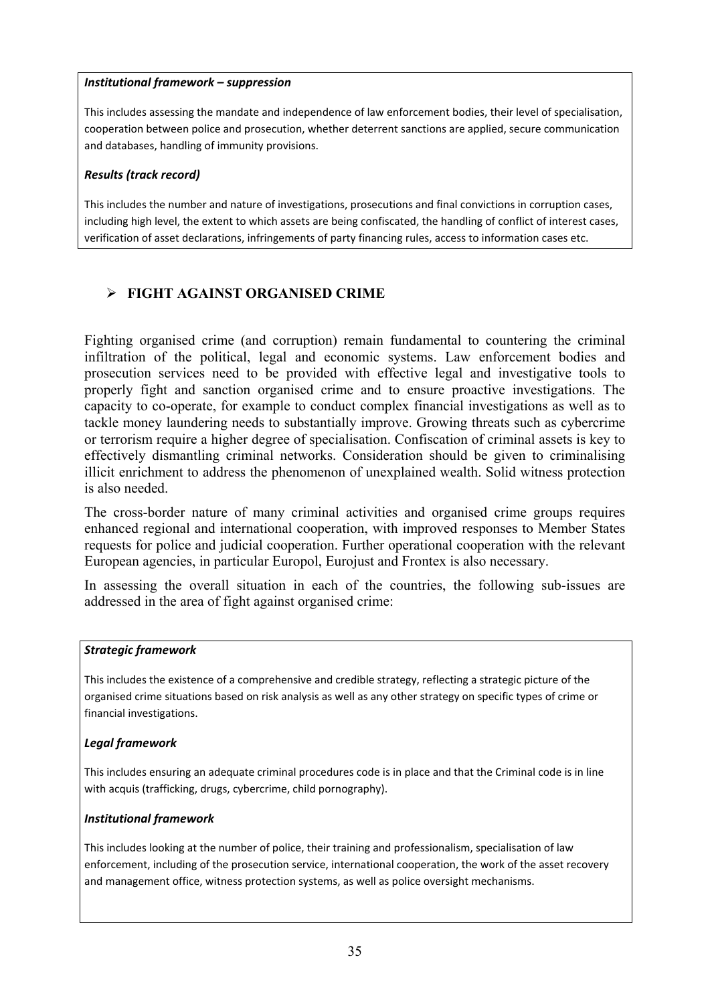### *Institutional framework – suppression*

This includes assessing the mandate and independence of law enforcement bodies, their level of specialisation, cooperation between police and prosecution, whether deterrent sanctions are applied, secure communication and databases, handling of immunity provisions.

### *Results (track record)*

This includes the number and nature of investigations, prosecutions and final convictions in corruption cases, including high level, the extent to which assets are being confiscated, the handling of conflict of interest cases, verification of asset declarations, infringements of party financing rules, access to information cases etc.

## ¾ **FIGHT AGAINST ORGANISED CRIME**

Fighting organised crime (and corruption) remain fundamental to countering the criminal infiltration of the political, legal and economic systems. Law enforcement bodies and prosecution services need to be provided with effective legal and investigative tools to properly fight and sanction organised crime and to ensure proactive investigations. The capacity to co-operate, for example to conduct complex financial investigations as well as to tackle money laundering needs to substantially improve. Growing threats such as cybercrime or terrorism require a higher degree of specialisation. Confiscation of criminal assets is key to effectively dismantling criminal networks. Consideration should be given to criminalising illicit enrichment to address the phenomenon of unexplained wealth. Solid witness protection is also needed.

The cross-border nature of many criminal activities and organised crime groups requires enhanced regional and international cooperation, with improved responses to Member States requests for police and judicial cooperation. Further operational cooperation with the relevant European agencies, in particular Europol, Eurojust and Frontex is also necessary.

In assessing the overall situation in each of the countries, the following sub-issues are addressed in the area of fight against organised crime:

### *Strategic framework*

This includes the existence of a comprehensive and credible strategy, reflecting a strategic picture of the organised crime situations based on risk analysis as well as any other strategy on specific types of crime or financial investigations.

#### *Legal framework*

This includes ensuring an adequate criminal procedures code is in place and that the Criminal code is in line with acquis (trafficking, drugs, cybercrime, child pornography).

#### *Institutional framework*

This includes looking at the number of police, their training and professionalism, specialisation of law enforcement, including of the prosecution service, international cooperation, the work of the asset recovery and management office, witness protection systems, as well as police oversight mechanisms.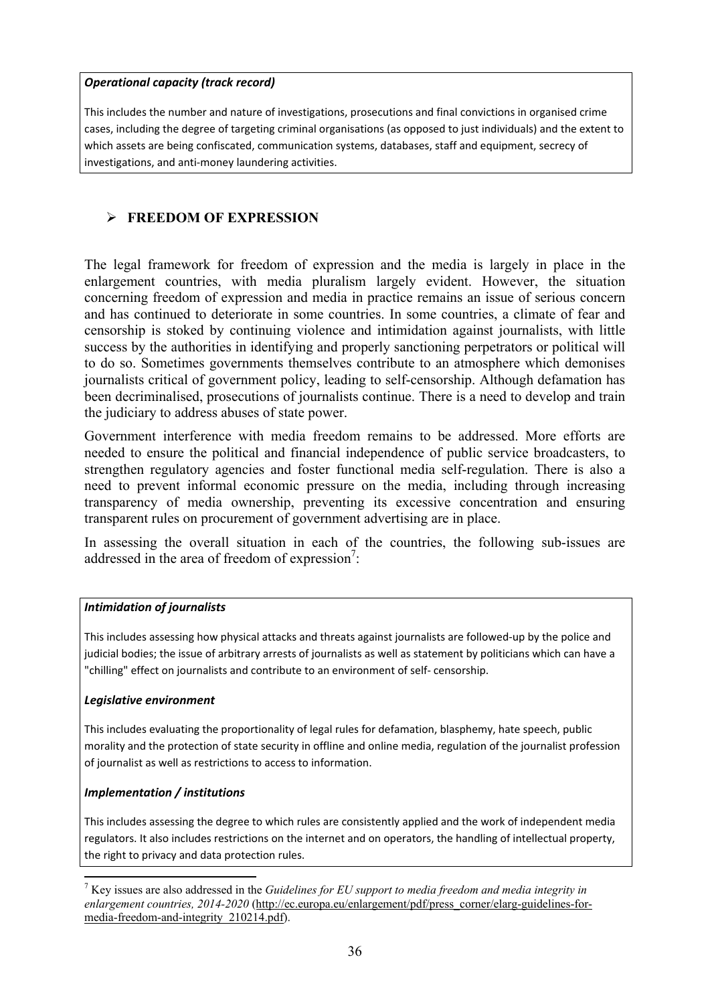#### *Operational capacity (track record)*

This includes the number and nature of investigations, prosecutions and final convictions in organised crime cases, including the degree of targeting criminal organisations (as opposed to just individuals) and the extent to which assets are being confiscated, communication systems, databases, staff and equipment, secrecy of investigations, and anti-money laundering activities.

### ¾ **FREEDOM OF EXPRESSION**

The legal framework for freedom of expression and the media is largely in place in the enlargement countries, with media pluralism largely evident. However, the situation concerning freedom of expression and media in practice remains an issue of serious concern and has continued to deteriorate in some countries. In some countries, a climate of fear and censorship is stoked by continuing violence and intimidation against journalists, with little success by the authorities in identifying and properly sanctioning perpetrators or political will to do so. Sometimes governments themselves contribute to an atmosphere which demonises journalists critical of government policy, leading to self-censorship. Although defamation has been decriminalised, prosecutions of journalists continue. There is a need to develop and train the judiciary to address abuses of state power.

Government interference with media freedom remains to be addressed. More efforts are needed to ensure the political and financial independence of public service broadcasters, to strengthen regulatory agencies and foster functional media self-regulation. There is also a need to prevent informal economic pressure on the media, including through increasing transparency of media ownership, preventing its excessive concentration and ensuring transparent rules on procurement of government advertising are in place.

In assessing the overall situation in each of the countries, the following sub-issues are addressed in the area of freedom of expression<sup>7</sup>:

#### *Intimidation of journalists*

This includes assessing how physical attacks and threats against journalists are followed-up by the police and judicial bodies; the issue of arbitrary arrests of journalists as well as statement by politicians which can have a "chilling" effect on journalists and contribute to an environment of self- censorship.

#### *Legislative environment*

This includes evaluating the proportionality of legal rules for defamation, blasphemy, hate speech, public morality and the protection of state security in offline and online media, regulation of the journalist profession of journalist as well as restrictions to access to information.

#### *Implementation / institutions*

 $\overline{a}$ 

This includes assessing the degree to which rules are consistently applied and the work of independent media regulators. It also includes restrictions on the internet and on operators, the handling of intellectual property, the right to privacy and data protection rules.

<sup>7</sup> Key issues are also addressed in the *Guidelines for EU support to media freedom and media integrity in enlargement countries, 2014-2020* (http://ec.europa.eu/enlargement/pdf/press\_corner/elarg-guidelines-formedia-freedom-and-integrity\_210214.pdf).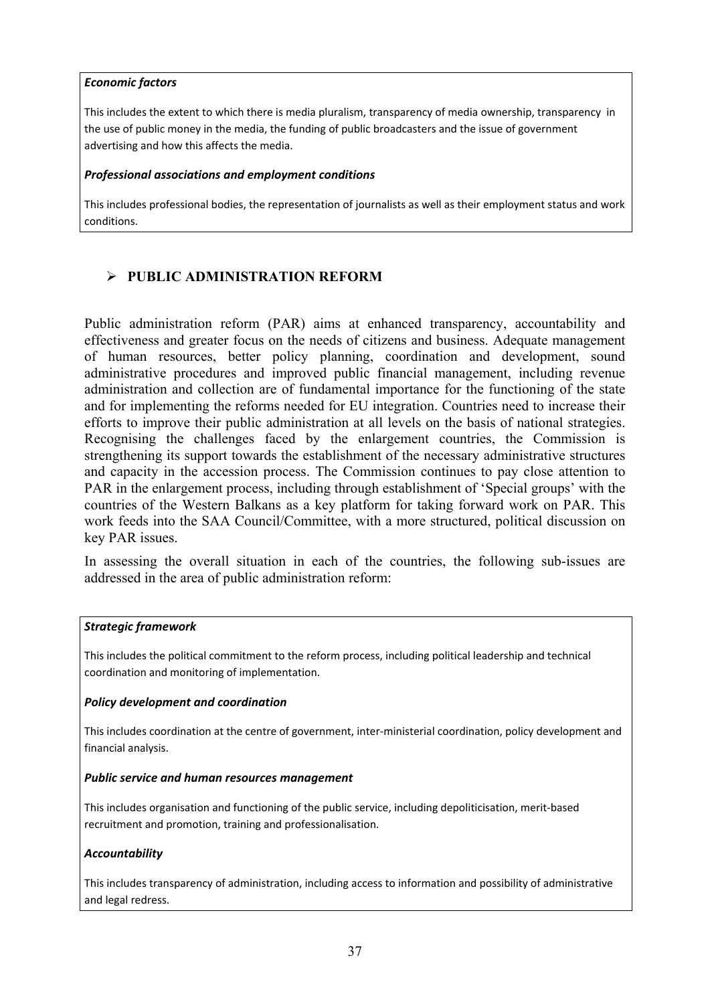#### *Economic factors*

This includes the extent to which there is media pluralism, transparency of media ownership, transparency in the use of public money in the media, the funding of public broadcasters and the issue of government advertising and how this affects the media.

#### *Professional associations and employment conditions*

This includes professional bodies, the representation of journalists as well as their employment status and work conditions.

### ¾ **PUBLIC ADMINISTRATION REFORM**

Public administration reform (PAR) aims at enhanced transparency, accountability and effectiveness and greater focus on the needs of citizens and business. Adequate management of human resources, better policy planning, coordination and development, sound administrative procedures and improved public financial management, including revenue administration and collection are of fundamental importance for the functioning of the state and for implementing the reforms needed for EU integration. Countries need to increase their efforts to improve their public administration at all levels on the basis of national strategies. Recognising the challenges faced by the enlargement countries, the Commission is strengthening its support towards the establishment of the necessary administrative structures and capacity in the accession process. The Commission continues to pay close attention to PAR in the enlargement process, including through establishment of 'Special groups' with the countries of the Western Balkans as a key platform for taking forward work on PAR. This work feeds into the SAA Council/Committee, with a more structured, political discussion on key PAR issues.

In assessing the overall situation in each of the countries, the following sub-issues are addressed in the area of public administration reform:

#### *Strategic framework*

This includes the political commitment to the reform process, including political leadership and technical coordination and monitoring of implementation.

#### *Policy development and coordination*

This includes coordination at the centre of government, inter-ministerial coordination, policy development and financial analysis.

#### *Public service and human resources management*

This includes organisation and functioning of the public service, including depoliticisation, merit-based recruitment and promotion, training and professionalisation.

### *Accountability*

This includes transparency of administration, including access to information and possibility of administrative and legal redress.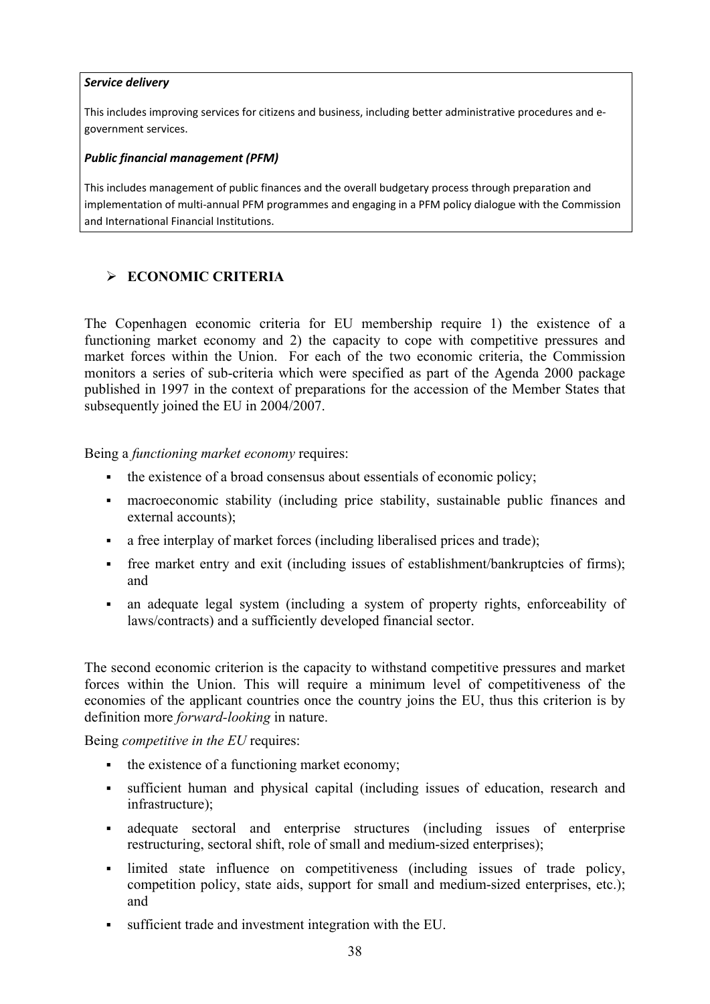### *Service delivery*

This includes improving services for citizens and business, including better administrative procedures and egovernment services.

### *Public financial management (PFM)*

This includes management of public finances and the overall budgetary process through preparation and implementation of multi-annual PFM programmes and engaging in a PFM policy dialogue with the Commission and International Financial Institutions.

### ¾ **ECONOMIC CRITERIA**

The Copenhagen economic criteria for EU membership require 1) the existence of a functioning market economy and 2) the capacity to cope with competitive pressures and market forces within the Union. For each of the two economic criteria, the Commission monitors a series of sub-criteria which were specified as part of the Agenda 2000 package published in 1997 in the context of preparations for the accession of the Member States that subsequently joined the EU in 2004/2007.

Being a *functioning market economy* requires:

- the existence of a broad consensus about essentials of economic policy;
- macroeconomic stability (including price stability, sustainable public finances and external accounts);
- a free interplay of market forces (including liberalised prices and trade);
- free market entry and exit (including issues of establishment/bankruptcies of firms); and
- an adequate legal system (including a system of property rights, enforceability of laws/contracts) and a sufficiently developed financial sector.

The second economic criterion is the capacity to withstand competitive pressures and market forces within the Union. This will require a minimum level of competitiveness of the economies of the applicant countries once the country joins the EU, thus this criterion is by definition more *forward-looking* in nature.

Being *competitive in the EU* requires:

- the existence of a functioning market economy:
- sufficient human and physical capital (including issues of education, research and infrastructure);
- adequate sectoral and enterprise structures (including issues of enterprise restructuring, sectoral shift, role of small and medium-sized enterprises);
- limited state influence on competitiveness (including issues of trade policy, competition policy, state aids, support for small and medium-sized enterprises, etc.); and
- sufficient trade and investment integration with the EU.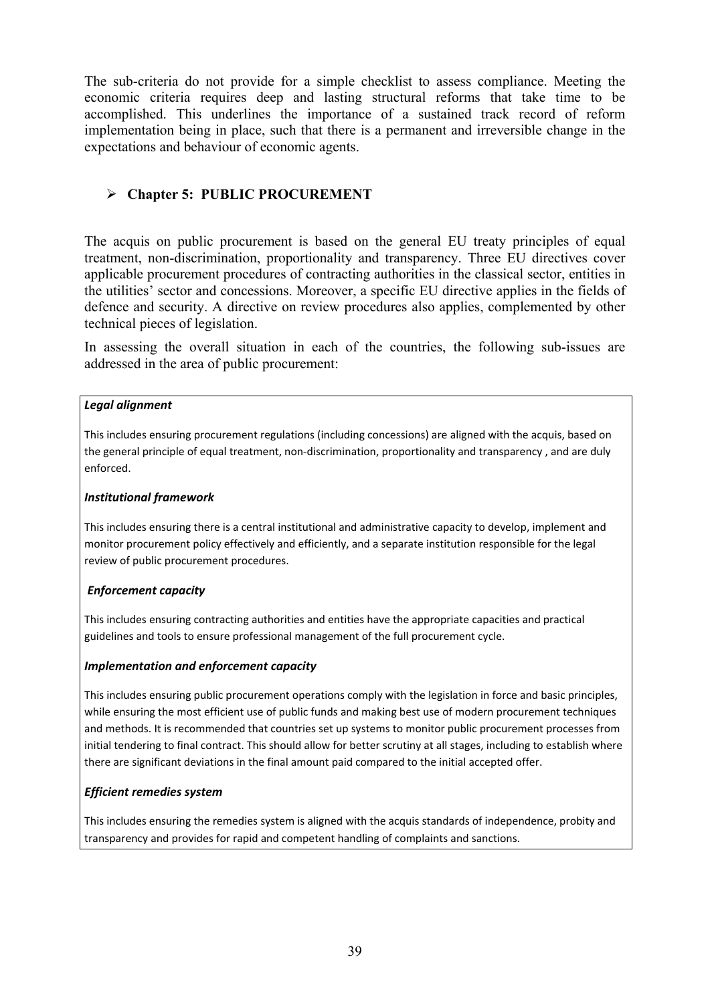The sub-criteria do not provide for a simple checklist to assess compliance. Meeting the economic criteria requires deep and lasting structural reforms that take time to be accomplished. This underlines the importance of a sustained track record of reform implementation being in place, such that there is a permanent and irreversible change in the expectations and behaviour of economic agents.

### ¾ **Chapter 5: PUBLIC PROCUREMENT**

The acquis on public procurement is based on the general EU treaty principles of equal treatment, non-discrimination, proportionality and transparency. Three EU directives cover applicable procurement procedures of contracting authorities in the classical sector, entities in the utilities' sector and concessions. Moreover, a specific EU directive applies in the fields of defence and security. A directive on review procedures also applies, complemented by other technical pieces of legislation.

In assessing the overall situation in each of the countries, the following sub-issues are addressed in the area of public procurement:

#### *Legal alignment*

This includes ensuring procurement regulations (including concessions) are aligned with the acquis, based on the general principle of equal treatment, non-discrimination, proportionality and transparency , and are duly enforced.

#### *Institutional framework*

This includes ensuring there is a central institutional and administrative capacity to develop, implement and monitor procurement policy effectively and efficiently, and a separate institution responsible for the legal review of public procurement procedures.

### *Enforcement capacity*

This includes ensuring contracting authorities and entities have the appropriate capacities and practical guidelines and tools to ensure professional management of the full procurement cycle.

#### *Implementation and enforcement capacity*

This includes ensuring public procurement operations comply with the legislation in force and basic principles, while ensuring the most efficient use of public funds and making best use of modern procurement techniques and methods. It is recommended that countries set up systems to monitor public procurement processes from initial tendering to final contract. This should allow for better scrutiny at all stages, including to establish where there are significant deviations in the final amount paid compared to the initial accepted offer.

#### *Efficient remedies system*

This includes ensuring the remedies system is aligned with the acquis standards of independence, probity and transparency and provides for rapid and competent handling of complaints and sanctions.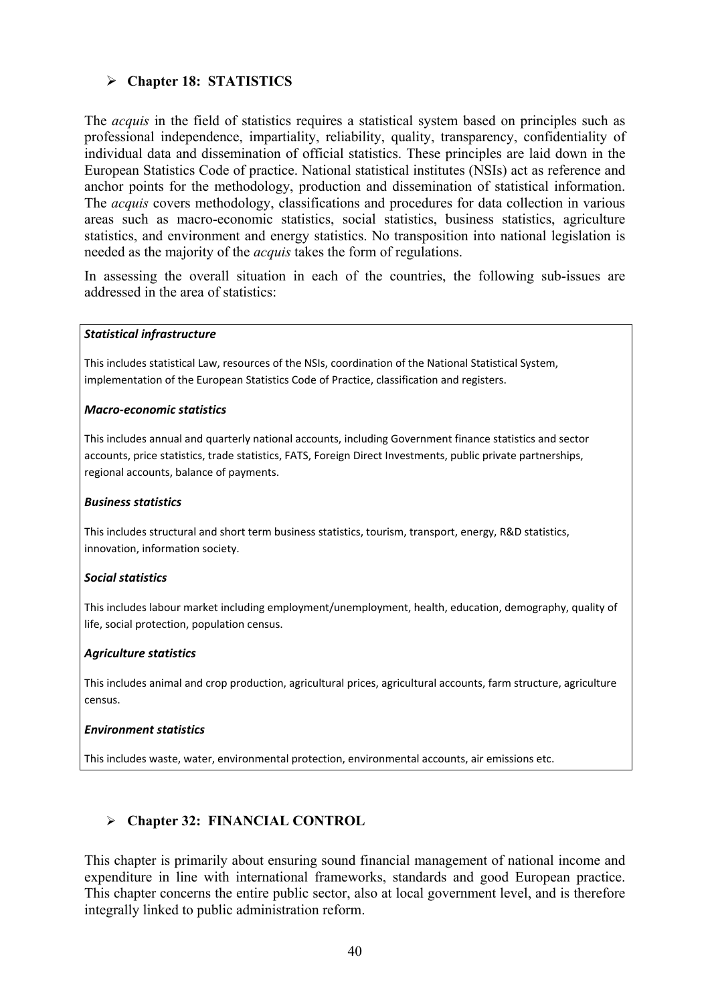### ¾ **Chapter 18: STATISTICS**

The *acquis* in the field of statistics requires a statistical system based on principles such as professional independence, impartiality, reliability, quality, transparency, confidentiality of individual data and dissemination of official statistics. These principles are laid down in the European Statistics Code of practice. National statistical institutes (NSIs) act as reference and anchor points for the methodology, production and dissemination of statistical information. The *acquis* covers methodology, classifications and procedures for data collection in various areas such as macro-economic statistics, social statistics, business statistics, agriculture statistics, and environment and energy statistics. No transposition into national legislation is needed as the majority of the *acquis* takes the form of regulations.

In assessing the overall situation in each of the countries, the following sub-issues are addressed in the area of statistics:

#### *Statistical infrastructure*

This includes statistical Law, resources of the NSIs, coordination of the National Statistical System, implementation of the European Statistics Code of Practice, classification and registers.

#### *Macro-economic statistics*

This includes annual and quarterly national accounts, including Government finance statistics and sector accounts, price statistics, trade statistics, FATS, Foreign Direct Investments, public private partnerships, regional accounts, balance of payments.

#### *Business statistics*

This includes structural and short term business statistics, tourism, transport, energy, R&D statistics, innovation, information society.

#### *Social statistics*

This includes labour market including employment/unemployment, health, education, demography, quality of life, social protection, population census.

#### *Agriculture statistics*

This includes animal and crop production, agricultural prices, agricultural accounts, farm structure, agriculture census.

#### *Environment statistics*

This includes waste, water, environmental protection, environmental accounts, air emissions etc.

### ¾ **Chapter 32: FINANCIAL CONTROL**

This chapter is primarily about ensuring sound financial management of national income and expenditure in line with international frameworks, standards and good European practice. This chapter concerns the entire public sector, also at local government level, and is therefore integrally linked to public administration reform.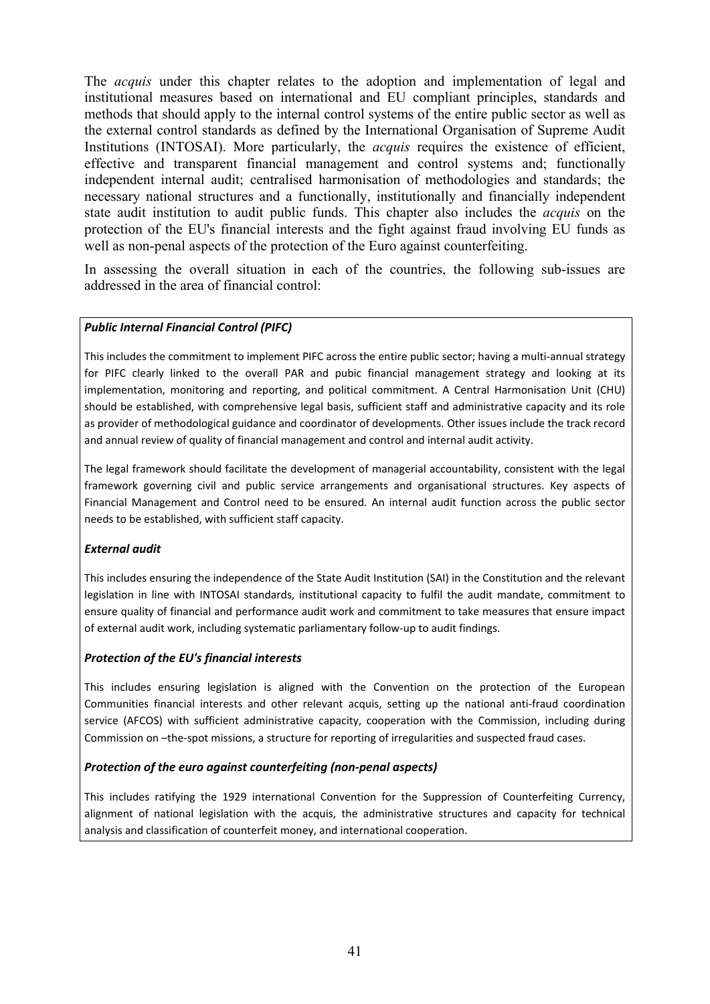The *acquis* under this chapter relates to the adoption and implementation of legal and institutional measures based on international and EU compliant principles, standards and methods that should apply to the internal control systems of the entire public sector as well as the external control standards as defined by the International Organisation of Supreme Audit Institutions (INTOSAI). More particularly, the *acquis* requires the existence of efficient, effective and transparent financial management and control systems and; functionally independent internal audit; centralised harmonisation of methodologies and standards; the necessary national structures and a functionally, institutionally and financially independent state audit institution to audit public funds. This chapter also includes the *acquis* on the protection of the EU's financial interests and the fight against fraud involving EU funds as well as non-penal aspects of the protection of the Euro against counterfeiting.

In assessing the overall situation in each of the countries, the following sub-issues are addressed in the area of financial control:

#### *Public Internal Financial Control (PIFC)*

This includes the commitment to implement PIFC across the entire public sector; having a multi-annual strategy for PIFC clearly linked to the overall PAR and pubic financial management strategy and looking at its implementation, monitoring and reporting, and political commitment. A Central Harmonisation Unit (CHU) should be established, with comprehensive legal basis, sufficient staff and administrative capacity and its role as provider of methodological guidance and coordinator of developments. Other issues include the track record and annual review of quality of financial management and control and internal audit activity.

The legal framework should facilitate the development of managerial accountability, consistent with the legal framework governing civil and public service arrangements and organisational structures. Key aspects of Financial Management and Control need to be ensured. An internal audit function across the public sector needs to be established, with sufficient staff capacity.

#### *External audit*

This includes ensuring the independence of the State Audit Institution (SAI) in the Constitution and the relevant legislation in line with INTOSAI standards, institutional capacity to fulfil the audit mandate, commitment to ensure quality of financial and performance audit work and commitment to take measures that ensure impact of external audit work, including systematic parliamentary follow-up to audit findings.

#### *Protection of the EU's financial interests*

This includes ensuring legislation is aligned with the Convention on the protection of the European Communities financial interests and other relevant acquis, setting up the national anti-fraud coordination service (AFCOS) with sufficient administrative capacity, cooperation with the Commission, including during Commission on –the-spot missions, a structure for reporting of irregularities and suspected fraud cases.

#### *Protection of the euro against counterfeiting (non-penal aspects)*

This includes ratifying the 1929 international Convention for the Suppression of Counterfeiting Currency, alignment of national legislation with the acquis, the administrative structures and capacity for technical analysis and classification of counterfeit money, and international cooperation.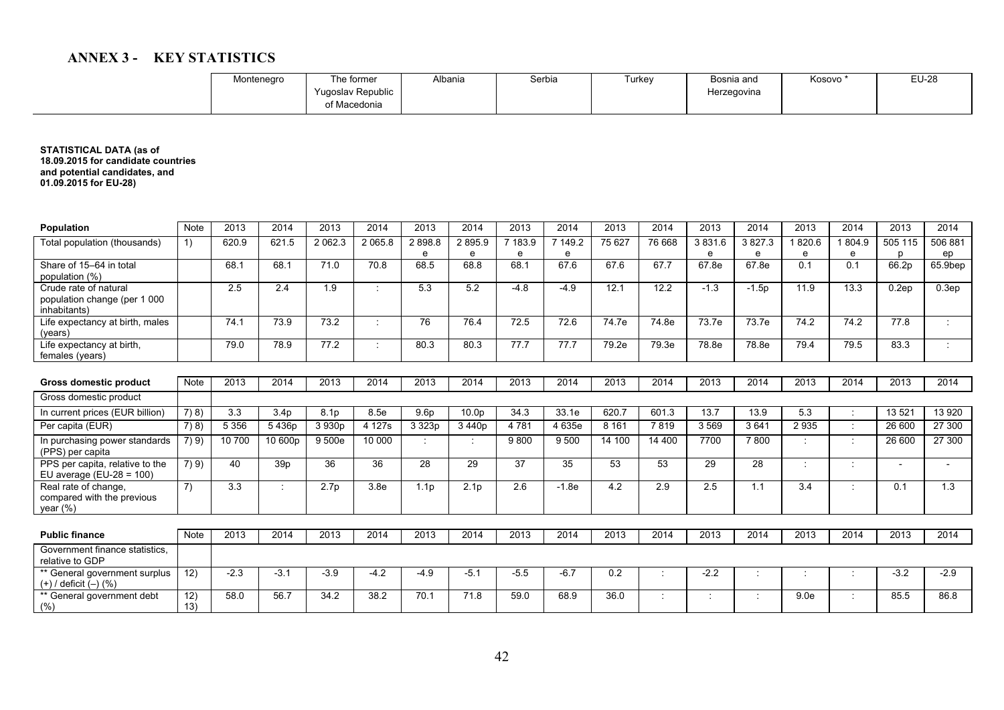### **ANNEX 3 - KEY STATISTICS**

| Montenegro | าe former                        | Albania | Serbia | furkey | Bosnia and  | Kosovo | EU-28 |
|------------|----------------------------------|---------|--------|--------|-------------|--------|-------|
|            | Yugoslav Republic<br>f Macedonia |         |        |        | Herzegovina |        |       |
|            |                                  |         |        |        |             |        |       |

**STATISTICAL DATA (as of 18.09.2015 for candidate countries and potential candidates, and 01.09.2015 for EU-28)** 

| <b>Population</b>                                                     | <b>Note</b>  | 2013    | 2014             | 2013             | 2014             | 2013             | 2014              | 2013    | 2014    | 2013    | 2014   | 2013   | 2014    | 2013  | 2014           | 2013    | 2014    |
|-----------------------------------------------------------------------|--------------|---------|------------------|------------------|------------------|------------------|-------------------|---------|---------|---------|--------|--------|---------|-------|----------------|---------|---------|
| Total population (thousands)                                          | 1)           | 620.9   | 621.5            | 2 0 6 2 . 3      | 2 0 6 5 .8       | 2898.8           | 2895.9            | 7 183.9 | 7 149.2 | 75 627  | 76 668 | 3831.6 | 3827.3  | 820.6 | 804.9          | 505 115 | 506 881 |
|                                                                       |              |         |                  |                  |                  | e                | e                 | e       | e       |         |        | e      | e       | e     | e              | n       | ep      |
| Share of 15-64 in total                                               |              | 68.1    | 68.1             | 71.0             | 70.8             | 68.5             | 68.8              | 68.1    | 67.6    | 67.6    | 67.7   | 67.8e  | 67.8e   | 0.1   | 0.1            | 66.2p   | 65.9bep |
| population (%)                                                        |              |         |                  |                  |                  |                  |                   |         |         |         |        |        |         |       |                |         |         |
| Crude rate of natural<br>population change (per 1 000<br>inhabitants) |              | 2.5     | 2.4              | 1.9              | ÷                | 5.3              | 5.2               | $-4.8$  | $-4.9$  | 12.1    | 12.2   | $-1.3$ | $-1.5p$ | 11.9  | 13.3           | 0.2ep   | 0.3ep   |
| Life expectancy at birth, males<br>(vears)                            |              | 74.1    | 73.9             | 73.2             |                  | 76               | 76.4              | 72.5    | 72.6    | 74.7e   | 74.8e  | 73.7e  | 73.7e   | 74.2  | 74.2           | 77.8    |         |
| Life expectancy at birth,<br>females (years)                          |              | 79.0    | 78.9             | 77.2             |                  | 80.3             | 80.3              | 77.7    | 77.7    | 79.2e   | 79.3e  | 78.8e  | 78.8e   | 79.4  | 79.5           | 83.3    |         |
|                                                                       |              |         |                  |                  |                  |                  |                   |         |         |         |        |        |         |       |                |         |         |
| Gross domestic product                                                | <b>Note</b>  | 2013    | 2014             | 2013             | 2014             | 2013             | 2014              | 2013    | 2014    | 2013    | 2014   | 2013   | 2014    | 2013  | 2014           | 2013    | 2014    |
| Gross domestic product                                                |              |         |                  |                  |                  |                  |                   |         |         |         |        |        |         |       |                |         |         |
| In current prices (EUR billion)                                       | 7) 8)        | 3.3     | 3.4 <sub>p</sub> | 8.1p             | 8.5e             | 9.6p             | 10.0 <sub>p</sub> | 34.3    | 33.1e   | 620.7   | 601.3  | 13.7   | 13.9    | 5.3   | $\blacksquare$ | 13 5 21 | 13 9 20 |
| Per capita (EUR)                                                      | 7(8)         | 5 3 5 6 | 5436p            | 3930p            | 4 127s           | 3 323p           | 3440p             | 4781    | 4 635e  | 8 1 6 1 | 7819   | 3569   | 3641    | 2935  | $\sim$         | 26 600  | 27 300  |
| In purchasing power standards<br>(PPS) per capita                     | 7(9)         | 10 700  | 10 600p          | 9 500e           | 10 000           | ٠                |                   | 9800    | 9 5 0 0 | 14 100  | 14 400 | 7700   | 7800    |       | ÷              | 26 600  | 27 300  |
| PPS per capita, relative to the<br>EU average $(EU-28 = 100)$         | 7) 9)        | 40      | 39 <sub>p</sub>  | 36               | 36               | 28               | 29                | 37      | 35      | 53      | 53     | 29     | 28      |       | $\cdot$        |         |         |
| Real rate of change,<br>compared with the previous<br>year $(\%)$     | $\mathbf{7}$ | 3.3     |                  | 2.7 <sub>p</sub> | 3.8 <sub>e</sub> | 1.1 <sub>p</sub> | 2.1 <sub>p</sub>  | 2.6     | $-1.8e$ | 4.2     | 2.9    | 2.5    | 1.1     | 3.4   | $\cdot$        | 0.1     | 1.3     |
|                                                                       |              |         |                  |                  |                  |                  |                   |         |         |         |        |        |         |       |                |         |         |
| <b>Public finance</b>                                                 | <b>Note</b>  | 2013    | 2014             | 2013             | 2014             | 2013             | 2014              | 2013    | 2014    | 2013    | 2014   | 2013   | 2014    | 2013  | 2014           | 2013    | 2014    |
| Government finance statistics,<br>relative to GDP                     |              |         |                  |                  |                  |                  |                   |         |         |         |        |        |         |       |                |         |         |
| ** General government surplus<br>(+) / deficit (-) (%)                | 12)          | $-2.3$  | $-3.1$           | $-3.9$           | $-4.2$           | $-4.9$           | $-5.1$            | $-5.5$  | $-6.7$  | 0.2     | ÷      | $-2.2$ |         |       |                | $-3.2$  | $-2.9$  |
| ** General government debt<br>(% )                                    | 12)<br>13)   | 58.0    | 56.7             | 34.2             | 38.2             | 70.1             | 71.8              | 59.0    | 68.9    | 36.0    | ٠      |        |         | 9.0e  |                | 85.5    | 86.8    |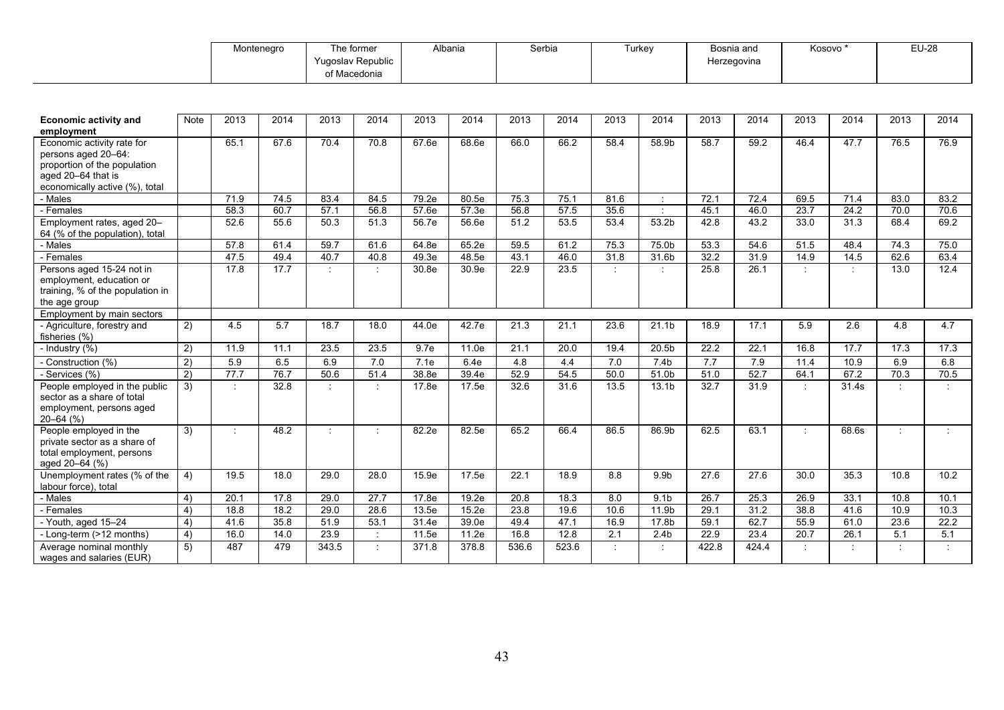| Montenegro | The former        | Nbania | Serbia | furkev | Bosnia and  | Kosovo* | F112<br>⊏∪∹∠o |
|------------|-------------------|--------|--------|--------|-------------|---------|---------------|
|            | Yugoslav Republic |        |        |        | Herzegovina |         |               |
|            | Macedonia         |        |        |        |             |         |               |

| <b>Economic activity and</b><br>employment                                                                                                | <b>Note</b> | 2013    | 2014 | 2013      | 2014    | 2013  | 2014  | 2013  | 2014  | 2013                 | 2014                        | 2013  | 2014  | 2013      | 2014    | 2013    | 2014 |
|-------------------------------------------------------------------------------------------------------------------------------------------|-------------|---------|------|-----------|---------|-------|-------|-------|-------|----------------------|-----------------------------|-------|-------|-----------|---------|---------|------|
| Economic activity rate for<br>persons aged 20-64:<br>proportion of the population<br>aged 20-64 that is<br>economically active (%), total |             | 65.1    | 67.6 | 70.4      | 70.8    | 67.6e | 68.6e | 66.0  | 66.2  | 58.4                 | 58.9b                       | 58.7  | 59.2  | 46.4      | 47.7    | 76.5    | 76.9 |
| - Males                                                                                                                                   |             | 71.9    | 74.5 | 83.4      | 84.5    | 79.2e | 80.5e | 75.3  | 75.1  | 81.6                 | $\mathcal{I}^{\mathcal{I}}$ | 72.1  | 72.4  | 69.5      | 71.4    | 83.0    | 83.2 |
| - Females                                                                                                                                 |             | 58.3    | 60.7 | 57.1      | 56.8    | 57.6e | 57.3e | 56.8  | 57.5  | 35.6                 | $\cdot$                     | 45.1  | 46.0  | 23.7      | 24.2    | 70.0    | 70.6 |
| Employment rates, aged 20-<br>64 (% of the population), total                                                                             |             | 52.6    | 55.6 | 50.3      | 51.3    | 56.7e | 56.6e | 51.2  | 53.5  | 53.4                 | 53.2b                       | 42.8  | 43.2  | 33.0      | 31.3    | 68.4    | 69.2 |
| - Males                                                                                                                                   |             | 57.8    | 61.4 | 59.7      | 61.6    | 64.8e | 65.2e | 59.5  | 61.2  | 75.3                 | 75.0b                       | 53.3  | 54.6  | 51.5      | 48.4    | 74.3    | 75.0 |
| - Females                                                                                                                                 |             | 47.5    | 49.4 | 40.7      | 40.8    | 49.3e | 48.5e | 43.1  | 46.0  | 31.8                 | 31.6b                       | 32.2  | 31.9  | 14.9      | 14.5    | 62.6    | 63.4 |
| Persons aged 15-24 not in<br>employment, education or<br>training, % of the population in<br>the age group                                |             | 17.8    | 17.7 | $\bullet$ |         | 30.8e | 30.9e | 22.9  | 23.5  | $\ddot{\phantom{a}}$ | $\cdot$                     | 25.8  | 26.1  |           | $\cdot$ | 13.0    | 12.4 |
| Employment by main sectors                                                                                                                |             |         |      |           |         |       |       |       |       |                      |                             |       |       |           |         |         |      |
| - Agriculture, forestry and<br>fisheries (%)                                                                                              | 2)          | 4.5     | 5.7  | 18.7      | 18.0    | 44.0e | 42.7e | 21.3  | 21.1  | 23.6                 | 21.1 <sub>b</sub>           | 18.9  | 17.1  | 5.9       | 2.6     | 4.8     | 4.7  |
| - Industry (%)                                                                                                                            | 2)          | 11.9    | 11.1 | 23.5      | 23.5    | 9.7e  | 11.0e | 21.1  | 20.0  | 19.4                 | 20.5b                       | 22.2  | 22.1  | 16.8      | 17.7    | 17.3    | 17.3 |
| - Construction (%)                                                                                                                        | 2)          | 5.9     | 6.5  | 6.9       | 7.0     | 7.1e  | 6.4e  | 4.8   | 4.4   | 7.0                  | 7.4b                        | 7.7   | 7.9   | 11.4      | 10.9    | 6.9     | 6.8  |
| - Services (%)                                                                                                                            | 2)          | 77.7    | 76.7 | 50.6      | 51.4    | 38.8e | 39.4e | 52.9  | 54.5  | 50.0                 | 51.0b                       | 51.0  | 52.7  | 64.1      | 67.2    | 70.3    | 70.5 |
| People employed in the public<br>sector as a share of total<br>employment, persons aged<br>$20 - 64$ (%)                                  | 3)          | ÷       | 32.8 |           | $\cdot$ | 17.8e | 17.5e | 32.6  | 31.6  | 13.5                 | 13.1 <sub>b</sub>           | 32.7  | 31.9  | ÷         | 31.4s   | $\cdot$ |      |
| People employed in the<br>private sector as a share of<br>total employment, persons<br>aged 20-64 (%)                                     | 3)          | $\cdot$ | 48.2 |           | ÷       | 82.2e | 82.5e | 65.2  | 66.4  | 86.5                 | 86.9b                       | 62.5  | 63.1  | $\bullet$ | 68.6s   | $\cdot$ |      |
| Unemployment rates (% of the<br>labour force), total                                                                                      | 4)          | 19.5    | 18.0 | 29.0      | 28.0    | 15.9e | 17.5e | 22.1  | 18.9  | 8.8                  | 9.9b                        | 27.6  | 27.6  | 30.0      | 35.3    | 10.8    | 10.2 |
| - Males                                                                                                                                   | 4)          | 20.1    | 17.8 | 29.0      | 27.7    | 17.8e | 19.2e | 20.8  | 18.3  | 8.0                  | 9.1 <sub>b</sub>            | 26.7  | 25.3  | 26.9      | 33.1    | 10.8    | 10.1 |
| - Females                                                                                                                                 | 4)          | 18.8    | 18.2 | 29.0      | 28.6    | 13.5e | 15.2e | 23.8  | 19.6  | 10.6                 | 11.9b                       | 29.1  | 31.2  | 38.8      | 41.6    | 10.9    | 10.3 |
| - Youth, aged 15-24                                                                                                                       | 4)          | 41.6    | 35.8 | 51.9      | 53.1    | 31.4e | 39.0e | 49.4  | 47.1  | 16.9                 | 17.8b                       | 59.1  | 62.7  | 55.9      | 61.0    | 23.6    | 22.2 |
| - Long-term (>12 months)                                                                                                                  | 4)          | 16.0    | 14.0 | 23.9      |         | 11.5e | 11.2e | 16.8  | 12.8  | 2.1                  | 2.4 <sub>b</sub>            | 22.9  | 23.4  | 20.7      | 26.1    | 5.1     | 5.1  |
| Average nominal monthly<br>wages and salaries (EUR)                                                                                       | 5)          | 487     | 479  | 343.5     | ÷       | 371.8 | 378.8 | 536.6 | 523.6 |                      |                             | 422.8 | 424.4 |           |         |         |      |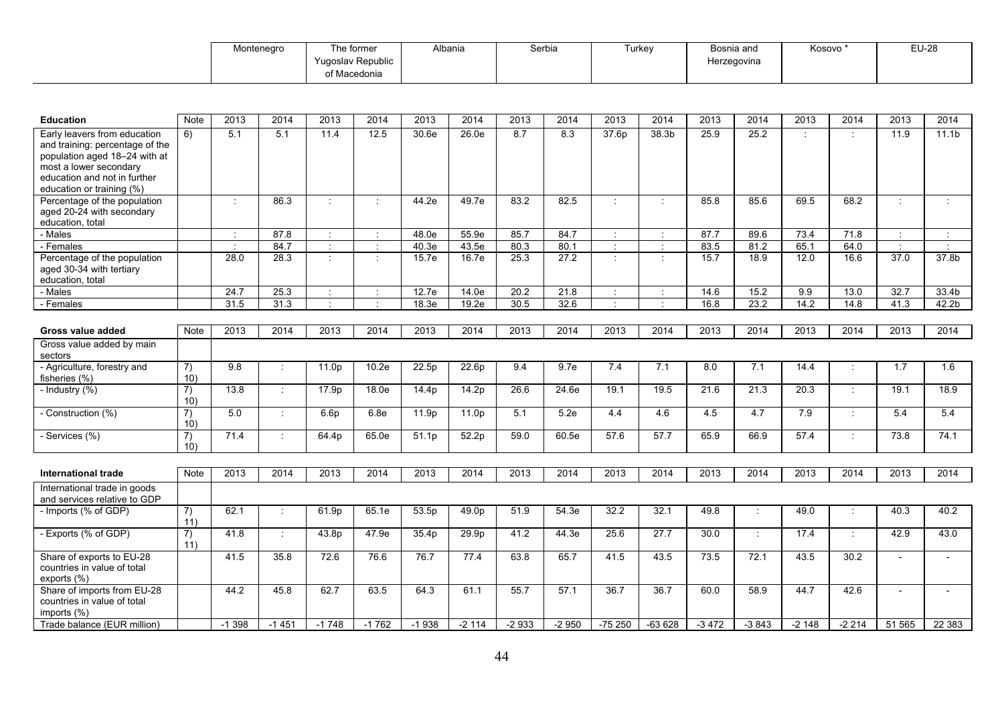| Montenegro | he former         | Albania | Serbia | , urkev | Bosnia and  | Kosovo * | $EU-26$ |
|------------|-------------------|---------|--------|---------|-------------|----------|---------|
|            | Yugoslav Republic |         |        |         | Herzegovina |          |         |
|            | . Macedonia       |         |        |         |             |          |         |

| <b>Education</b>                                                                                                                                                                        | <b>Note</b>           | 2013          | 2014                 | 2013             | 2014    | 2013              | 2014              | 2013    | 2014              | 2013                   | 2014           | 2013    | 2014    | 2013     | 2014    | 2013                     | 2014              |
|-----------------------------------------------------------------------------------------------------------------------------------------------------------------------------------------|-----------------------|---------------|----------------------|------------------|---------|-------------------|-------------------|---------|-------------------|------------------------|----------------|---------|---------|----------|---------|--------------------------|-------------------|
| Early leavers from education<br>and training: percentage of the<br>population aged 18-24 with at<br>most a lower secondary<br>education and not in further<br>education or training (%) | 6)                    | 5.1           | 5.1                  | 11.4             | 12.5    | 30.6e             | 26.0e             | 8.7     | 8.3               | 37.6p                  | 38.3b          | 25.9    | 25.2    |          | ÷       | 11.9                     | 11.1 <sub>b</sub> |
| Percentage of the population<br>aged 20-24 with secondary<br>education, total                                                                                                           |                       | $\mathcal{I}$ | 86.3                 | ٠                | $\cdot$ | 44.2e             | 49.7e             | 83.2    | 82.5              | $\cdot$                | $\cdot$        | 85.8    | 85.6    | 69.5     | 68.2    | $\cdot$                  | $\mathcal{L}$     |
| - Males                                                                                                                                                                                 |                       | $\cdot$       | 87.8                 |                  |         | 48.0e             | 55.9e             | 85.7    | 84.7              | $\cdot$                |                | 87.7    | 89.6    | 73.4     | 71.8    | $\cdot$                  | $\cdot$           |
| Females                                                                                                                                                                                 |                       | $\mathcal{L}$ | 84.7                 | $\cdot$          | ÷       | 40.3e             | 43.5e             | 80.3    | 80.1              | $\ddot{\phantom{a}}$   | ÷              | 83.5    | 81.2    | 65.1     | 64.0    | $\epsilon$               | $\cdot$           |
| Percentage of the population<br>aged 30-34 with tertiary<br>education, total                                                                                                            |                       | 28.0          | 28.3                 | $\cdot$          | $\cdot$ | 15.7e             | 16.7e             | 25.3    | 27.2              | $\ddot{\cdot}$         | $\cdot$        | 15.7    | 18.9    | 12.0     | 16.6    | 37.0                     | 37.8b             |
| - Males                                                                                                                                                                                 |                       | 24.7          | 25.3                 |                  | ÷       | 12.7e             | 14.0e             | 20.2    | 21.8              | $\ddot{\phantom{a}}$ . | ÷              | 14.6    | 15.2    | 9.9      | 13.0    | 32.7                     | 33.4b             |
| - Females                                                                                                                                                                               |                       | 31.5          | 31.3                 |                  | $\cdot$ | 18.3e             | 19.2e             | 30.5    | 32.6              | $\cdot$                | $\blacksquare$ | 16.8    | 23.2    | 14.2     | 14.8    | 41.3                     | 42.2 <sub>b</sub> |
|                                                                                                                                                                                         |                       |               |                      |                  |         |                   |                   |         |                   |                        |                |         |         |          |         |                          |                   |
| Gross value added                                                                                                                                                                       | Note                  | 2013          | 2014                 | 2013             | 2014    | 2013              | 2014              | 2013    | 2014              | 2013                   | 2014           | 2013    | 2014    | 2013     | 2014    | 2013                     | 2014              |
| Gross value added by main<br>sectors                                                                                                                                                    |                       |               |                      |                  |         |                   |                   |         |                   |                        |                |         |         |          |         |                          |                   |
| - Agriculture, forestry and<br>fisheries (%)                                                                                                                                            | $\overline{7}$<br>10) | 9.8           | $\cdot$              | 11.0p            | 10.2e   | 22.5p             | 22.6p             | 9.4     | 9.7e              | 7.4                    | 7.1            | 8.0     | 7.1     | 14.4     | ÷       | 1.7                      | 1.6               |
| - Industry (%)                                                                                                                                                                          | 7)<br>10)             | 13.8          | $\ddot{\phantom{a}}$ | 17.9p            | 18.0e   | 14.4p             | 14.2p             | 26.6    | 24.6e             | 19.1                   | 19.5           | 21.6    | 21.3    | 20.3     | ÷       | 19.1                     | 18.9              |
| - Construction (%)                                                                                                                                                                      | 7)<br>10)             | 5.0           | $\cdot$              | 6.6 <sub>p</sub> | 6.8e    | 11.9p             | 11.0 <sub>p</sub> | 5.1     | 5.2e              | 4.4                    | 4.6            | 4.5     | 4.7     | 7.9      | ÷       | 5.4                      | 5.4               |
| - Services $\overline{(*)}$                                                                                                                                                             | 7)<br>10)             | 71.4          | $\cdot$              | 64.4p            | 65.0e   | 51.1 <sub>p</sub> | 52.2p             | 59.0    | 60.5e             | 57.6                   | 57.7           | 65.9    | 66.9    | 57.4     | $\cdot$ | 73.8                     | 74.1              |
| <b>International trade</b>                                                                                                                                                              | Note                  | 2013          | 2014                 | 2013             | 2014    | 2013              | 2014              | 2013    | 2014              | 2013                   | 2014           | 2013    | 2014    | 2013     | 2014    | 2013                     | 2014              |
| International trade in goods<br>and services relative to GDP                                                                                                                            |                       |               |                      |                  |         |                   |                   |         |                   |                        |                |         |         |          |         |                          |                   |
| - Imports (% of GDP)                                                                                                                                                                    | 7)<br>11)             | 62.1          |                      | 61.9p            | 65.1e   | 53.5p             | 49.0p             | 51.9    | 54.3e             | 32.2                   | 32.1           | 49.8    |         | 49.0     | ÷       | 40.3                     | 40.2              |
| - Exports (% of GDP)                                                                                                                                                                    | $\overline{7}$<br>11) | 41.8          | $\ddot{\phantom{a}}$ | 43.8p            | 47.9e   | 35.4p             | 29.9p             | 41.2    | 44.3e             | 25.6                   | 27.7           | 30.0    |         | 17.4     | $\cdot$ | 42.9                     | 43.0              |
| Share of exports to EU-28<br>countries in value of total<br>exports (%)                                                                                                                 |                       | 41.5          | 35.8                 | 72.6             | 76.6    | 76.7              | 77.4              | 63.8    | 65.7              | 41.5                   | 43.5           | 73.5    | 72.1    | 43.5     | 30.2    |                          |                   |
| Share of imports from EU-28<br>countries in value of total<br>imports (%)                                                                                                               |                       | 44.2          | 45.8                 | 62.7             | 63.5    | 64.3              | 61.1              | 55.7    | $\overline{57.1}$ | 36.7                   | 36.7           | 60.0    | 58.9    | 44.7     | 42.6    | $\overline{\phantom{0}}$ |                   |
| Trade balance (EUR million)                                                                                                                                                             |                       | $-1398$       | $-1451$              | $-1748$          | $-1762$ | $-1938$           | $-2114$           | $-2933$ | $-2950$           | $-75250$               | $-63628$       | $-3472$ | $-3843$ | $-2,148$ | $-2214$ | 51 565                   | 22 383            |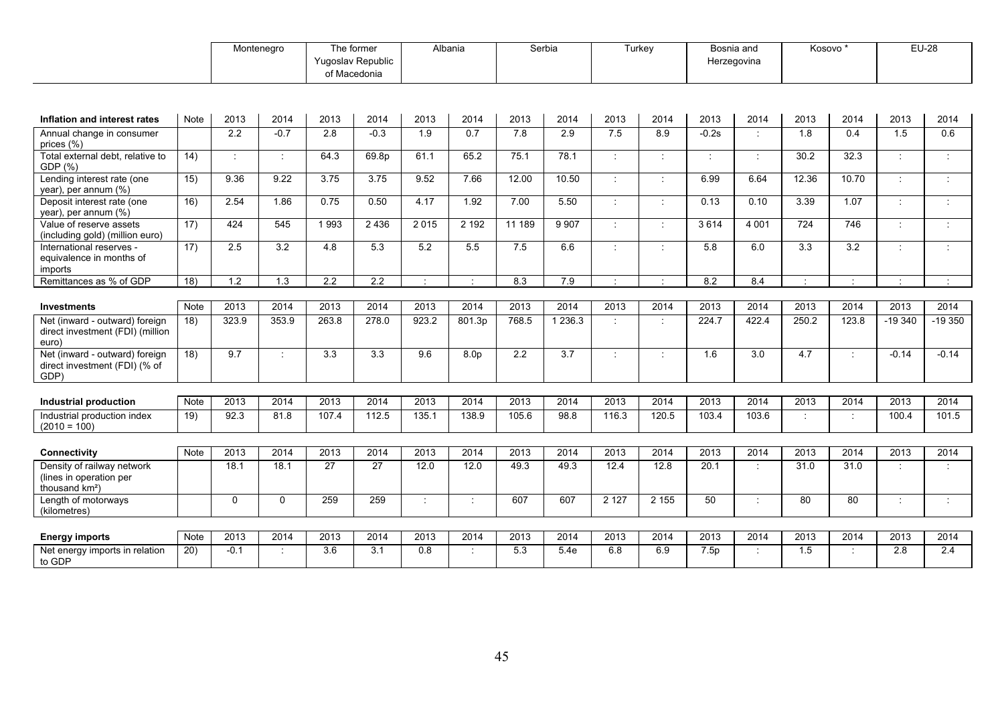|                                                                                     |             | Montenegro  |                      | The former<br>Yugoslav Republic<br>of Macedonia |        |                             | Albania          | Serbia           |                  | Turkey               |                             | Bosnia and<br>Herzegovina |                      | Kosovo* |                      |                      | $EU-28$              |
|-------------------------------------------------------------------------------------|-------------|-------------|----------------------|-------------------------------------------------|--------|-----------------------------|------------------|------------------|------------------|----------------------|-----------------------------|---------------------------|----------------------|---------|----------------------|----------------------|----------------------|
|                                                                                     |             |             |                      |                                                 |        |                             |                  |                  |                  |                      |                             |                           |                      |         |                      |                      |                      |
| Inflation and interest rates                                                        | Note        | 2013        | 2014                 | 2013                                            | 2014   | 2013                        | 2014             | 2013             | 2014             | 2013                 | 2014                        | 2013                      | 2014                 | 2013    | 2014                 | 2013                 | 2014                 |
| Annual change in consumer<br>prices (%)                                             |             | 2.2         | $-0.7$               | 2.8                                             | $-0.3$ | 1.9                         | 0.7              | 7.8              | 2.9              | 7.5                  | 8.9                         | $-0.2s$                   | $\cdot$              | 1.8     | 0.4                  | 1.5                  | 0.6                  |
| Total external debt, relative to<br>GDP (%)                                         | 14)         | ÷           | $\cdot$              | 64.3                                            | 69.8p  | 61.1                        | 65.2             | 75.1             | 78.1             | ÷                    | ÷                           | $\cdot$                   | $\pm$                | 30.2    | 32.3                 | $\cdot$              | $\cdot$              |
| Lending interest rate (one<br>year), per annum (%)                                  | 15)         | 9.36        | 9.22                 | 3.75                                            | 3.75   | 9.52                        | 7.66             | 12.00            | 10.50            | ÷                    | $\mathcal{I}^{\mathcal{I}}$ | 6.99                      | 6.64                 | 12.36   | 10.70                | $\pm$                | ×                    |
| Deposit interest rate (one<br>year), per annum (%)                                  | 16)         | 2.54        | 1.86                 | 0.75                                            | 0.50   | 4.17                        | 1.92             | 7.00             | 5.50             | ÷                    | $\mathbb{Z}^+$              | 0.13                      | 0.10                 | 3.39    | 1.07                 | $\ddot{\phantom{a}}$ | $\ddot{\phantom{a}}$ |
| Value of reserve assets<br>(including gold) (million euro)                          | 17)         | 424         | 545                  | 1993                                            | 2436   | 2015                        | 2 1 9 2          | 11 189           | 9 9 0 7          | $\dot{\mathcal{I}}$  | ÷                           | 3614                      | 4 0 0 1              | 724     | 746                  | $\mathbb{R}^n$       | ÷                    |
| International reserves -<br>equivalence in months of<br>imports                     | 17)         | 2.5         | 3.2                  | 4.8                                             | 5.3    | 5.2                         | 5.5              | 7.5              | 6.6              | ÷                    | $\ddot{\Sigma}$             | 5.8                       | 6.0                  | 3.3     | 3.2                  | ÷                    | ÷                    |
| Remittances as % of GDP                                                             | 18)         | 1.2         | 1.3                  | 2.2                                             | 2.2    | $\mathcal{L}_{\mathcal{A}}$ | $\sim$           | 8.3              | 7.9              | $\cdot$              | $\gamma$                    | 8.2                       | 8.4                  | $\cdot$ | $\mathcal{L}$        | $\cdot$              |                      |
|                                                                                     |             |             |                      |                                                 |        |                             |                  |                  |                  |                      |                             |                           |                      |         |                      |                      |                      |
| <b>Investments</b>                                                                  | Note        | 2013        | 2014                 | 2013                                            | 2014   | 2013                        | 2014             | 2013             | 2014             | 2013                 | 2014                        | 2013                      | 2014                 | 2013    | 2014                 | 2013                 | 2014                 |
| Net (inward - outward) foreign<br>direct investment (FDI) (million<br>euro)         | 18)         | 323.9       | 353.9                | 263.8                                           | 278.0  | 923.2                       | 801.3p           | 768.5            | 1 2 3 6 . 3      | $\ddot{\phantom{a}}$ | ÷                           | 224.7                     | 422.4                | 250.2   | 123.8                | $-19340$             | $-19350$             |
| Net (inward - outward) foreign<br>direct investment (FDI) (% of<br>GDP)             | 18)         | 9.7         | $\ddot{\phantom{a}}$ | 3.3                                             | 3.3    | 9.6                         | 8.0 <sub>p</sub> | $\overline{2.2}$ | $\overline{3.7}$ | ÷                    | $\mathbb{Z}^+$              | 1.6                       | 3.0                  | 4.7     | $\dot{\mathcal{I}}$  | $-0.14$              | $-0.14$              |
|                                                                                     |             |             |                      |                                                 |        |                             |                  |                  |                  |                      |                             |                           |                      |         |                      |                      |                      |
| <b>Industrial production</b>                                                        | Note        | 2013        | 2014                 | 2013                                            | 2014   | 2013                        | 2014             | 2013             | 2014             | 2013                 | 2014                        | 2013                      | 2014                 | 2013    | 2014                 | 2013                 | 2014                 |
| Industrial production index<br>$(2010 = 100)$                                       | 19)         | 92.3        | 81.8                 | 107.4                                           | 112.5  | 135.1                       | 138.9            | 105.6            | 98.8             | 116.3                | 120.5                       | 103.4                     | 103.6                |         | $\ddot{\phantom{a}}$ | 100.4                | 101.5                |
| Connectivity                                                                        | Note        | 2013        | 2014                 | 2013                                            | 2014   | 2013                        | 2014             | 2013             | 2014             | 2013                 | 2014                        | 2013                      | 2014                 | 2013    | 2014                 | 2013                 | 2014                 |
| Density of railway network<br>(lines in operation per<br>thousand km <sup>2</sup> ) |             | 18.1        | 18.1                 | $\overline{27}$                                 | 27     | 12.0                        | 12.0             | 49.3             | 49.3             | 12.4                 | 12.8                        | 20.1                      | $\cdot$              | 31.0    | 31.0                 | ٠                    | $\cdot$              |
| Length of motorways<br>(kilometres)                                                 |             | $\mathbf 0$ | 0                    | 259                                             | 259    | $\ddot{\phantom{a}}$        |                  | 607              | 607              | 2 1 2 7              | 2 1 5 5                     | 50                        | $\ddot{\phantom{a}}$ | 80      | 80                   | ÷                    | ÷                    |
|                                                                                     |             |             |                      |                                                 |        |                             |                  |                  |                  |                      |                             |                           |                      |         |                      |                      |                      |
| <b>Energy imports</b>                                                               | <b>Note</b> | 2013        | 2014                 | 2013                                            | 2014   | 2013                        | 2014             | 2013             | 2014             | 2013                 | 2014                        | 2013                      | 2014                 | 2013    | 2014                 | 2013                 | 2014                 |
| Net energy imports in relation<br>to GDP                                            | 20)         | $-0.1$      | $\cdot$              | 3.6                                             | 3.1    | 0.8                         |                  | 5.3              | 5.4e             | 6.8                  | 6.9                         | 7.5p                      |                      | 1.5     | $\mathbb{R}^2$       | 2.8                  | 2.4                  |